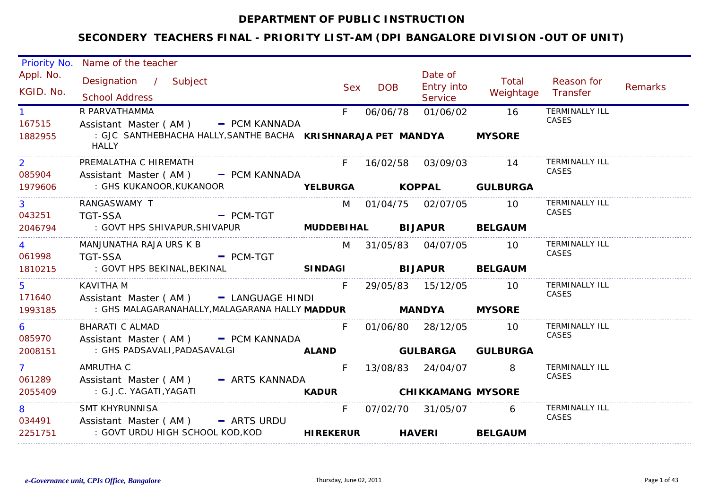### **DEPARTMENT OF PUBLIC INSTRUCTION**

| Priority No.      | Name of the teacher                                                           |                   |               |                          |                          |                                |                |
|-------------------|-------------------------------------------------------------------------------|-------------------|---------------|--------------------------|--------------------------|--------------------------------|----------------|
| Appl. No.         | Designation / Subject                                                         | <b>Sex</b>        | <b>DOB</b>    | Date of<br>Entry into    | Total                    | Reason for                     | <b>Remarks</b> |
| KGID. No.         | <b>School Address</b>                                                         |                   |               | Service                  | Weightage                | Transfer                       |                |
|                   | R PARVATHAMMA                                                                 | F                 | 06/06/78      | 01/06/02                 | 16                       | <b>TERMINALLY ILL</b>          |                |
| 167515            | Assistant Master (AM) - PCM KANNADA                                           |                   |               |                          |                          | CASES                          |                |
| 1882955           | : GJC SANTHEBHACHA HALLY, SANTHE BACHA KRISHNARAJA PET MANDYA<br><b>HALLY</b> |                   |               |                          | <b>MYSORE</b>            |                                |                |
| $\overline{2}$    | PREMALATHA C HIREMATH                                                         | $F =$             |               | 16/02/58 03/09/03        | -14                      | <b>TERMINALLY ILL</b><br>CASES |                |
| 085904            | Assistant Master (AM) - PCM KANNADA                                           |                   |               |                          |                          |                                |                |
| 1979606           | : GHS KUKANOOR,KUKANOOR                                                       |                   |               |                          | YELBURGA KOPPAL GULBURGA |                                |                |
| 3                 | RANGASWAMY T                                                                  |                   |               | M 01/04/75 02/07/05      | <b>10</b>                | <b>TERMINALLY ILL</b><br>CASES |                |
| 043251<br>2046794 | <b>TGT-SSA</b><br>$-$ PCM-TGT<br>: GOVT HPS SHIVAPUR, SHIVAPUR                | <b>MUDDEBIHAL</b> |               | <b>BIJAPUR BELGAUM</b>   |                          |                                |                |
|                   |                                                                               |                   |               |                          |                          |                                |                |
|                   | MANJUNATHA RAJA URS K B                                                       |                   |               | M 31/05/83 04/07/05      | <b>10</b>                | <b>TERMINALLY ILL</b><br>CASES |                |
| 061998            | <b>TGT-SSA</b><br>$=$ PCM-TGT                                                 |                   |               |                          |                          |                                |                |
| 1810215           | : GOVT HPS BEKINAL, BEKINAL                                                   | <b>SINDAGI</b>    |               | <b>BIJAPUR BELGAUM</b>   |                          |                                |                |
| 5                 | <b>KAVITHA M</b>                                                              | F.                |               | 29/05/83  15/12/05       | - 10                     | <b>TERMINALLY ILL</b><br>CASES |                |
| 171640            | Assistant Master (AM) - LANGUAGE HINDI                                        |                   |               |                          |                          |                                |                |
| 1993185           | : GHS MALAGARANAHALLY,MALAGARANA HALLY MADDUR                                 |                   | <b>MANDYA</b> |                          | <b>MYSORE</b>            |                                |                |
| 6                 | BHARATI C ALMAD                                                               | F.                |               | 01/06/80 28/12/05        | - 10                     | <b>TERMINALLY ILL</b><br>CASES |                |
| 085970            | Assistant Master (AM) - PCM KANNADA                                           |                   |               |                          |                          |                                |                |
| 2008151<br>.      | : GHS PADSAVALI, PADASAVALGI                                                  | <b>ALAND</b>      |               | <b>GULBARGA</b>          | <b>GULBURGA</b>          |                                |                |
| $\mathbf{7}$      | AMRUTHA C                                                                     | F.                |               | 13/08/83 24/04/07        | 8                        | <b>TERMINALLY ILL</b>          |                |
| 061289            | Assistant Master (AM) - ARTS KANNADA                                          |                   |               |                          |                          | CASES                          |                |
| 2055409           | : G.J.C. YAGATI, YAGATI                                                       | <b>KADUR</b>      |               | <b>CHIKKAMANG MYSORE</b> |                          |                                |                |
| 8                 | <b>SMT KHYRUNNISA</b>                                                         | F.                |               | 07/02/70 31/05/07        | 6                        | <b>TERMINALLY ILL</b>          |                |
|                   | 034491 Assistant Master (AM) - ARTS URDU                                      |                   |               |                          |                          | CASES                          |                |
| 2251751           | : GOVT URDU HIGH SCHOOL KOD,KOD                                               | <b>HIREKERUR</b>  |               | <b>HAVERI</b>            | <b>BELGAUM</b>           |                                |                |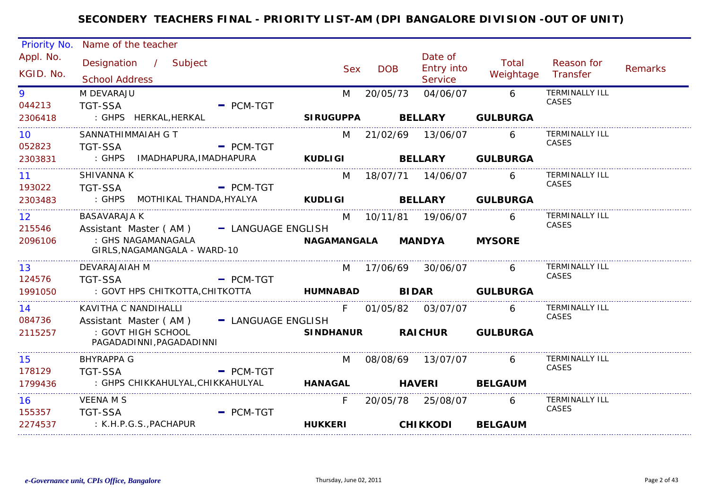| Priority No.              | Name of the teacher                                              |                               |                     |                                         |                    |                                |                |
|---------------------------|------------------------------------------------------------------|-------------------------------|---------------------|-----------------------------------------|--------------------|--------------------------------|----------------|
| Appl. No.<br>KGID. No.    | Designation / Subject<br><b>School Address</b>                   | <b>Sex</b>                    | <b>DOB</b>          | Date of<br><b>Entry into</b><br>Service | Total<br>Weightage | Reason for<br>Transfer         | <b>Remarks</b> |
| 9<br>044213               | M DEVARAJU<br><b>TGT-SSA</b>                                     | M<br>$=$ PCM-TGT              | 20/05/73            | 04/06/07                                | 6                  | <b>TERMINALLY ILL</b><br>CASES |                |
| 2306418                   | : GHPS HERKAL, HERKAL                                            | <b>SIRUGUPPA</b>              |                     | <b>BELLARY</b>                          | <b>GULBURGA</b>    |                                |                |
| 10 <sup>°</sup><br>052823 | SANNATHIMMAIAH G T<br><b>TGT-SSA</b>                             | M<br>$=$ PCM-TGT              | 21/02/69 13/06/07   |                                         | 6                  | <b>TERMINALLY ILL</b><br>CASES |                |
| 2303831                   | : GHPS IMADHAPURA, IMADHAPURA                                    | <b>KUDLIGI</b>                |                     |                                         | BELLARY GULBURGA   |                                |                |
| 11<br>193022              | <b>SHIVANNA K</b><br><b>TGT-SSA</b><br><b>Example 19 PCM-TGT</b> | M                             | 18/07/71  14/06/07  |                                         | 6                  | <b>TERMINALLY ILL</b><br>CASES |                |
| 2303483                   | : GHPS MOTHIKAL THANDA, HYALYA                                   | <b>KUDLIGI</b>                |                     | <b>BELLARY</b>                          | <b>GULBURGA</b>    |                                |                |
| 12 <sup>1</sup><br>215546 | <b>BASAVARAJA K</b><br>Assistant Master (AM) - LANGUAGE ENGLISH  | M                             | 10/11/81  19/06/07  |                                         | 6                  | <b>TERMINALLY ILL</b><br>CASES |                |
| 2096106                   | : GHS NAGAMANAGALA<br>GIRLS, NAGAMANGALA - WARD-10               | NAGAMANGALA                   |                     | <b>MANDYA</b>                           | <b>MYSORE</b>      |                                |                |
| 13<br>124576              | DEVARAJAIAH M<br><b>TGT-SSA</b>                                  | $=$ PCM-TGT                   | M 17/06/69 30/06/07 |                                         |                    | <b>TERMINALLY ILL</b><br>CASES |                |
| 1991050                   | : GOVT HPS CHITKOTTA, CHITKOTTA                                  | <b>HUMNABAD</b>               |                     |                                         | BIDAR GULBURGA     |                                |                |
| 14<br>084736              | KAVITHA C NANDIHALLI<br>Assistant Master (AM) - LANGUAGE ENGLISH |                               | F 01/05/82 03/07/07 |                                         | 6                  | <b>TERMINALLY ILL</b><br>CASES |                |
| 2115257                   | : GOVT HIGH SCHOOL<br>PAGADADINNI, PAGADADINNI                   | <b>SINDHANUR</b>              |                     |                                         | RAICHUR GULBURGA   |                                |                |
| 15                        | BHYRAPPA G                                                       | M                             | 08/08/69 13/07/07   |                                         | 6                  | <b>TERMINALLY ILL</b><br>CASES |                |
| 178129<br>1799436         | <b>TGT-SSA</b><br>: GHPS CHIKKAHULYAL,CHIKKAHULYAL               | $=$ PCM-TGT<br><b>HANAGAL</b> | <b>HAVERI</b>       |                                         | <b>BELGAUM</b>     |                                |                |
| 16<br>155357              | <b>VEENA M S</b><br><b>TGT-SSA</b>                               | F.<br>$-$ PCM-TGT             | 20/05/78 25/08/07   |                                         | 6                  | <b>TERMINALLY ILL</b><br>CASES |                |
| 2274537                   | : K.H.P.G.S., PACHAPUR                                           | <b>HUKKERI</b>                |                     | <b>CHIKKODI</b>                         | <b>BELGAUM</b>     |                                |                |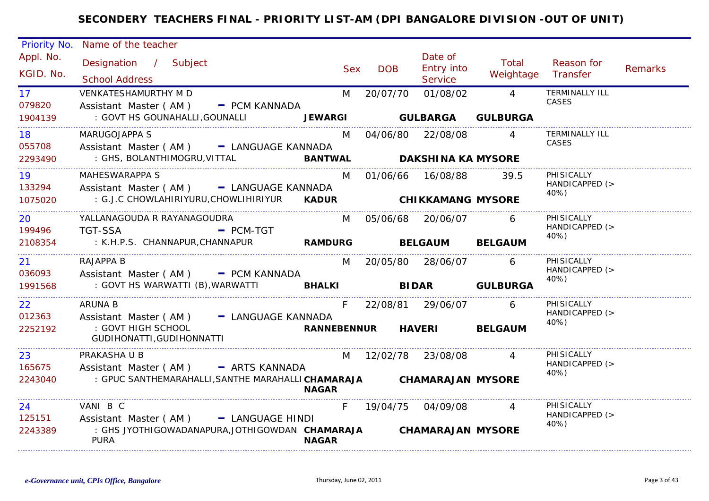| Priority No.              | Name of the teacher                                                                  |            |                     |                                         |                    |                                      |                |
|---------------------------|--------------------------------------------------------------------------------------|------------|---------------------|-----------------------------------------|--------------------|--------------------------------------|----------------|
| Appl. No.<br>KGID. No.    | Designation / Subject<br><b>School Address</b>                                       | <b>Sex</b> | <b>DOB</b>          | Date of<br><b>Entry into</b><br>Service | Total<br>Weightage | Reason for<br>Transfer               | <b>Remarks</b> |
| 17 <sup>7</sup><br>079820 | VENKATESHAMURTHY M D<br>Assistant Master (AM) - PCM KANNADA                          | M          | 20/07/70            | 01/08/02                                | $\overline{4}$     | <b>TERMINALLY ILL</b><br>CASES       |                |
| 1904139                   | : GOVT HS GOUNAHALLI, GOUNALLI<br><b>JEWARGI</b>                                     |            |                     | <b>GULBARGA</b>                         | <b>GULBURGA</b>    |                                      |                |
| 18<br>055708              | MARUGOJAPPA S<br>Assistant Master (AM) - LANGUAGE KANNADA                            |            |                     | M 04/06/80 22/08/08                     | $\overline{A}$     | <b>TERMINALLY ILL</b><br>CASES       |                |
| 2293490                   | : GHS, BOLANTHIMOGRU, VITTAL                                                         |            | <b>BANTWAL</b>      | <b>DAKSHINA KA MYSORE</b>               |                    |                                      |                |
| 19<br>133294              | <b>MAHESWARAPPA S</b><br>Assistant Master (AM) - LANGUAGE KANNADA                    |            | M 01/06/66 16/08/88 |                                         | 39.5               | PHISICALLY<br>HANDICAPPED (><br>40%) |                |
| 1075020                   | : G.J.C CHOWLAHIRIYURU, CHOWLIHIRIYUR<br><b>KADUR</b>                                |            |                     | <b>CHIKKAMANG MYSORE</b>                |                    |                                      |                |
| 20<br>199496              | YALLANAGOUDA R RAYANAGOUDRA<br><b>TGT-SSA</b><br>$-$ PCM-TGT                         |            |                     | M 05/06/68 20/06/07                     | 6                  | PHISICALLY<br>HANDICAPPED (>         |                |
| 2108354                   | <b>RAMDURG</b><br>: K.H.P.S. CHANNAPUR,CHANNAPUR                                     |            |                     | <b>BELGAUM</b>                          | <b>BELGAUM</b>     | 40%)                                 |                |
| 21<br>036093              | <b>RAJAPPA B</b><br>Assistant Master (AM) - PCM KANNADA                              | M          |                     | 20/05/80 28/06/07                       | 6                  | PHISICALLY<br>HANDICAPPED (>         |                |
| 1991568                   |                                                                                      |            |                     |                                         | <b>GULBURGA</b>    | 40%)                                 |                |
| 22<br>012363              | <b>ARUNA B</b><br>Assistant Master (AM) - LANGUAGE KANNADA                           | F.         |                     | 22/08/81 29/06/07                       | 6                  | PHISICALLY<br>HANDICAPPED (>         |                |
| 2252192                   | : GOVT HIGH SCHOOL<br>GUDIHONATTI, GUDIHONNATTI                                      |            | <b>RANNEBENNUR</b>  | <b>HAVERI</b>                           | <b>BELGAUM</b>     | 40%)                                 |                |
| 23<br>165675              | PRAKASHA U B<br>Assistant Master (AM) - ARTS KANNADA                                 | M          |                     | 12/02/78 23/08/08                       |                    | PHISICALLY<br>HANDICAPPED (><br>40%) |                |
| 2243040                   | : GPUC SANTHEMARAHALLI, SANTHE MARAHALLI CHAMARAJA CHAMARAJAN MYSORE<br><b>NAGAR</b> |            |                     |                                         |                    |                                      |                |
| 24<br>125151              | VANI B C<br>Assistant Master (AM) - LANGUAGE HINDI                                   |            | 19/04/75 04/09/08   |                                         |                    | PHISICALLY<br>HANDICAPPED (><br>40%) |                |
| 2243389                   | : GHS JYOTHIGOWADANAPURA,JOTHIGOWDAN CHAMARAJA<br><b>PURA</b><br><b>NAGAR</b>        |            |                     | <b>CHAMARAJAN MYSORE</b>                |                    |                                      |                |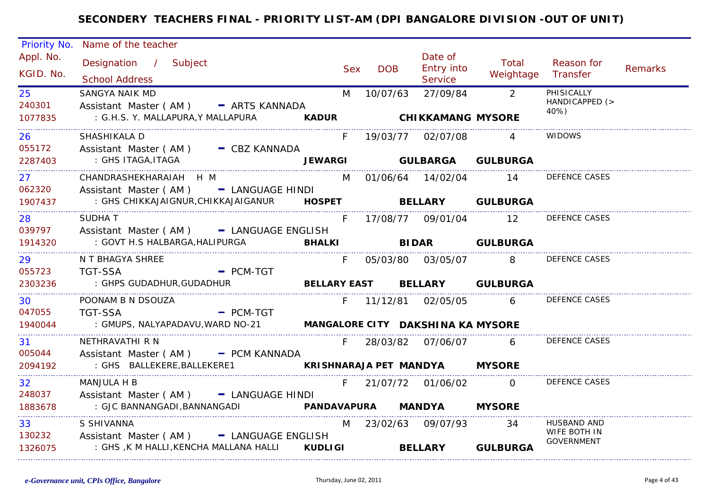| Priority No.                         | Name of the teacher                                                                                                                 |                |            |            |                                               |                                                      |                                                         |                |
|--------------------------------------|-------------------------------------------------------------------------------------------------------------------------------------|----------------|------------|------------|-----------------------------------------------|------------------------------------------------------|---------------------------------------------------------|----------------|
| Appl. No.<br>KGID. No.               | Designation / Subject<br><b>School Address</b>                                                                                      |                | <b>Sex</b> | <b>DOB</b> | Date of<br><b>Entry into</b><br>Service       | Total<br>Weightage                                   | Reason for<br>Transfer                                  | <b>Remarks</b> |
| 25<br>240301<br>1077835              | <b>SANGYA NAIK MD</b><br>Assistant Master (AM) - ARTS KANNADA<br>: G.H.S. Y. MALLAPURA, Y MALLAPURA                                 | <b>KADUR</b>   | M          |            | 10/07/63 27/09/84<br><b>CHIKKAMANG MYSORE</b> | $\overline{2}$                                       | PHISICALLY<br>HANDICAPPED (><br>40%)                    |                |
| 26.<br>055172<br>2287403             | SHASHIKALA D<br>Assistant Master (AM) - CBZ KANNADA<br>: GHS ITAGA,ITAGA                                                            |                | F.         |            | 19/03/77 02/07/08                             | JEWARGI GULBARGA GULBURGA                            | <b>WIDOWS</b>                                           |                |
| 27 <sub>2</sub><br>062320<br>1907437 | CHANDRASHEKHARAIAH H M<br>Assistant Master (AM) - LANGUAGE HINDI<br>: GHS CHIKKAJAIGNUR, CHIKKAJAIGANUR   HOSPET   BELLARY GULBURGA |                |            |            | M 01/06/64 14/02/04                           | 14                                                   | <b>DEFENCE CASES</b>                                    |                |
| 28<br>039797<br>1914320              | <b>SUDHAT</b><br>Assistant Master (AM) - LANGUAGE ENGLISH<br>: GOVT H.S HALBARGA, HALIPURGA <b>BHALKI</b>                           |                | F.         |            |                                               | 17/08/77 09/01/04 12<br><b>BIDAR</b> GULBURGA        | DEFENCE CASES                                           |                |
| 29<br>055723<br>2303236              | N T BHAGYA SHREE<br>- PCM-TGT<br><b>TGT-SSA</b><br>: GHPS GUDADHUR, GUDADHUR                                                        |                | F.         |            |                                               | 05/03/80 03/05/07 8<br>BELLARY EAST BELLARY GULBURGA | <b>DEFENCE CASES</b>                                    |                |
| 30.<br>047055<br>1940044             | POONAM B N DSOUZA<br><b>TGT-SSA</b><br>- PCM-TGT                                                                                    |                |            |            | F 11/12/81 02/05/05                           | $6 \quad$                                            | <b>DEFENCE CASES</b>                                    |                |
| .<br>31.<br>005044<br>2094192        | NETHRAVATHI R N<br>Assistant Master (AM) - PCM KANNADA                                                                              |                | F.         |            | KRISHNARAJA PET MANDYA MYSORE                 | 28/03/82 07/06/07 6                                  | <b>DEFENCE CASES</b>                                    |                |
| 32 <sup>°</sup><br>248037<br>1883678 | <b>MANJULA H B</b><br>Assistant Master (AM) - LANGUAGE HINDI<br>: GJC BANNANGADI, BANNANGADI                                        |                | F.         |            | 21/07/72 01/06/02<br>PANDAVAPURA MANDYA       | $\overline{0}$<br><b>MYSORE</b>                      | <b>DEFENCE CASES</b>                                    |                |
| 33<br>130232<br>1326075              | S SHIVANNA<br>Assistant Master (AM) - LANGUAGE ENGLISH<br>: GHS ,K M HALLI,KENCHA MALLANA HALLI                                     | <b>KUDLIGI</b> |            |            | M 23/02/63 09/07/93<br><b>BELLARY</b>         | -34<br><b>GULBURGA</b>                               | <b>HUSBAND AND</b><br>WIFE BOTH IN<br><b>GOVERNMENT</b> |                |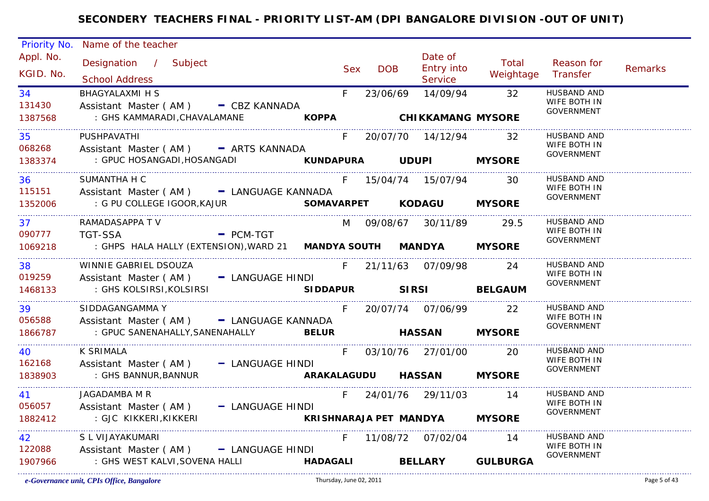| Priority No.            | Name of the teacher                                                                                                        |       |            |                                                         |                    |                                                  |                |
|-------------------------|----------------------------------------------------------------------------------------------------------------------------|-------|------------|---------------------------------------------------------|--------------------|--------------------------------------------------|----------------|
| Appl. No.<br>KGID. No.  | Designation / Subject<br><b>School Address</b>                                                                             | Sex   | <b>DOB</b> | Date of<br><b>Entry into</b><br>Service                 | Total<br>Weightage | Reason for<br>Transfer                           | <b>Remarks</b> |
| 34<br>131430<br>1387568 | <b>BHAGYALAXMI H S</b><br>Assistant Master (AM) - CBZ KANNADA<br>: GHS KAMMARADI, CHAVALAMANE                              | $F =$ | 23/06/69   | 14/09/94<br>KOPPA CHIKKAMANG MYSORE                     | $\overline{32}$    | HUSBAND AND<br>WIFE BOTH IN<br>GOVERNMENT        |                |
| 35<br>068268<br>1383374 | PUSHPAVATHI<br>Assistant Master (AM) - ARTS KANNADA<br>: GPUC HOSANGADI,HOSANGADI                                          |       |            | F 20/07/70 14/12/94 32<br>KUNDAPURA UDUPI MYSORE        |                    | HUSBAND AND<br>WIFE BOTH IN<br>GOVERNMENT        |                |
| 36<br>115151<br>1352006 | SUMANTHA H C<br>Assistant Master (AM) - LANGUAGE KANNADA                                                                   |       |            | F 15/04/74 15/07/94                                     | 30                 | HUSBAND AND<br>WIFE BOTH IN<br>GOVERNMENT        |                |
| 37<br>090777<br>1069218 | RAMADASAPPA TV<br><b>Example 2 PCM-TGT</b><br>TGT-SSA<br>: GHPS HALA HALLY (EXTENSION), WARD 21 MANDYA SOUTH MANDYA MYSORE |       |            | M 09/08/67 30/11/89                                     | 29.5               | HUSBAND AND<br>WIFE BOTH IN<br><b>GOVERNMENT</b> |                |
| 38<br>019259<br>1468133 | WINNIE GABRIEL DSOUZA<br>Assistant Master (AM) - LANGUAGE HINDI<br>: GHS KOLSIRSI, KOLSIRSI                                |       |            | F 21/11/63 07/09/98<br>SIDDAPUR SIRSI BELGAUM           | 24                 | HUSBAND AND<br>WIFE BOTH IN<br><b>GOVERNMENT</b> |                |
| 39<br>056588<br>1866787 | SIDDAGANGAMMA Y<br>Assistant Master (AM) - LANGUAGE KANNADA<br>: GPUC SANENAHALLY, SANENAHALLY BELUR                       |       |            | F 20/07/74 07/06/99<br><b>HASSAN MYSORE</b>             | - 22               | HUSBAND AND<br>WIFE BOTH IN<br>GOVERNMENT        |                |
| 40<br>162168<br>1838903 | <b>K SRIMALA</b><br>Assistant Master (AM) - LANGUAGE HINDI<br>: GHS BANNUR, BANNUR                                         | F     |            | 03/10/76 27/01/00 20<br>ARAKALAGUDU HASSAN MYSORE       |                    | HUSBAND AND<br>WIFE BOTH IN<br><b>GOVERNMENT</b> |                |
| 41<br>056057<br>1882412 | JAGADAMBA M R<br>Assistant Master (AM) - LANGUAGE HINDI<br>: GJC KIKKERI,KIKKERI                                           |       |            | F 24/01/76 29/11/03 14<br>KRISHNARAJA PET MANDYA MYSORE |                    | HUSBAND AND<br>WIFE BOTH IN<br><b>GOVERNMENT</b> |                |
| 42<br>122088<br>1907966 | S L VIJAYAKUMARI<br>Assistant Master (AM) - LANGUAGE HINDI<br>: GHS WEST KALVI, SOVENA HALLI                               |       |            | F 11/08/72 07/02/04 14<br>HADAGALI BELLARY GULBURGA     |                    | <b>HUSBAND AND</b><br>WIFE BOTH IN<br>GOVERNMENT |                |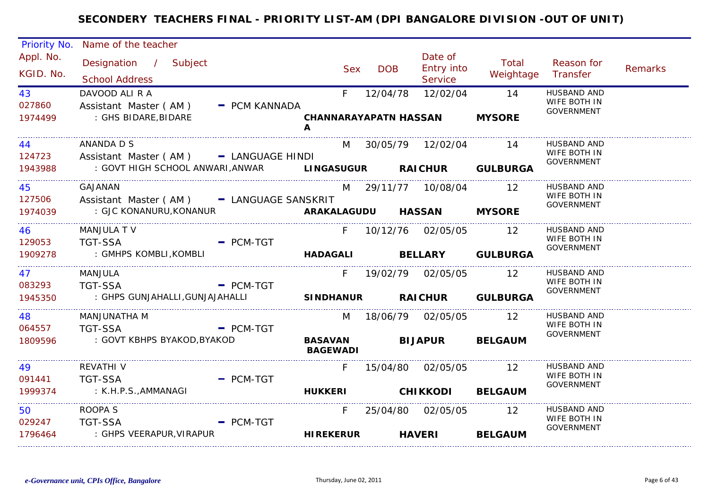| Priority No.           | Name of the teacher                                         |               |                                   |            |                                  |                             |                                                  |                |
|------------------------|-------------------------------------------------------------|---------------|-----------------------------------|------------|----------------------------------|-----------------------------|--------------------------------------------------|----------------|
| Appl. No.<br>KGID. No. | Designation / Subject<br><b>School Address</b>              |               | <b>Sex</b>                        | <b>DOB</b> | Date of<br>Entry into<br>Service | Total<br>Weightage          | Reason for<br>Transfer                           | <b>Remarks</b> |
| 43<br>027860           | DAVOOD ALI R A<br>Assistant Master (AM)                     | - PCM KANNADA | F                                 | 12/04/78   | 12/02/04                         | 14                          | HUSBAND AND<br>WIFE BOTH IN<br><b>GOVERNMENT</b> |                |
| 1974499                | : GHS BIDARE, BIDARE                                        |               | <b>CHANNARAYAPATN HASSAN</b><br>A |            |                                  | <b>MYSORE</b>               |                                                  |                |
| 44<br>124723           | ANANDA D S<br>Assistant Master (AM) - LANGUAGE HINDI        |               |                                   |            | M 30/05/79 12/02/04              | 14                          | <b>HUSBAND AND</b><br>WIFE BOTH IN               |                |
| 1943988                | : GOVT HIGH SCHOOL ANWARI, ANWAR                            |               |                                   |            |                                  | LINGASUGUR RAICHUR GULBURGA | <b>GOVERNMENT</b>                                |                |
| 45<br>127506           | <b>GAJANAN</b><br>Assistant Master (AM) - LANGUAGE SANSKRIT |               |                                   |            | M 29/11/77 10/08/04 12           |                             | <b>HUSBAND AND</b><br>WIFE BOTH IN               |                |
| 1974039                | : GJC KONANURU, KONANUR                                     |               | ARAKALAGUDU HASSAN MYSORE         |            |                                  |                             | <b>GOVERNMENT</b>                                |                |
| 46<br>129053           | <b>MANJULA TV</b><br><b>TGT-SSA</b>                         | $-$ PCM-TGT   |                                   |            | F 10/12/76 02/05/05 12           |                             | <b>HUSBAND AND</b><br>WIFE BOTH IN               |                |
| 1909278                | : GMHPS KOMBLI, KOMBLI                                      |               |                                   |            |                                  | HADAGALI BELLARY GULBURGA   | <b>GOVERNMENT</b>                                |                |
| 47<br>083293           | MANJULA                                                     |               |                                   |            | F 19/02/79 02/05/05              | 12                          | <b>HUSBAND AND</b><br>WIFE BOTH IN               |                |
| 1945350                | <b>TGT-SSA</b><br>: GHPS GUNJAHALLI,GUNJAJAHALLI            | $=$ PCM-TGT   |                                   |            |                                  | SINDHANUR RAICHUR GULBURGA  | <b>GOVERNMENT</b>                                |                |
| 48<br>064557           | MANJUNATHA M<br><b>TGT-SSA</b>                              |               |                                   |            | M 18/06/79 02/05/05              | 12                          | <b>HUSBAND AND</b><br>WIFE BOTH IN               |                |
| 1809596                | : GOVT KBHPS BYAKOD, BYAKOD                                 | $-$ PCM-TGT   | <b>BASAVAN</b><br><b>BAGEWADI</b> |            |                                  | <b>BIJAPUR BELGAUM</b>      | <b>GOVERNMENT</b>                                |                |
| 49<br>091441           | <b>REVATHI V</b><br><b>TGT-SSA</b>                          | $-$ PCM-TGT   | F.                                |            | 15/04/80 02/05/05                | 12                          | <b>HUSBAND AND</b><br>WIFE BOTH IN               |                |
| 1999374                | : K.H.P.S., AMMANAGI                                        |               | <b>HUKKERI</b>                    |            | <b>CHIKKODI</b>                  | <b>BELGAUM</b>              | <b>GOVERNMENT</b>                                |                |
| 50<br>029247           | ROOPA S<br><b>TGT-SSA</b>                                   | $=$ PCM-TGT   | F.                                |            | 25/04/80 02/05/05                | -12                         | HUSBAND AND<br>WIFE BOTH IN                      |                |
| 1796464                | : GHPS VEERAPUR,VIRAPUR                                     |               | <b>HIREKERUR</b>                  |            | <b>HAVERI</b>                    | <b>BELGAUM</b>              | <b>GOVERNMENT</b>                                |                |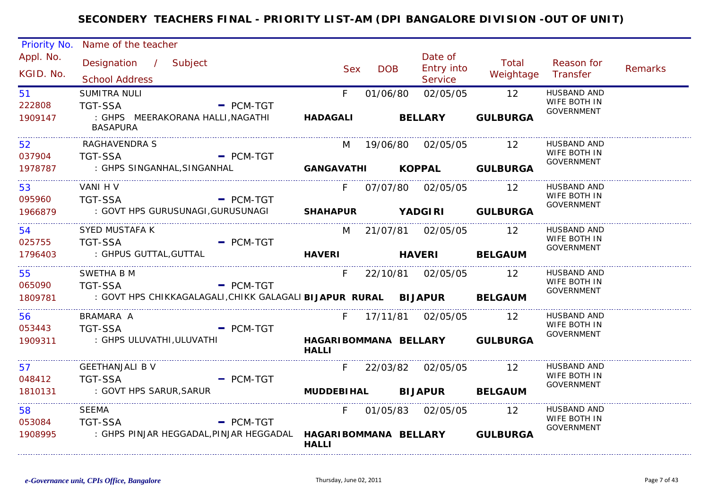| Priority No.                | Name of the teacher                                                                                              |                                                |            |            |                                                      |                       |                                                         |                |
|-----------------------------|------------------------------------------------------------------------------------------------------------------|------------------------------------------------|------------|------------|------------------------------------------------------|-----------------------|---------------------------------------------------------|----------------|
| Appl. No.<br>KGID. No.      | Designation / Subject<br><b>School Address</b>                                                                   |                                                | <b>Sex</b> | <b>DOB</b> | Date of<br>Entry into<br>Service                     | Total<br>Weightage    | Reason for<br>Transfer                                  | <b>Remarks</b> |
| 51<br>222808<br>1909147     | SUMITRA NULI<br>TGT-SSA<br>$-$ PCM-TGT<br>: GHPS MEERAKORANA HALLI,NAGATHI<br><b>BASAPURA</b>                    | <b>HADAGALI</b>                                | F          | 01/06/80   | 02/05/05<br><b>BELLARY</b>                           | 12<br><b>GULBURGA</b> | <b>HUSBAND AND</b><br>WIFE BOTH IN<br><b>GOVERNMENT</b> |                |
| 52<br>037904<br>1978787     | <b>RAGHAVENDRA S</b><br><b>TGT-SSA</b><br><b>Example 2</b> PCM-TGT<br>: GHPS SINGANHAL, SINGANHAL                | GANGAVATHI KOPPAL GULBURGA                     |            |            | M 19/06/80 02/05/05                                  | 12                    | <b>HUSBAND AND</b><br>WIFE BOTH IN<br>GOVERNMENT        |                |
| 53<br>095960<br>1966879     | VANI H V<br>TGT-SSA<br>: GOVT HPS GURUSUNAGI, GURUSUNAGI SHAHAPUR YADGIRI GULBURGA                               | $-$ PCM-TGT                                    | $F =$      |            | 07/07/80 02/05/05 12                                 |                       | <b>HUSBAND AND</b><br>WIFE BOTH IN<br>GOVERNMENT        |                |
| 54 7<br>025755<br>1796403   | SYED MUSTAFA K<br>- PCM-TGT<br>TGT-SSA<br>: GHPUS GUTTAL, GUTTAL                                                 | HAVERI HAVERI BELGAUM                          |            |            | M 21/07/81 02/05/05 12                               |                       | HUSBAND AND<br>WIFE BOTH IN<br>GOVERNMENT               |                |
| 55<br>065090                | SWETHA B M<br>TGT-SSA PCM-TGT<br>1809781 : GOVT HPS CHIKKAGALAGALI, CHIKK GALAGALI BIJAPUR RURAL BIJAPUR BELGAUM |                                                | F          |            | 22/10/81 02/05/05 12                                 |                       | <b>HUSBAND AND</b><br>WIFE BOTH IN<br><b>GOVERNMENT</b> |                |
| 56 — 1<br>053443<br>1909311 | BRAMARA A<br><b>TGT-SSA</b><br>$\overline{\phantom{a}}$ PCM-TGT<br>: GHPS ULUVATHI,ULUVATHI                      | HAGARIBOMMANA BELLARY GULBURGA<br><b>HALLI</b> | $F =$      |            | 17/11/81  02/05/05                                   | 12                    | HUSBAND AND<br>WIFE BOTH IN<br>GOVERNMENT               |                |
| 57<br>048412<br>1810131     | <b>GEETHANJALI B V</b><br><b>TGT-SSA</b><br>: GOVT HPS SARUR, SARUR                                              | $-$ PCM-TGT                                    |            |            | F 22/03/82 02/05/05 12<br>MUDDEBIHAL BIJAPUR BELGAUM |                       | <b>HUSBAND AND</b><br>WIFE BOTH IN<br><b>GOVERNMENT</b> |                |
| 58<br>053084<br>1908995     | SEEMA<br><b>TGT-SSA</b><br>: GHPS PINJAR HEGGADAL,PINJAR HEGGADAL  HAGARIBOMMANA  BELLARY  GULBURGA              | $=$ PCM-TGT<br><b>HALLI</b>                    |            |            | F 01/05/83 02/05/05 12                               |                       | HUSBAND AND<br>WIFE BOTH IN<br><b>GOVERNMENT</b>        |                |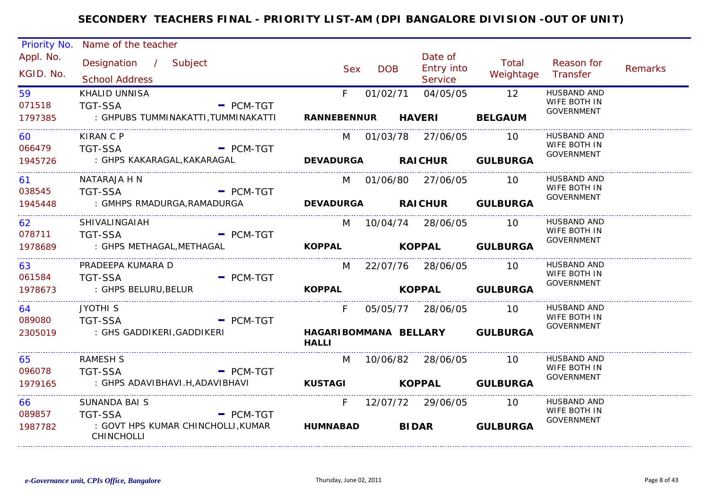| Priority No.            | Name of the teacher                                                                                              |                          |                     |                                         |                                      |                                                         |                |
|-------------------------|------------------------------------------------------------------------------------------------------------------|--------------------------|---------------------|-----------------------------------------|--------------------------------------|---------------------------------------------------------|----------------|
| Appl. No.<br>KGID. No.  | Designation / Subject<br><b>School Address</b>                                                                   | <b>Sex</b>               | <b>DOB</b>          | Date of<br>Entry into<br><b>Service</b> | Total<br>Weightage                   | Reason for<br>Transfer                                  | <b>Remarks</b> |
| 59<br>071518<br>1797385 | <b>KHALID UNNISA</b><br><b>TGT-SSA</b><br>$-$ PCM-TGT<br>: GHPUBS TUMMINAKATTI,TUMMINAKATTI                      | F.<br><b>RANNEBENNUR</b> | 01/02/71            | 04/05/05<br><b>HAVERI</b>               | 12 <sup>°</sup><br><b>BELGAUM</b>    | <b>HUSBAND AND</b><br>WIFE BOTH IN<br><b>GOVERNMENT</b> |                |
|                         |                                                                                                                  |                          |                     |                                         |                                      |                                                         |                |
| 60<br>066479<br>1945726 | <b>KIRAN C P</b><br><b>TGT-SSA</b><br>$-$ PCM-TGT<br>: GHPS KAKARAGAL,KAKARAGAL                                  | M<br><b>DEVADURGA</b>    | 01/03/78 27/06/05   | <b>RAICHUR</b>                          | 10<br><b>GULBURGA</b>                | <b>HUSBAND AND</b><br>WIFE BOTH IN<br><b>GOVERNMENT</b> |                |
| 61<br>038545            | NATARAJA H N<br><b>TGT-SSA</b><br>$=$ PCM-TGT                                                                    |                          | M 01/06/80 27/06/05 |                                         | <b>10</b>                            | <b>HUSBAND AND</b><br>WIFE BOTH IN<br><b>GOVERNMENT</b> |                |
| 1945448                 | : GMHPS RMADURGA,RAMADURGA                                                                                       | <b>DEVADURGA</b>         |                     | <b>RAICHUR</b>                          | <b>GULBURGA</b>                      |                                                         |                |
| 62<br>078711<br>1978689 | SHIVALINGAIAH<br><b>TGT-SSA</b><br>$-$ PCM-TGT<br>: GHPS METHAGAL,METHAGAL                                       | M<br><b>KOPPAL</b>       | 10/04/74 28/06/05   | <b>KOPPAL</b>                           | $\overline{10}$<br><b>GULBURGA</b>   | <b>HUSBAND AND</b><br>WIFE BOTH IN<br>GOVERNMENT        |                |
| 63<br>061584<br>1978673 | PRADEEPA KUMARA D<br>$=$ PCM-TGT<br><b>TGT-SSA</b><br>: GHPS BELURU, BELUR                                       | M<br><b>KOPPAL</b>       | 22/07/76 28/06/05   | <b>KOPPAL</b>                           | $\overline{10}$<br><b>GULBURGA</b>   | HUSBAND AND<br>WIFE BOTH IN<br><b>GOVERNMENT</b>        |                |
| 64<br>089080<br>2305019 | JYOTHI <sub>S</sub><br><b>TGT-SSA</b><br>$-$ PCM-TGT<br>: GHS GADDIKERI,GADDIKERI                                | F<br><b>HALLI</b>        |                     | 05/05/77 28/06/05                       | 10<br>HAGARIBOMMANA BELLARY GULBURGA | HUSBAND AND<br>WIFE BOTH IN<br><b>GOVERNMENT</b>        |                |
| 65<br>096078<br>1979165 | <b>RAMESH S</b><br><b>TGT-SSA</b><br>$-$ PCM-TGT<br>: GHPS ADAVIBHAVI.H, ADAVIBHAVI                              | M<br><b>KUSTAGI</b>      | 10/06/82 28/06/05   | <b>KOPPAL</b>                           | -10<br><b>GULBURGA</b>               | <b>HUSBAND AND</b><br>WIFE BOTH IN<br><b>GOVERNMENT</b> |                |
| 66<br>089857<br>1987782 | <b>SUNANDA BAI S</b><br><b>TGT-SSA</b><br>$=$ PCM-TGT<br>: GOVT HPS KUMAR CHINCHOLLI, KUMAR<br><b>CHINCHOLLI</b> | F.<br><b>HUMNABAD</b>    | <b>BIDAR</b>        | 12/07/72 29/06/05                       | 10<br><b>GULBURGA</b>                | <b>HUSBAND AND</b><br>WIFE BOTH IN<br><b>GOVERNMENT</b> |                |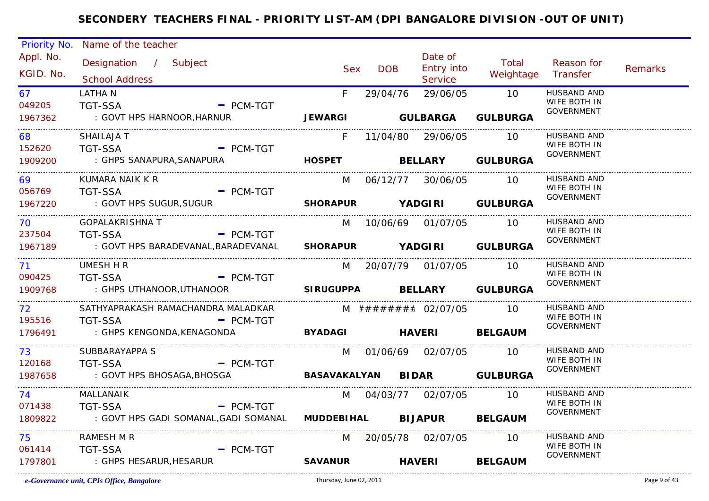| Priority No. | Name of the teacher                                              |                            |            |                        |                           |                                   |                |
|--------------|------------------------------------------------------------------|----------------------------|------------|------------------------|---------------------------|-----------------------------------|----------------|
| Appl. No.    | Designation / Subject                                            |                            |            | Date of                | Total                     | Reason for                        |                |
| KGID. No.    |                                                                  | <b>Sex</b>                 | <b>DOB</b> | Entry into             | Weightage Transfer        |                                   | <b>Remarks</b> |
|              | <b>School Address</b>                                            |                            |            | Service                |                           |                                   |                |
| 67           | <b>LATHAN</b>                                                    | $F =$                      | 29/04/76   |                        | 29/06/05 10               | HUSBAND AND<br>WIFE BOTH IN       |                |
| 049205       | <b>TGT-SSA</b><br>$-$ PCM-TGT                                    |                            |            |                        |                           | <b>GOVERNMENT</b>                 |                |
| 1967362      | : GOVT HPS HARNOOR, HARNUR                                       |                            |            |                        | JEWARGI GULBARGA GULBURGA |                                   |                |
| 68 —         | SHAILAJA T                                                       | F.                         |            | 11/04/80 29/06/05 10   |                           | <b>HUSBAND AND</b>                |                |
| 152620       | <b>TGT-SSA</b><br>$=$ PCM-TGT                                    |                            |            |                        |                           | WIFE BOTH IN                      |                |
| 1909200      | : GHPS SANAPURA, SANAPURA                                        | HOSPET BELLARY GULBURGA    |            |                        |                           | <b>GOVERNMENT</b>                 |                |
| 69           | KUMARA NAIK K R                                                  | M                          |            | 06/12/77 30/06/05 10   |                           | HUSBAND AND                       |                |
| 056769       | TGT-SSA PCM-TGT                                                  |                            |            |                        |                           | WIFE BOTH IN<br>GOVERNMENT        |                |
| 1967220      | : GOVT HPS SUGUR, SUGUR                                          | SHORAPUR YADGIRI GULBURGA  |            |                        |                           |                                   |                |
| 70 — 10      | <b>GOPALAKRISHNA T</b>                                           |                            |            | M 10/06/69 01/07/05 10 |                           | HUSBAND AND                       |                |
| 237504       | - PCM-TGT<br>TGT-SSA                                             |                            |            |                        |                           | WIFE BOTH IN<br><b>GOVERNMENT</b> |                |
| 1967189      | : GOVT HPS BARADEVANAL, BARADEVANAL SHORAPUR YADGIRI GULBURGA    |                            |            |                        |                           |                                   |                |
| 71           | UMESH H R                                                        |                            |            | M 20/07/79 01/07/05 10 |                           | HUSBAND AND                       |                |
| 090425       | <b>TGT-SSA</b><br>$-$ PCM-TGT                                    |                            |            |                        |                           | WIFE BOTH IN<br><b>GOVERNMENT</b> |                |
| 1909768      | : GHPS UTHANOOR,UTHANOOR                                         | SIRUGUPPA BELLARY GULBURGA |            |                        |                           |                                   |                |
| 72           | SATHYAPRAKASH RAMACHANDRA MALADKAR                               |                            |            |                        |                           | HUSBAND AND                       |                |
| 195516       | <b>TGT-SSA</b><br>$-$ PCM-TGT                                    |                            |            |                        |                           | WIFE BOTH IN<br>GOVERNMENT        |                |
| 1796491      | : GHPS KENGONDA, KENAGONDA                                       | BYADAGI HAVERI BELGAUM     |            |                        |                           |                                   |                |
| 73.          | SUBBARAYAPPA S                                                   |                            |            | M 01/06/69 02/07/05 10 |                           | HUSBAND AND                       |                |
| 120168       | $\overline{\phantom{a}}$ PCM-TGT<br><b>TGT-SSA</b>               |                            |            |                        |                           | WIFE BOTH IN<br><b>GOVERNMENT</b> |                |
| 1987658      | : GOVT HPS BHOSAGA, BHOSGA <b>BASAVAKALYAN BIDAR GULBURGA</b>    |                            |            |                        |                           |                                   |                |
| 74 —         | MALLANAIK                                                        |                            |            | M 04/03/77 02/07/05 10 |                           | HUSBAND AND                       |                |
| 071438       | - PCM-TGT<br><b>TGT-SSA</b>                                      |                            |            |                        |                           | WIFE BOTH IN<br><b>GOVERNMENT</b> |                |
| 1809822      | : GOVT HPS GADI SOMANAL, GADI SOMANAL MUDDEBIHAL BIJAPUR BELGAUM |                            |            |                        |                           |                                   |                |
| 75           | RAMESH M R                                                       |                            |            | M 20/05/78 02/07/05 10 |                           | HUSBAND AND                       |                |
| 061414       | <b>TGT-SSA</b><br>$-$ PCM-TGT                                    |                            |            |                        |                           | WIFE BOTH IN<br>GOVERNMENT        |                |
| 1797801      | : GHPS HESARUR, HESARUR                                          | <b>SAVANUR</b>             |            |                        | HAVERI BELGAUM            |                                   |                |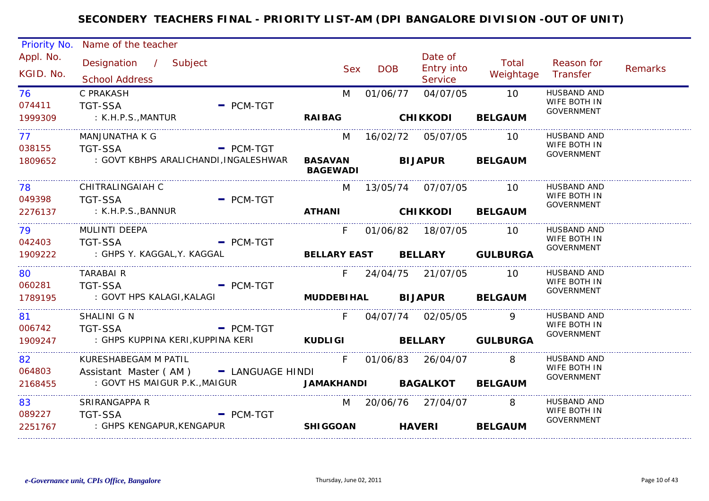| Priority No.           | Name of the teacher                                                    |             |                                   |            |                                         |                    |                                           |                |
|------------------------|------------------------------------------------------------------------|-------------|-----------------------------------|------------|-----------------------------------------|--------------------|-------------------------------------------|----------------|
| Appl. No.<br>KGID. No. | Designation / Subject<br><b>School Address</b>                         |             | <b>Sex</b>                        | <b>DOB</b> | Date of<br><b>Entry into</b><br>Service | Total<br>Weightage | Reason for<br>Transfer                    | <b>Remarks</b> |
| 76 —<br>074411         | C PRAKASH<br><b>TGT-SSA</b>                                            | $=$ PCM-TGT | M                                 | 01/06/77   | 04/07/05                                | 10                 | HUSBAND AND<br>WIFE BOTH IN<br>GOVERNMENT |                |
| 1999309                | : K.H.P.S.,MANTUR                                                      |             | <b>RAIBAG</b>                     |            | <b>CHIKKODI</b>                         | <b>BELGAUM</b>     |                                           |                |
| 77 —<br>038155         | <b>MANJUNATHA K G</b><br>$\blacksquare$ PCM-TGT<br>TGT-SSA             |             | M                                 |            | 16/02/72  05/07/05                      | 10                 | <b>HUSBAND AND</b><br>WIFE BOTH IN        |                |
| 1809652                | : GOVT KBHPS ARALICHANDI, INGALESHWAR                                  |             | <b>BASAVAN</b><br><b>BAGEWADI</b> |            | <b>BIJAPUR</b>                          | <b>BELGAUM</b>     | GOVERNMENT                                |                |
| 78 — 1<br>049398       | CHITRALINGAIAH C<br><b>TGT-SSA</b>                                     | $-$ PCM-TGT |                                   |            | M 13/05/74 07/07/05 10                  |                    | HUSBAND AND<br>WIFE BOTH IN               |                |
| 2276137                | : K.H.P.S.,BANNUR                                                      |             |                                   |            | ATHANI CHIKKODI BELGAUM                 |                    | <b>GOVERNMENT</b>                         |                |
| 79 — 10<br>042403      | MULINTI DEEPA<br>- PCM-TGT<br><b>TGT-SSA</b>                           |             | $F =$                             |            | 01/06/82 18/07/05 10                    |                    | <b>HUSBAND AND</b><br>WIFE BOTH IN        |                |
| 1909222                | : GHPS Y. KAGGAL, Y. KAGGAL <b>BELLARY EAST BELLARY GULBURGA</b>       |             |                                   |            |                                         |                    | GOVERNMENT                                |                |
| 80                     | <b>TARABAIR</b>                                                        |             |                                   |            | F 24/04/75 21/07/05 10                  |                    | <b>HUSBAND AND</b><br>WIFE BOTH IN        |                |
| 060281<br>1789195      | <b>TGT-SSA</b><br><b>Example 2 PCM-TGT</b>                             |             |                                   |            |                                         |                    | GOVERNMENT                                |                |
| 81 — 18<br>006742      | SHALINI G N<br>$\overline{\phantom{a}}$ PCM-TGT<br><b>TGT-SSA</b>      |             | $F =$                             |            | 04/07/74 02/05/05                       | $\overline{9}$     | <b>HUSBAND AND</b><br>WIFE BOTH IN        |                |
| 1909247                |                                                                        |             |                                   |            |                                         |                    | GOVERNMENT                                |                |
| 82                     | KURESHABEGAM M PATIL                                                   |             | F                                 |            | 01/06/83 26/04/07 8                     |                    | <b>HUSBAND AND</b><br>WIFE BOTH IN        |                |
| 064803<br>2168455      | Assistant Master (AM) - LANGUAGE HINDI<br>: GOVT HS MAIGUR P.K.,MAIGUR |             | JAMAKHANDI BAGALKOT BELGAUM       |            |                                         |                    | GOVERNMENT                                |                |
| 83<br>089227           | SRIRANGAPPA R                                                          |             |                                   |            | M 20/06/76 27/04/07 8                   |                    | HUSBAND AND<br>WIFE BOTH IN               |                |
| 2251767                | $-$ PCM-TGT<br><b>TGT-SSA</b><br>: GHPS KENGAPUR, KENGAPUR             |             | <b>SHIGGOAN</b>                   |            | <b>HAVERI</b>                           | <b>BELGAUM</b>     | GOVERNMENT                                |                |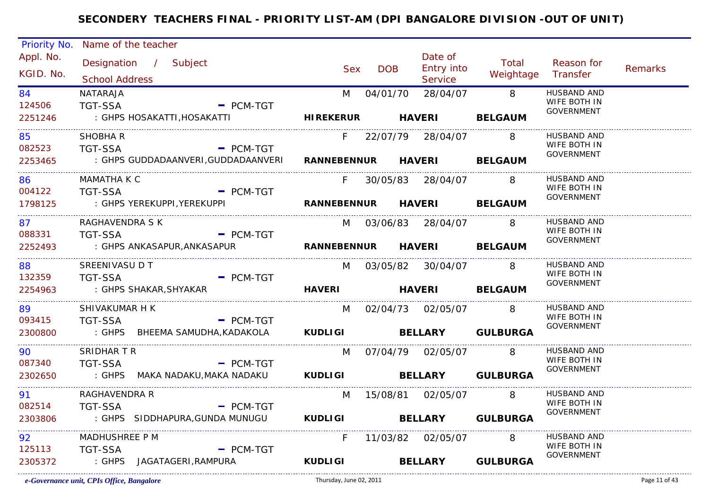| Priority No.                    | Name of the teacher                                                                            |                            |                       |                     |                         |                                    |                |
|---------------------------------|------------------------------------------------------------------------------------------------|----------------------------|-----------------------|---------------------|-------------------------|------------------------------------|----------------|
| Appl. No.                       | Designation / Subject                                                                          |                            |                       | Date of             | Total                   | Reason for                         |                |
| KGID. No.                       | <b>School Address</b>                                                                          | <b>Sex</b>                 | <b>DOB</b>            | Entry into          | Weightage               | Transfer                           | <b>Remarks</b> |
|                                 |                                                                                                |                            |                       | <b>Service</b>      |                         |                                    |                |
| 84<br>124506                    | NATARAJA<br><b>TGT-SSA</b><br>$=$ PCM-TGT                                                      | M                          | 04/01/70              | 28/04/07            | $\overline{\mathbf{8}}$ | <b>HUSBAND AND</b><br>WIFE BOTH IN |                |
| 2251246                         | : GHPS HOSAKATTI,HOSAKATTI                                                                     | <b>HIREKERUR</b> HAVERI    |                       |                     | <b>BELGAUM</b>          | GOVERNMENT                         |                |
|                                 |                                                                                                |                            |                       |                     |                         |                                    |                |
| 85                              | SHOBHA R                                                                                       | F.                         |                       | 22/07/79 28/04/07   | -8                      | <b>HUSBAND AND</b>                 |                |
| 082523                          | TGT-SSA<br>$-$ PCM-TGT                                                                         |                            |                       |                     |                         | WIFE BOTH IN<br>GOVERNMENT         |                |
| 2253465<br>____________________ | : GHPS GUDDADAANVERI, GUDDADAANVERI RANNEBENNUR HAVERI BELGAUM                                 |                            |                       |                     |                         |                                    |                |
| 86.                             | MAMATHA K C                                                                                    | F.                         |                       | 30/05/83 28/04/07   | -8                      | HUSBAND AND                        |                |
| 004122                          | <b>TGT-SSA</b><br><b>Example 2 PCM-TGT</b>                                                     |                            |                       |                     |                         | WIFE BOTH IN<br><b>GOVERNMENT</b>  |                |
| 1798125                         | : GHPS YEREKUPPI, YEREKUPPI                         RANNEBENNUR       HAVERI           BELGAUM |                            |                       |                     |                         |                                    |                |
| 87 — 18                         | RAGHAVENDRA S K                                                                                |                            | M 03/06/83 28/04/07 8 |                     |                         | <b>HUSBAND AND</b>                 |                |
| 088331                          | <b>Example 2018 PCM-TGT</b><br><b>TGT-SSA</b>                                                  |                            |                       |                     |                         | WIFE BOTH IN                       |                |
| 2252493                         | : GHPS ANKASAPUR,ANKASAPUR                                                                     | RANNEBENNUR HAVERI BELGAUM |                       |                     |                         | <b>GOVERNMENT</b>                  |                |
| 88                              | SREENIVASU D T                                                                                 |                            | M 03/05/82 30/04/07   |                     | 8                       | HUSBAND AND                        |                |
| 132359                          | <b>TGT-SSA</b><br>$-$ PCM-TGT                                                                  |                            |                       |                     |                         | WIFE BOTH IN                       |                |
| 2254963                         | : GHPS SHAKAR, SHYAKAR                                                                         | HAVERI HAVERI BELGAUM      |                       |                     |                         | <b>GOVERNMENT</b>                  |                |
| 89                              | SHIVAKUMAR H K                                                                                 |                            | M 02/04/73 02/05/07 8 |                     |                         | HUSBAND AND                        |                |
| 093415                          | <b>TGT-SSA</b><br>$-$ PCM-TGT                                                                  |                            |                       |                     |                         | WIFE BOTH IN                       |                |
| 2300800                         | : GHPS BHEEMA SAMUDHA, KADAKOLA KUDLIGI BELLARY GULBURGA                                       |                            |                       |                     |                         | <b>GOVERNMENT</b>                  |                |
| 90                              | SRIDHAR T R                                                                                    | M                          |                       | 07/04/79 02/05/07 8 |                         | <b>HUSBAND AND</b>                 |                |
| 087340                          | <b>TGT-SSA</b><br>$-$ PCM-TGT                                                                  |                            |                       |                     |                         | WIFE BOTH IN                       |                |
| 2302650                         | : GHPS MAKA NADAKU,MAKA NADAKU                                                                 | KUDLIGI BELLARY GULBURGA   |                       |                     |                         | <b>GOVERNMENT</b>                  |                |
| 91                              | RAGHAVENDRA R                                                                                  |                            | M 15/08/81 02/05/07 8 |                     |                         | HUSBAND AND                        |                |
| 082514                          | $-$ PCM-TGT<br><b>TGT-SSA</b>                                                                  |                            |                       |                     |                         | WIFE BOTH IN                       |                |
| 2303806                         | : GHPS SIDDHAPURA, GUNDA MUNUGU KUDLIGI BELLARY GULBURGA                                       |                            |                       |                     |                         | <b>GOVERNMENT</b>                  |                |
|                                 |                                                                                                |                            |                       |                     |                         |                                    |                |
| 92                              | MADHUSHREE P M                                                                                 | F                          |                       | 11/03/82  02/05/07  | 8                       | HUSBAND AND<br>WIFE BOTH IN        |                |
| 125113                          | <b>TGT-SSA</b><br>$-$ PCM-TGT                                                                  |                            |                       |                     |                         | <b>GOVERNMENT</b>                  |                |
| 2305372                         | : GHPS JAGATAGERI, RAMPURA                                                                     | <b>KUDLIGI</b>             |                       | <b>BELLARY</b>      | <b>GULBURGA</b>         |                                    |                |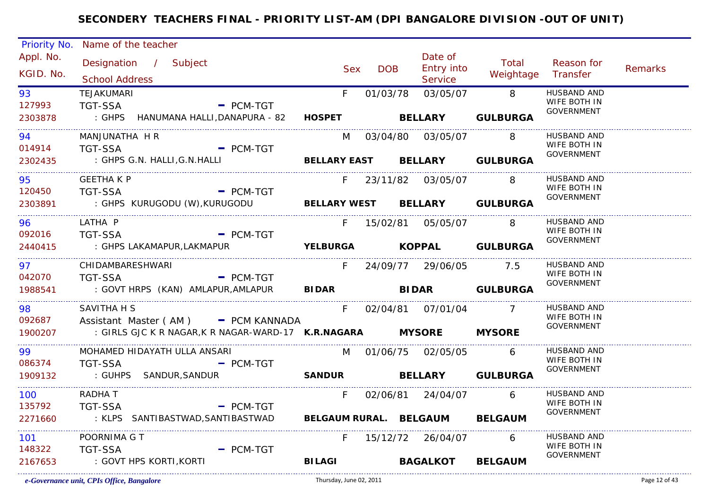| Priority No.   | Name of the teacher                                                                           |               |            |                               |                          |                                   |                |
|----------------|-----------------------------------------------------------------------------------------------|---------------|------------|-------------------------------|--------------------------|-----------------------------------|----------------|
| Appl. No.      | Designation / Subject                                                                         |               |            | Date of                       | Total                    | Reason for                        |                |
| KGID. No.      |                                                                                               | <b>Sex</b>    | <b>DOB</b> | <b>Entry into</b>             | Weightage Transfer       |                                   | <b>Remarks</b> |
|                | <b>School Address</b>                                                                         |               |            | Service                       |                          |                                   |                |
| 93             | TEJAKUMARI                                                                                    | $F =$         | 01/03/78   | 03/05/07 8                    |                          | HUSBAND AND<br>WIFE BOTH IN       |                |
| 127993         | <b>TGT-SSA</b><br>$=$ PCM-TGT<br>: GHPS HANUMANA HALLI, DANAPURA - 82 HOSPET BELLARY GULBURGA |               |            |                               |                          | GOVERNMENT                        |                |
| 2303878        |                                                                                               |               |            |                               |                          |                                   |                |
| 94 — 1         | MANJUNATHA H R                                                                                |               |            | M 03/04/80 03/05/07 8         |                          | <b>HUSBAND AND</b>                |                |
| 014914         | <b>TGT-SSA</b><br>- PCM-TGT                                                                   |               |            |                               |                          | WIFE BOTH IN<br><b>GOVERNMENT</b> |                |
| 2302435<br>.   | : GHPS G.N. HALLI,G.N.HALLI                                                                   |               |            | BELLARY EAST BELLARY GULBURGA |                          |                                   |                |
| 95             | <b>GEETHA K P</b>                                                                             |               |            | F 23/11/82 03/05/07           | <b>8</b>                 | HUSBAND AND                       |                |
| 120450         | TGT-SSA - PCM-TGT                                                                             |               |            |                               |                          | WIFE BOTH IN<br><b>GOVERNMENT</b> |                |
| 2303891        | : GHPS KURUGODU (W), KURUGODU BELLARY WEST BELLARY GULBURGA                                   |               |            |                               |                          |                                   |                |
| 96 — 10        | LATHA P                                                                                       |               |            | F 15/02/81 05/05/07 8         |                          | <b>HUSBAND AND</b>                |                |
| 092016         | - PCM-TGT<br><b>TGT-SSA</b>                                                                   |               |            |                               |                          | WIFE BOTH IN<br><b>GOVERNMENT</b> |                |
| 2440415        | : GHPS LAKAMAPUR,LAKMAPUR                                                                     |               |            |                               | YELBURGA KOPPAL GULBURGA |                                   |                |
| 97             | CHIDAMBARESHWARI                                                                              |               |            | F 24/09/77 29/06/05 7.5       |                          | HUSBAND AND                       |                |
| 042070 TGT-SSA | $\overline{\phantom{a}}$ PCM-TGT                                                              |               |            |                               |                          | WIFE BOTH IN<br><b>GOVERNMENT</b> |                |
|                | 1988541 : GOVT HRPS (KAN) AMLAPUR, AMLAPUR BIDAR BIDAR BIDAR GULBURGA                         |               |            |                               |                          |                                   |                |
| 98             | SAVITHA H S                                                                                   | $F =$         |            | 02/04/81  07/01/04            | $\overline{7}$           | HUSBAND AND                       |                |
| 092687         | Assistant Master (AM) - PCM KANNADA                                                           |               |            |                               |                          | WIFE BOTH IN<br>GOVERNMENT        |                |
| 1900207        | : GIRLS GJC K R NAGAR, K R NAGAR-WARD-17 K.R.NAGARA MYSORE MYSORE                             |               |            |                               |                          |                                   |                |
| 99 7           | MOHAMED HIDAYATH ULLA ANSARI                                                                  |               |            | M 01/06/75 02/05/05 6         |                          | HUSBAND AND                       |                |
| 086374         | TGT-SSA PCM-TGT                                                                               |               |            |                               |                          | WIFE BOTH IN<br><b>GOVERNMENT</b> |                |
| 1909132        | : GUHPS SANDUR, SANDUR                                                                        |               |            |                               | SANDUR BELLARY GULBURGA  |                                   |                |
| 100            | RADHA T                                                                                       | F             |            | 02/06/81 24/04/07 6           |                          | HUSBAND AND                       |                |
| 135792         | - PCM-TGT<br><b>TGT-SSA</b>                                                                   |               |            |                               |                          | WIFE BOTH IN<br><b>GOVERNMENT</b> |                |
| 2271660        | : KLPS SANTIBASTWAD, SANTIBASTWAD BELGAUM RURAL. BELGAUM BELGAUM                              |               |            |                               |                          |                                   |                |
| 101            | POORNIMA G T                                                                                  | F.            |            | 15/12/72 26/04/07             | $6\overline{6}$          | HUSBAND AND                       |                |
| 148322         | <b>TGT-SSA</b><br>$=$ PCM-TGT                                                                 |               |            |                               |                          | WIFE BOTH IN<br><b>GOVERNMENT</b> |                |
| 2167653        | : GOVT HPS KORTI,KORTI                                                                        | <b>BILAGI</b> |            | <b>BAGALKOT</b>               | <b>BELGAUM</b>           |                                   |                |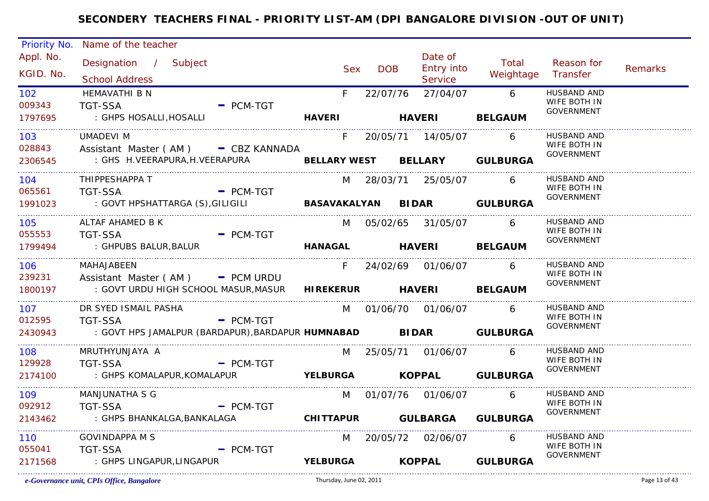| Priority No.     | Name of the teacher                                                                                        |                          |                 |            |                        |                             |                                    |         |
|------------------|------------------------------------------------------------------------------------------------------------|--------------------------|-----------------|------------|------------------------|-----------------------------|------------------------------------|---------|
| Appl. No.        | Designation / Subject                                                                                      |                          |                 |            | Date of                | Total                       | Reason for                         |         |
| KGID. No.        |                                                                                                            |                          | Sex             | <b>DOB</b> | <b>Entry into</b>      | Weightage Transfer          |                                    | Remarks |
|                  | <b>School Address</b>                                                                                      |                          |                 |            | Service                |                             |                                    |         |
| 102 <sub>2</sub> | <b>HEMAVATHI B N</b>                                                                                       |                          | F               |            | 22/07/76 27/04/07 6    |                             | <b>HUSBAND AND</b><br>WIFE BOTH IN |         |
| 009343           | <b>TGT-SSA</b>                                                                                             | $-$ PCM-TGT              |                 |            |                        |                             | GOVERNMENT                         |         |
| 1797695          | : GHPS HOSALLI,HOSALLI                                                                                     |                          |                 |            | HAVERI HAVERI          | <b>BELGAUM</b>              |                                    |         |
| 103 —            | <b>UMADEVI M</b>                                                                                           |                          | F.              |            | 20/05/71  14/05/07     | 6                           | <b>HUSBAND AND</b>                 |         |
| 028843           | Assistant Master (AM) - CBZ KANNADA                                                                        |                          |                 |            |                        |                             | WIFE BOTH IN<br><b>GOVERNMENT</b>  |         |
| 2306545          | : GHS H.VEERAPURA, H.VEERAPURA <b>BELLARY WEST BELLARY GULBURGA</b>                                        |                          |                 |            |                        |                             |                                    |         |
| 104              | THIPPESHAPPA T                                                                                             |                          |                 |            | M 28/03/71 25/05/07 6  |                             | <b>HUSBAND AND</b>                 |         |
| 065561           | <b>TGT-SSA</b><br>$\blacksquare$ PCM-TGT                                                                   |                          |                 |            |                        |                             | WIFE BOTH IN<br>GOVERNMENT         |         |
| 1991023          | : GOVT HPSHATTARGA (S), GILIGILI                       BASAVAKALYAN       BIDAR                   GULBURGA |                          |                 |            |                        |                             |                                    |         |
| 105              | ALTAF AHAMED B K                                                                                           |                          |                 |            | M 05/02/65 31/05/07 6  |                             | HUSBAND AND                        |         |
| 055553           | <b>TGT-SSA</b>                                                                                             | $-$ PCM-TGT              |                 |            |                        |                             | WIFE BOTH IN<br><b>GOVERNMENT</b>  |         |
| 1799494          | : GHPUBS BALUR, BALUR                                                                                      |                          |                 |            | HANAGAL HAVERI BELGAUM |                             |                                    |         |
| 106 —            | MAHAJABEEN                                                                                                 |                          |                 |            | F 24/02/69 01/06/07 6  |                             | HUSBAND AND                        |         |
| 239231           | Assistant Master ( $AM$ ) $-$ PCM URDU                                                                     |                          |                 |            |                        |                             | WIFE BOTH IN<br><b>GOVERNMENT</b>  |         |
| 1800197          | : GOVT URDU HIGH SCHOOL MASUR, MASUR HIREKERUR HAVERI BELGAUM                                              |                          |                 |            |                        |                             |                                    |         |
| 107              | DR SYED ISMAIL PASHA                                                                                       |                          |                 |            | M 01/06/70 01/06/07    | 6                           | HUSBAND AND                        |         |
| 012595           | <b>TGT-SSA</b>                                                                                             | $-$ PCM-TGT              |                 |            |                        |                             | WIFE BOTH IN<br>GOVERNMENT         |         |
| 2430943          | : GOVT HPS JAMALPUR (BARDAPUR), BARDAPUR HUMNABAD BIDAR GULBURGA                                           |                          |                 |            |                        |                             |                                    |         |
| 108              | MRUTHYUNJAYA A                                                                                             |                          |                 |            | M 25/05/71 01/06/07 6  |                             | HUSBAND AND                        |         |
| 129928           | <b>TGT-SSA</b><br>$\blacksquare$ PCM-TGT                                                                   |                          |                 |            |                        |                             | WIFE BOTH IN<br>GOVERNMENT         |         |
| 2174100          | : GHPS KOMALAPUR,KOMALAPUR                                                                                 | YELBURGA KOPPAL GULBURGA |                 |            |                        |                             |                                    |         |
| 109              | MANJUNATHA S G                                                                                             |                          |                 |            | M 01/07/76 01/06/07    | 6                           | HUSBAND AND                        |         |
| 092912           | <b>TGT-SSA</b>                                                                                             | $-$ PCM-TGT              |                 |            |                        |                             | WIFE BOTH IN<br><b>GOVERNMENT</b>  |         |
| 2143462          | : GHPS BHANKALGA, BANKALAGA                                                                                |                          |                 |            |                        | CHITTAPUR GULBARGA GULBURGA |                                    |         |
| 110              | <b>GOVINDAPPA M S</b>                                                                                      |                          |                 |            | M 20/05/72 02/06/07 6  |                             | HUSBAND AND                        |         |
| 055041           | <b>TGT-SSA</b>                                                                                             | $-$ PCM-TGT              |                 |            |                        |                             | WIFE BOTH IN<br><b>GOVERNMENT</b>  |         |
| 2171568          | : GHPS LINGAPUR,LINGAPUR                                                                                   |                          | <b>YELBURGA</b> |            |                        | KOPPAL GULBURGA             |                                    |         |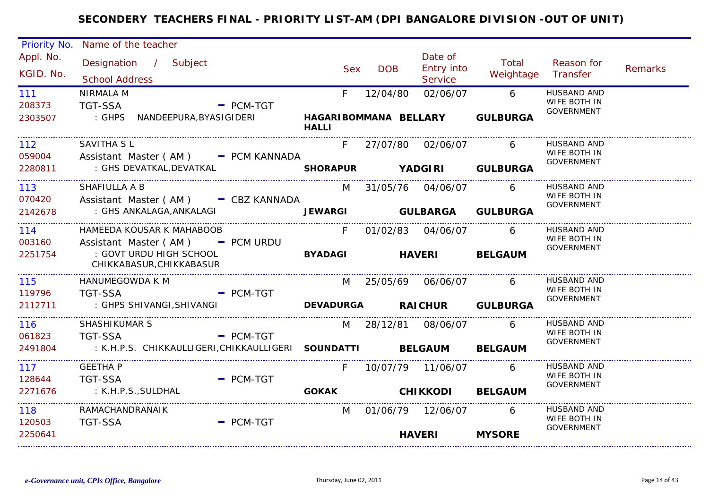|                                                  | Priority No. Name of the teacher                                                                                         |                   |                                                |                                         |                                    |                                                         |                |
|--------------------------------------------------|--------------------------------------------------------------------------------------------------------------------------|-------------------|------------------------------------------------|-----------------------------------------|------------------------------------|---------------------------------------------------------|----------------|
| Appl. No.<br>KGID. No.                           | Designation / Subject<br><b>School Address</b>                                                                           | <b>Sex</b>        | <b>DOB</b>                                     | Date of<br><b>Entry into</b><br>Service | Total<br>Weightage                 | Reason for<br>Transfer                                  | <b>Remarks</b> |
| 111<br>208373<br>2303507                         | NIRMALA M<br>TGT-SSA<br>$-$ PCM-TGT                                                                                      | F<br><b>HALLI</b> | 12/04/80<br>HAGARIBOMMANA BELLARY              | 02/06/07                                | $6\overline{6}$<br><b>GULBURGA</b> | HUSBAND AND<br>WIFE BOTH IN<br><b>GOVERNMENT</b>        |                |
| 112<br>059004<br>2280811                         | <b>SAVITHA SL</b><br>Assistant Master $(AM)$ $=$ PCM KANNADA<br>: GHS DEVATKAL,DEVATKAL                                  |                   | F 27/07/80 02/06/07                            |                                         | 6<br>SHORAPUR YADGIRI GULBURGA     | <b>HUSBAND AND</b><br>WIFE BOTH IN<br><b>GOVERNMENT</b> |                |
| 113 —<br>070420<br>2142678                       | SHAFIULLA A B<br>Assistant Master (AM) - CBZ KANNADA<br>: GHS ANKALAGA,ANKALAGI                                          |                   | M 31/05/76 04/06/07                            |                                         | 6<br>JEWARGI GULBARGA GULBURGA     | HUSBAND AND<br>WIFE BOTH IN<br>GOVERNMENT               |                |
| 114<br>003160<br>2251754<br>.                    | HAMEEDA KOUSAR K MAHABOOB<br>Assistant Master ( $AM$ ) - PCM URDU<br>: GOVT URDU HIGH SCHOOL<br>CHIKKABASUR, CHIKKABASUR | <b>BYADAGI</b>    | F 01/02/83 04/06/07 6<br><b>HAVERI BELGAUM</b> |                                         |                                    | <b>HUSBAND AND</b><br>WIFE BOTH IN<br><b>GOVERNMENT</b> |                |
| 115<br>119796<br>2112711                         | HANUMEGOWDA K M<br>$-$ PCM-TGT<br><b>TGT-SSA</b><br>: GHPS SHIVANGI,SHIVANGI                                             |                   | M 25/05/69 06/06/07                            |                                         | 6<br>DEVADURGA RAICHUR GULBURGA    | <b>HUSBAND AND</b><br>WIFE BOTH IN<br><b>GOVERNMENT</b> |                |
| 116<br>061823<br>2491804                         | <b>SHASHIKUMAR S</b><br>- PCM-TGT<br><b>TGT-SSA</b><br>: K.H.P.S. CHIKKAULLIGERI, CHIKKAULLIGERI SOUNDATTI BELGAUM       |                   | M 28/12/81 08/06/07                            |                                         | 6<br><b>BELGAUM</b>                | <b>HUSBAND AND</b><br>WIFE BOTH IN<br><b>GOVERNMENT</b> |                |
| 117<br>128644<br>2271676<br>____________________ | <b>GEETHA P</b><br><b>TGT-SSA</b><br>$-$ PCM-TGT<br>: K.H.P.S.,SULDHAL                                                   | F.                | GOKAK CHIKKODI                                 | 10/07/79  11/06/07                      | 6<br><b>BELGAUM</b>                | HUSBAND AND<br>WIFE BOTH IN<br>GOVERNMENT               |                |
| 118<br>120503<br>2250641                         | RAMACHANDRANAIK<br><b>TGT-SSA</b><br>$=$ PCM-TGT                                                                         | M                 |                                                | 01/06/79 12/06/07<br><b>HAVERI</b>      | 6<br><b>MYSORE</b>                 | HUSBAND AND<br>WIFE BOTH IN<br>GOVERNMENT               |                |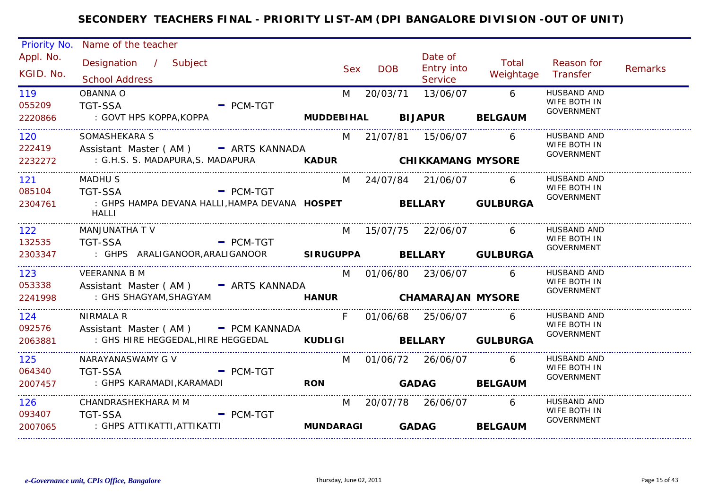|                                   | Priority No. Name of the teacher                                                                          |            |            |                                         |                      |                                                  |         |
|-----------------------------------|-----------------------------------------------------------------------------------------------------------|------------|------------|-----------------------------------------|----------------------|--------------------------------------------------|---------|
| Appl. No.<br>KGID. No.            | Designation / Subject<br><b>School Address</b>                                                            | Sex        | <b>DOB</b> | Date of<br><b>Entry into</b><br>Service | Total<br>Weightage   | Reason for<br>Transfer                           | Remarks |
| 119<br>055209<br>2220866          | <b>OBANNA O</b><br><b>TGT-SSA</b><br>$-$ PCM-TGT<br>: GOVT HPS KOPPA, KOPPA<br>MUDDEBIHAL BIJAPUR BELGAUM | M          | 20/03/71   | 13/06/07                                | 6 <sup>6</sup>       | HUSBAND AND<br>WIFE BOTH IN<br><b>GOVERNMENT</b> |         |
|                                   |                                                                                                           |            |            |                                         |                      |                                                  |         |
| 120<br>222419                     | SOMASHEKARA S<br>Assistant Master (AM) - ARTS KANNADA                                                     |            |            | M 21/07/81 15/06/07 6                   |                      | HUSBAND AND<br>WIFE BOTH IN                      |         |
| 2232272                           | : G.H.S. S. MADAPURA, S. MADAPURA <b>KADUR CHIKKAMANG MYSORE</b>                                          |            |            |                                         |                      | GOVERNMENT                                       |         |
| 121<br>085104                     | MADHU S<br>TGT-SSA<br>$=$ PCM-TGT                                                                         |            |            | M 24/07/84 21/06/07 6                   |                      | HUSBAND AND<br>WIFE BOTH IN                      |         |
| 2304761<br>______________________ | : GHPS HAMPA DEVANA HALLI, HAMPA DEVANA HOSPET BELLARY GULBURGA<br>HALLI                                  |            |            |                                         |                      | GOVERNMENT                                       |         |
| 122                               | MANJUNATHA T V                                                                                            |            |            | M 15/07/75 22/06/07                     | 6                    | HUSBAND AND<br>WIFE BOTH IN                      |         |
| 132535<br>2303347                 | $\overline{\phantom{a}}$ PCM-TGT<br>TGT-SSA<br>: GHPS ARALIGANOOR, ARALIGANOOR SIRUGUPPA BELLARY GULBURGA |            |            |                                         |                      | <b>GOVERNMENT</b>                                |         |
| 123<br>053338                     | <b>VEERANNA B M</b><br>Assistant Master (AM) - ARTS KANNADA                                               |            |            | M 01/06/80 23/06/07 6                   |                      | HUSBAND AND<br>WIFE BOTH IN                      |         |
| 2241998                           | HANUR CHAMARAJAN MYSORE<br>: GHS SHAGYAM,SHAGYAM                                                          |            |            |                                         |                      | <b>GOVERNMENT</b>                                |         |
| 124<br>092576                     | <b>NIRMALA R</b><br>Assistant Master (AM) - PCM KANNADA                                                   | $F =$      |            | 01/06/68 25/06/07 6                     |                      | <b>HUSBAND AND</b><br>WIFE BOTH IN               |         |
| 2063881                           | : GHS HIRE HEGGEDAL, HIRE HEGGEDAL <b>KUDLIGI BELLARY GULBURGA</b>                                        |            |            |                                         |                      | GOVERNMENT                                       |         |
| 125                               | NARAYANASWAMY G V                                                                                         |            |            | M 01/06/72 26/06/07                     | $6\overline{6}$      | HUSBAND AND<br>WIFE BOTH IN                      |         |
| 064340<br>2007457                 | <b>Example 2</b> PCM-TGT<br><b>TGT-SSA</b><br>: GHPS KARAMADI, KARAMADI                                   | <b>RON</b> |            |                                         | <b>GADAG BELGAUM</b> | GOVERNMENT                                       |         |
| 126<br>093407                     | CHANDRASHEKHARA M M<br><b>TGT-SSA</b><br>$=$ PCM-TGT                                                      |            |            | M 20/07/78 26/06/07 6                   |                      | HUSBAND AND<br>WIFE BOTH IN                      |         |
| 2007065                           | : GHPS ATTIKATTI,ATTIKATTI                                                                                | MUNDARAGI  |            | <b>GADAG</b>                            | <b>BELGAUM</b>       | <b>GOVERNMENT</b>                                |         |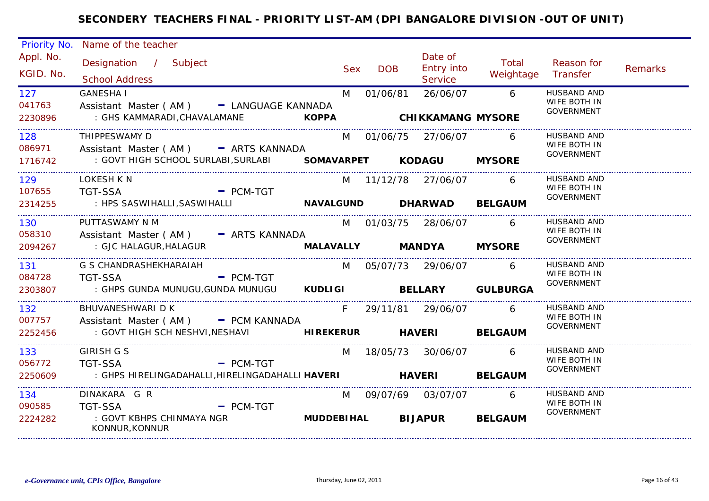| Priority No.             | Name of the teacher                                                                                                                                     |                                   |            |                                         |                               |                                                         |         |
|--------------------------|---------------------------------------------------------------------------------------------------------------------------------------------------------|-----------------------------------|------------|-----------------------------------------|-------------------------------|---------------------------------------------------------|---------|
| Appl. No.<br>KGID. No.   | Designation / Subject<br><b>School Address</b>                                                                                                          | <b>Sex</b>                        | <b>DOB</b> | Date of<br>Entry into<br><b>Service</b> | Total<br>Weightage            | Reason for<br>Transfer                                  | Remarks |
| 127<br>041763<br>2230896 | <b>GANESHA I</b><br>Assistant Master (AM) - LANGUAGE KANNADA<br>: GHS KAMMARADI,CHAVALAMANE                                                             | M<br><b>Example 25 KOPPA</b>      | 01/06/81   | 26/06/07<br><b>CHIKKAMANG MYSORE</b>    | $6\overline{6}$               | HUSBAND AND<br>WIFE BOTH IN<br>GOVERNMENT               |         |
| 128<br>086971<br>1716742 | THIPPESWAMY D<br>Assistant Master (AM) - ARTS KANNADA<br>: GOVT HIGH SCHOOL SURLABI, SURLABI SOMAVARPET KODAGU                                          |                                   |            | M 01/06/75 27/06/07                     | 6<br><b>MYSORE</b>            | <b>HUSBAND AND</b><br>WIFE BOTH IN<br>GOVERNMENT        |         |
| 129<br>107655<br>2314255 | LOKESH K N<br>TGT-SSA PCM-TGT<br>: HPS SASWIHALLI, SASWIHALLI                                                                                           | NAVALGUND DHARWAD BELGAUM         |            | M 11/12/78 27/06/07                     | 6                             | HUSBAND AND<br>WIFE BOTH IN<br>GOVERNMENT               |         |
| 130<br>058310<br>2094267 | PUTTASWAMY N M<br>Assistant Master (AM) - ARTS KANNADA<br>: GJC HALAGUR, HALAGUR                                                                        | MALAVALLY MANDYA                  |            | M 01/03/75 28/06/07 6                   | <b>MYSORE</b>                 | HUSBAND AND<br>WIFE BOTH IN<br>GOVERNMENT               |         |
| 131<br>084728<br>2303807 | G S CHANDRASHEKHARAIAH<br><b>TGT-SSA</b><br>$=$ PCM-TGT<br>: GHPS GUNDA MUNUGU,GUNDA MUNUGU                                                             |                                   |            | M 05/07/73 29/06/07                     | 6<br>KUDLIGI BELLARY GULBURGA | HUSBAND AND<br>WIFE BOTH IN<br>GOVERNMENT               |         |
| 132<br>007757<br>2252456 | <b>BHUVANESHWARI D K</b><br>Assistant Master (AM) - PCM KANNADA<br>: GOVT HIGH SCH NESHVI,NESHAVI                                                       | $F =$<br>HIREKERUR HAVERI BELGAUM |            |                                         | 6                             | <b>HUSBAND AND</b><br>WIFE BOTH IN<br>GOVERNMENT        |         |
| 133<br>056772<br>2250609 | <b>GIRISH G S</b><br><b>TGT-SSA</b><br>$-$ PCM-TGT<br>: GHPS HIRELINGADAHALLI,HIRELINGADAHALLI HAVERI                        HAVERI             BELGAUM |                                   |            | M 18/05/73 30/06/07                     | 6                             | <b>HUSBAND AND</b><br>WIFE BOTH IN<br><b>GOVERNMENT</b> |         |
| 134<br>090585<br>2224282 | DINAKARA G R<br><b>TGT-SSA</b><br>$-$ PCM-TGT<br>: GOVT KBHPS CHINMAYA NGR<br>KONNUR, KONNUR                                                            | <b>MUDDEBIHAL</b>                 |            | M 09/07/69 03/07/07 6<br><b>BIJAPUR</b> | <b>BELGAUM</b>                | HUSBAND AND<br>WIFE BOTH IN<br><b>GOVERNMENT</b>        |         |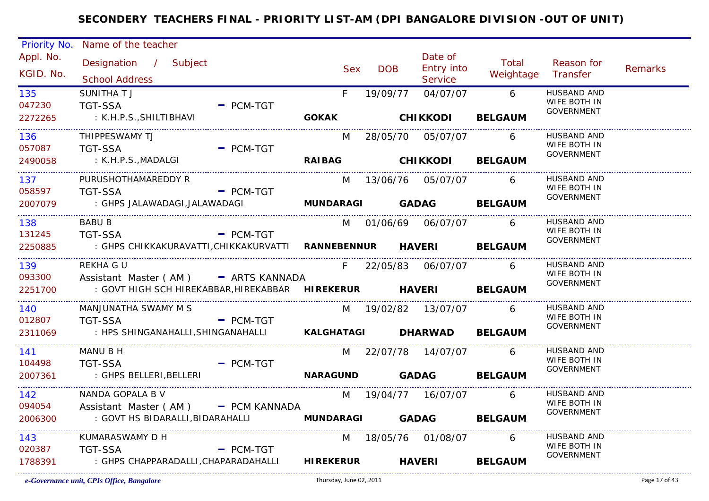| Priority No.           | Name of the teacher                                                                           |                         |              |                                         |                    |                                                  |                |
|------------------------|-----------------------------------------------------------------------------------------------|-------------------------|--------------|-----------------------------------------|--------------------|--------------------------------------------------|----------------|
| Appl. No.<br>KGID. No. | Designation / Subject<br><b>School Address</b>                                                | <b>Sex</b>              | <b>DOB</b>   | Date of<br><b>Entry into</b><br>Service | Total<br>Weightage | Reason for<br>Transfer                           | <b>Remarks</b> |
| 135<br>047230          | <b>SUNITHATJ</b><br><b>TGT-SSA</b><br>$-$ PCM-TGT                                             | F.                      | 19/09/77     | 04/07/07                                | $6\overline{6}$    | <b>HUSBAND AND</b><br>WIFE BOTH IN<br>GOVERNMENT |                |
| 2272265                | : K.H.P.S., SHILTIBHAVI                                                                       | <b>GOKAK</b>            |              | <b>CHIKKODI</b>                         | <b>BELGAUM</b>     |                                                  |                |
| 136<br>057087          | THIPPESWAMY TJ<br><b>TGT-SSA</b><br>$=$ PCM-TGT                                               | M                       |              |                                         | 6                  | HUSBAND AND<br>WIFE BOTH IN                      |                |
| 2490058                | : K.H.P.S.,MADALGI                                                                            |                         |              | RAIBAG CHIKKODI                         | <b>BELGAUM</b>     | GOVERNMENT                                       |                |
| .<br>137               | PURUSHOTHAMAREDDY R                                                                           | M                       |              | 13/06/76 05/07/07                       | - 6                | HUSBAND AND<br>WIFE BOTH IN                      |                |
| 058597<br>2007079      | TGT-SSA<br>$-$ PCM-TGT<br>: GHPS JALAWADAGI,JALAWADAGI                                        | MUNDARAGI GADAG BELGAUM |              |                                         |                    | GOVERNMENT                                       |                |
| 138                    | <b>BABU B</b>                                                                                 |                         |              | M 01/06/69 06/07/07 6                   |                    | HUSBAND AND<br>WIFE BOTH IN                      |                |
| 131245<br>2250885      | TGT-SSA<br>$-$ PCM-TGT<br>: GHPS CHIKKAKURAVATTI,CHIKKAKURVATTI  RANNEBENNUR  HAVERI  BELGAUM |                         |              |                                         |                    | <b>GOVERNMENT</b>                                |                |
| 139<br>093300          | REKHA G U<br>Assistant Master (AM) - ARTS KANNADA                                             |                         |              | F 22/05/83 06/07/07                     | - 6                | HUSBAND AND<br>WIFE BOTH IN                      |                |
| 2251700                | : GOVT HIGH SCH HIREKABBAR, HIREKABBAR HIREKERUR HAVERI BELGAUM                               |                         |              |                                         |                    | <b>GOVERNMENT</b>                                |                |
| 140<br>012807          | MANJUNATHA SWAMY M S<br><b>TGT-SSA</b><br>$-$ PCM-TGT                                         |                         |              | M 19/02/82 13/07/07                     | 6                  | HUSBAND AND<br>WIFE BOTH IN                      |                |
| 2311069                | : HPS SHINGANAHALLI, SHINGANAHALLI KALGHATAGI DHARWAD BELGAUM                                 |                         |              |                                         |                    | <b>GOVERNMENT</b>                                |                |
| 141 —<br>104498        | MANU B H<br><b>TGT-SSA</b><br>$-$ PCM-TGT                                                     |                         |              | M 22/07/78 14/07/07                     | - 6                | HUSBAND AND<br>WIFE BOTH IN                      |                |
| 2007361                | : GHPS BELLERI,BELLERI                                                                        | <b>NARAGUND</b>         | <b>GADAG</b> |                                         | <b>BELGAUM</b>     | <b>GOVERNMENT</b>                                |                |
| 142<br>094054          | NANDA GOPALA B V<br>Assistant Master (AM) - PCM KANNADA                                       |                         |              | M 19/04/77 16/07/07                     | $6\overline{6}$    | <b>HUSBAND AND</b><br>WIFE BOTH IN               |                |
| 2006300                | : GOVT HS BIDARALLI, BIDARAHALLI                                                              | MUNDARAGI GADAG BELGAUM |              |                                         |                    | <b>GOVERNMENT</b>                                |                |
| 143<br>020387          | KUMARASWAMY D H<br><b>TGT-SSA</b><br>$=$ PCM-TGT                                              |                         |              | M 18/05/76 01/08/07                     | 6 <sup>6</sup>     | <b>HUSBAND AND</b><br>WIFE BOTH IN               |                |
| 1788391                | : GHPS CHAPPARADALLI, CHAPARADAHALLI                                                          | <b>HIREKERUR</b>        |              | <b>HAVERI</b>                           | <b>BELGAUM</b>     | GOVERNMENT                                       |                |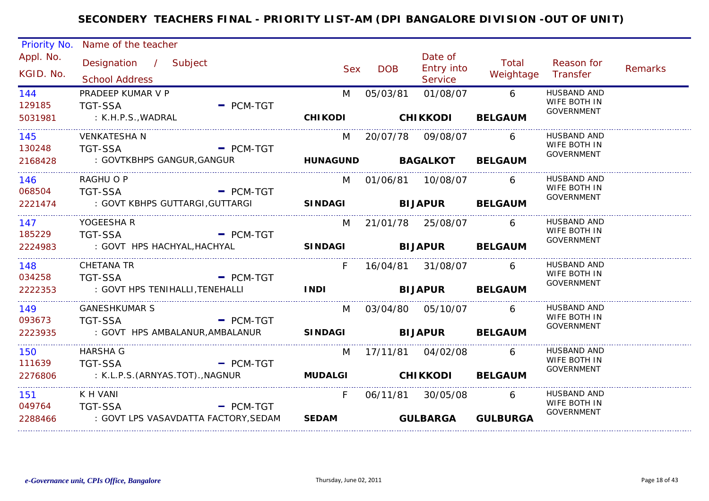| Priority No.           | Name of the teacher                                                          |                          |                        |                                                |                        |                                                  |                |
|------------------------|------------------------------------------------------------------------------|--------------------------|------------------------|------------------------------------------------|------------------------|--------------------------------------------------|----------------|
| Appl. No.<br>KGID. No. | Designation / Subject<br><b>School Address</b>                               | <b>Sex</b>               | <b>DOB</b>             | Date of<br><b>Entry into</b><br><b>Service</b> | Total<br>Weightage     | Reason for<br>Transfer                           | <b>Remarks</b> |
| 144<br>129185          | PRADEEP KUMAR V P<br>$=$ PCM-TGT<br><b>TGT-SSA</b>                           | M                        | 05/03/81               | 01/08/07                                       | 6                      | HUSBAND AND<br>WIFE BOTH IN<br><b>GOVERNMENT</b> |                |
| 5031981                | : K.H.P.S., WADRAL                                                           | <b>CHIKODI</b>           | <b>CHIKKODI</b>        |                                                | <b>BELGAUM</b>         |                                                  |                |
| 145<br>130248          | <b>VENKATESHA N</b><br><b>TGT-SSA</b><br>$=$ PCM-TGT                         | M                        | 20/07/78 09/08/07      |                                                | 6                      | HUSBAND AND<br>WIFE BOTH IN                      |                |
| 2168428                | : GOVTKBHPS GANGUR, GANGUR                                                   | <b>HUNAGUND BAGALKOT</b> |                        |                                                | <b>BELGAUM</b>         | GOVERNMENT                                       |                |
| 146<br>068504          | RAGHU O P<br><b>TGT-SSA</b><br>$-$ PCM-TGT                                   |                          | M 01/06/81 10/08/07    |                                                | 6                      | <b>HUSBAND AND</b><br>WIFE BOTH IN               |                |
| 2221474                | : GOVT KBHPS GUTTARGI, GUTTARGI                                              | <b>SINDAGI</b>           | <b>BIJAPUR BELGAUM</b> |                                                |                        | GOVERNMENT                                       |                |
| 147                    | YOGEESHA R                                                                   |                          | M 21/01/78 25/08/07    |                                                | 6                      | <b>HUSBAND AND</b><br>WIFE BOTH IN               |                |
| 185229<br>2224983      | <b>TGT-SSA</b><br>$-$ PCM-TGT<br>: GOVT HPS HACHYAL, HACHYAL                 | SINDAGI BIJAPUR BELGAUM  |                        |                                                |                        | <b>GOVERNMENT</b>                                |                |
| 148<br>034258          | CHETANA TR<br><b>TGT-SSA</b><br>$-$ PCM-TGT                                  | F.                       | 16/04/81 31/08/07      |                                                | 6                      | HUSBAND AND<br>WIFE BOTH IN                      |                |
| 2222353                | : GOVT HPS TENIHALLI, TENEHALLI                                              | <b>INDI</b>              |                        |                                                | <b>BIJAPUR BELGAUM</b> | <b>GOVERNMENT</b>                                |                |
| 149<br>093673          | <b>GANESHKUMAR S</b><br><b>TGT-SSA</b><br>$\blacksquare$ PCM-TGT             |                          | M 03/04/80 05/10/07    |                                                | 6                      | HUSBAND AND<br>WIFE BOTH IN                      |                |
| 2223935                | : GOVT HPS AMBALANUR, AMBALANUR                                              | <b>SINDAGI</b>           |                        | <b>BIJAPUR</b>                                 | <b>BELGAUM</b>         | <b>GOVERNMENT</b>                                |                |
| 150                    | <b>HARSHA G</b>                                                              | M                        | 17/11/81  04/02/08     |                                                | 6                      | HUSBAND AND<br>WIFE BOTH IN                      |                |
| 111639<br>2276806      | <b>TGT-SSA</b><br><b>Example 2 PCM-TGT</b><br>: K.L.P.S.(ARNYAS.TOT).,NAGNUR | <b>MUDALGI</b>           | <b>CHIKKODI</b>        |                                                | <b>BELGAUM</b>         | GOVERNMENT                                       |                |
| 151                    | K H VANI                                                                     | F                        |                        | 06/11/81 30/05/08                              | 6                      | HUSBAND AND<br>WIFE BOTH IN                      |                |
| 049764<br>2288466      | <b>TGT-SSA</b><br>$=$ PCM-TGT<br>: GOVT LPS VASAVDATTA FACTORY, SEDAM        | <b>SEDAM</b>             |                        | <b>GULBARGA</b>                                | <b>GULBURGA</b>        | <b>GOVERNMENT</b>                                |                |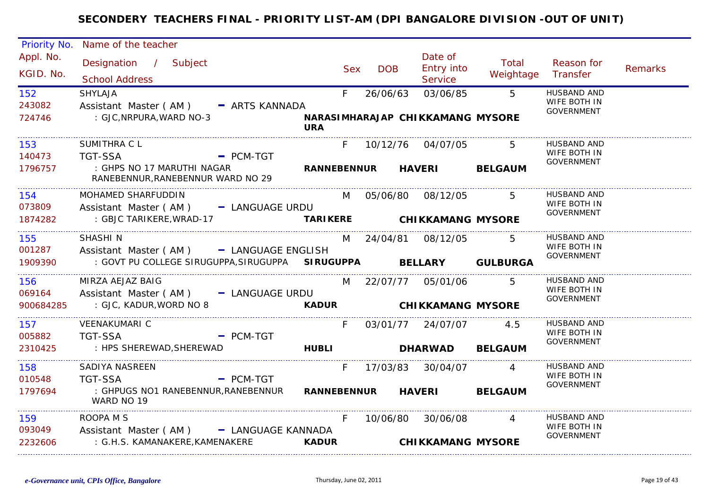| Priority No.                  | Name of the teacher                                                                                              |              |            |            |                                                |                                  |                                                         |                |
|-------------------------------|------------------------------------------------------------------------------------------------------------------|--------------|------------|------------|------------------------------------------------|----------------------------------|---------------------------------------------------------|----------------|
| Appl. No.<br>KGID. No.        | Designation / Subject<br><b>School Address</b>                                                                   |              | <b>Sex</b> | <b>DOB</b> | Date of<br><b>Entry into</b><br>Service        | Total<br>Weightage               | Reason for<br>Transfer                                  | <b>Remarks</b> |
| 152<br>243082<br>724746       | <b>SHYLAJA</b><br>Assistant Master (AM) - ARTS KANNADA<br>: GJC, NRPURA, WARD NO-3                               | <b>URA</b>   | F          | 26/06/63   | 03/06/85<br>NARASIMHARAJAP CHIKKAMANG MYSORE   | $5^{\circ}$                      | <b>HUSBAND AND</b><br>WIFE BOTH IN<br><b>GOVERNMENT</b> |                |
| 153                           | SUMITHRA C L                                                                                                     |              |            |            | F 10/12/76 04/07/05                            | 5 <sup>5</sup>                   | <b>HUSBAND AND</b><br>WIFE BOTH IN                      |                |
| 140473<br>1796757             | <b>TGT-SSA</b><br>$=$ PCM-TGT<br>: GHPS NO 17 MARUTHI NAGAR<br>RANEBENNUR, RANEBENNUR WARD NO 29                 |              |            |            | RANNEBENNUR HAVERI BELGAUM                     |                                  | GOVERNMENT                                              |                |
| 154<br>073809                 | MOHAMED SHARFUDDIN<br>Assistant Master (AM) - LANGUAGE URDU                                                      |              | M          |            | 05/06/80 08/12/05                              | 5                                | HUSBAND AND<br>WIFE BOTH IN                             |                |
| 1874282                       | : GBJC TARIKERE, WRAD-17<br><b>Example 21 TARIKERE</b>                                                           |              |            |            | <b>CHIKKAMANG MYSORE</b>                       |                                  | <b>GOVERNMENT</b>                                       |                |
| 155<br>001287<br>1909390      | SHASHI N<br>Assistant Master (AM) - LANGUAGE ENGLISH<br>: GOVT PU COLLEGE SIRUGUPPA, SIRUGUPPA SIRUGUPPA BELLARY |              |            |            | M 24/04/81 08/12/05                            | 5<br><b>GULBURGA</b>             | HUSBAND AND<br>WIFE BOTH IN<br><b>GOVERNMENT</b>        |                |
| 156<br>069164<br>900684285    | MIRZA AEJAZ BAIG<br>Assistant Master (AM) - LANGUAGE URDU<br>: GJC, KADUR, WORD NO 8                             |              |            |            | M 22/07/77 05/01/06<br>KADUR CHIKKAMANG MYSORE | 5                                | HUSBAND AND<br>WIFE BOTH IN<br><b>GOVERNMENT</b>        |                |
| .<br>157<br>005882<br>2310425 | <b>VEENAKUMARI C</b><br><b>TGT-SSA</b><br>$-$ PCM-TGT<br>: HPS SHEREWAD, SHEREWAD                                | <b>HUBLI</b> | F.         |            | 03/01/77 24/07/07<br>DHARWAD BELGAUM           | 4.5                              | <b>HUSBAND AND</b><br>WIFE BOTH IN<br><b>GOVERNMENT</b> |                |
| 158<br>010548<br>1797694      | SADIYA NASREEN<br><b>TGT-SSA</b><br>$-$ PCM-TGT<br>: GHPUGS NO1 RANEBENNUR,RANEBENNUR<br>WARD NO 19              |              | F.         |            | 17/03/83 30/04/07<br>RANNEBENNUR HAVERI        | $\overline{4}$<br><b>BELGAUM</b> | <b>HUSBAND AND</b><br>WIFE BOTH IN<br>GOVERNMENT        |                |
| 159<br>093049<br>2232606      | ROOPA M S<br>Assistant Master (AM) - LANGUAGE KANNADA<br>: G.H.S. KAMANAKERE,KAMENAKERE                          | <b>KADUR</b> | F.         | 10/06/80   | 30/06/08<br><b>CHIKKAMANG MYSORE</b>           | $\overline{A}$                   | HUSBAND AND<br>WIFE BOTH IN<br><b>GOVERNMENT</b>        |                |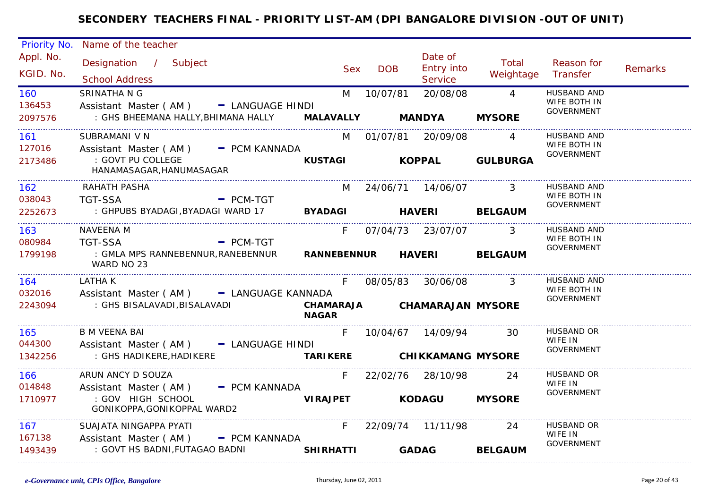| Priority No.               | Name of the teacher                                                                                          |                                                   |            |                                                  |                                 |                                                         |         |
|----------------------------|--------------------------------------------------------------------------------------------------------------|---------------------------------------------------|------------|--------------------------------------------------|---------------------------------|---------------------------------------------------------|---------|
| Appl. No.<br>KGID. No.     | Designation / Subject<br><b>School Address</b>                                                               | <b>Sex</b>                                        | <b>DOB</b> | Date of<br><b>Entry into</b><br><b>Service</b>   | Total<br>Weightage              | Reason for<br>Transfer                                  | Remarks |
| 160<br>136453<br>2097576   | SRINATHA N G<br>Assistant Master (AM) - LANGUAGE HINDI<br>: GHS BHEEMANA HALLY, BHIMANA HALLY                | M<br>MALAVALLY MANDYA                             | 10/07/81   | 20/08/08                                         | $\overline{4}$<br><b>MYSORE</b> | HUSBAND AND<br>WIFE BOTH IN<br><b>GOVERNMENT</b>        |         |
| 161 -<br>127016<br>2173486 | SUBRAMANI V N<br>Assistant Master (AM) - PCM KANNADA<br>: GOVT PU COLLEGE<br>HANAMASAGAR, HANUMASAGAR        |                                                   |            | M 01/07/81 20/09/08                              | KUSTAGI KOPPAL GULBURGA         | <b>HUSBAND AND</b><br>WIFE BOTH IN<br><b>GOVERNMENT</b> |         |
| 162<br>038043<br>2252673   | RAHATH PASHA<br><b>TGT-SSA</b><br>$-$ PCM-TGT<br>: GHPUBS BYADAGI, BYADAGI WARD 17 BYADAGI HAVERI BELGAUM    | M                                                 |            | 24/06/71 14/06/07                                | 3                               | <b>HUSBAND AND</b><br>WIFE BOTH IN<br>GOVERNMENT        |         |
| 163<br>080984<br>1799198   | NAVEENA M<br><b>TGT-SSA</b><br>$-$ PCM-TGT<br>: GMLA MPS RANNEBENNUR, RANEBENNUR<br>WARD NO 23               | F.<br><b>RANNEBENNUR</b>                          |            | 07/04/73 23/07/07 3<br><b>HAVERI</b>             | <b>BELGAUM</b>                  | <b>HUSBAND AND</b><br>WIFE BOTH IN<br><b>GOVERNMENT</b> |         |
| 164<br>032016<br>2243094   | LATHA K<br>Assistant Master (AM) - LANGUAGE KANNADA<br>: GHS BISALAVADI,BISALAVADI                           | F.<br>CHAMARAJA CHAMARAJAN MYSORE<br><b>NAGAR</b> |            | 08/05/83 30/06/08                                | $\overline{\phantom{a}}$ 3      | <b>HUSBAND AND</b><br>WIFE BOTH IN<br><b>GOVERNMENT</b> |         |
| 165<br>044300<br>1342256   | <b>B M VEENA BAI</b><br>Assistant Master (AM) - LANGUAGE HINDI<br>: GHS HADIKERE, HADIKERE                   | F.<br><b>TARIKERE</b>                             |            | 10/04/67 14/09/94 30<br><b>CHIKKAMANG MYSORE</b> |                                 | <b>HUSBAND OR</b><br>WIFE IN<br>GOVERNMENT              |         |
| 166<br>014848<br>1710977   | ARUN ANCY D SOUZA<br>Assistant Master (AM) - PCM KANNADA<br>: GOV HIGH SCHOOL<br>GONIKOPPA, GONIKOPPAL WARD2 | F<br><b>VIRAJPET</b>                              |            | 22/02/76 28/10/98<br><b>KODAGU</b>               | 24<br><b>MYSORE</b>             | <b>HUSBAND OR</b><br>WIFE IN<br><b>GOVERNMENT</b>       |         |
| 167<br>167138<br>1493439   | SUAJATA NINGAPPA PYATI<br>Assistant Master (AM)<br>- PCM KANNADA<br>: GOVT HS BADNI,FUTAGAO BADNI            | $F =$<br><b>SHIRHATTI</b>                         |            | 22/09/74 11/11/98<br><b>GADAG</b>                | 24<br><b>BELGAUM</b>            | HUSBAND OR<br>WIFE IN<br><b>GOVERNMENT</b>              |         |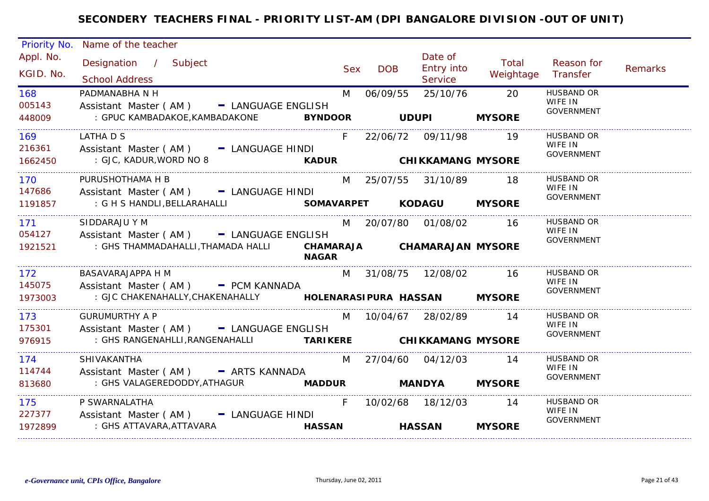| Priority No.             | Name of the teacher                                                                                                                                |     |                                             |                                         |                    |                                                   |         |
|--------------------------|----------------------------------------------------------------------------------------------------------------------------------------------------|-----|---------------------------------------------|-----------------------------------------|--------------------|---------------------------------------------------|---------|
| Appl. No.<br>KGID. No.   | Designation / Subject<br><b>School Address</b>                                                                                                     | Sex | <b>DOB</b>                                  | Date of<br><b>Entry into</b><br>Service | Total<br>Weightage | Reason for<br>Transfer                            | Remarks |
| 168<br>005143<br>448009  | PADMANABHA N H<br>Assistant Master (AM) - LANGUAGE ENGLISH                                                                                         | M   | 06/09/55                                    | 25/10/76                                | 20                 | <b>HUSBAND OR</b><br>WIFE IN<br><b>GOVERNMENT</b> |         |
| 169<br>216361<br>1662450 | LATHA D S<br>Assistant Master (AM) - LANGUAGE HINDI<br>: GJC, KADUR, WORD NO 8 <b>KADUR KADUR CHIKKAMANG MYSORE</b>                                | F.  | 22/06/72 09/11/98 19                        |                                         |                    | HUSBAND OR<br>WIFE IN<br>GOVERNMENT               |         |
| 170<br>147686<br>1191857 | PURUSHOTHAMA H B<br>Assistant Master (AM) - LANGUAGE HINDI<br>: G H S HANDLI, BELLARAHALLI <b>SOMAVARPET</b> KODAGU MYSORE                         |     | M 25/07/55 31/10/89                         |                                         | - 18               | HUSBAND OR<br>WIFE IN<br><b>GOVERNMENT</b>        |         |
| 171<br>1921521           | SIDDARAJU Y M<br>054127 Assistant Master (AM) - LANGUAGE ENGLISH<br>: GHS THAMMADAHALLI, THAMADA HALLI CHAMARAJA CHAMARAJAN MYSORE<br><b>NAGAR</b> |     | M 20/07/80 01/08/02                         |                                         | - 16               | <b>HUSBAND OR</b><br>WIFE IN<br><b>GOVERNMENT</b> |         |
| 172<br>145075<br>1973003 | BASAVARAJAPPA H M<br>Assistant Master (AM) - PCM KANNADA                                                                                           |     | M 31/08/75 12/08/02 16                      |                                         |                    | <b>HUSBAND OR</b><br>WIFE IN<br>GOVERNMENT        |         |
| 173<br>175301<br>976915  | <b>GURUMURTHY A P</b><br>Assistant Master (AM) - LANGUAGE ENGLISH<br>: GHS RANGENAHLLI, RANGENAHALLI <b>TARIKERE CHIKKAMANG MYSORE</b>             | M   | 10/04/67 28/02/89 14                        |                                         |                    | <b>HUSBAND OR</b><br>WIFE IN<br>GOVERNMENT        |         |
| 174<br>114744<br>813680  | SHIVAKANTHA<br>Assistant Master (AM) - ARTS KANNADA<br>: GHS VALAGEREDODDY,ATHAGUR <b>MADDUR</b>                                                   |     | M 27/04/60 04/12/03<br><b>MANDYA MYSORE</b> |                                         | 14                 | <b>HUSBAND OR</b><br>WIFE IN<br>GOVERNMENT        |         |
| 175<br>227377<br>1972899 | P SWARNALATHA<br>Assistant Master (AM) - LANGUAGE HINDI<br>: GHS ATTAVARA,ATTAVARA<br><b>HASSAN</b>                                                | F   | 10/02/68 18/12/03 14                        | <b>HASSAN</b>                           | <b>MYSORE</b>      | HUSBAND OR<br>WIFE IN<br><b>GOVERNMENT</b>        |         |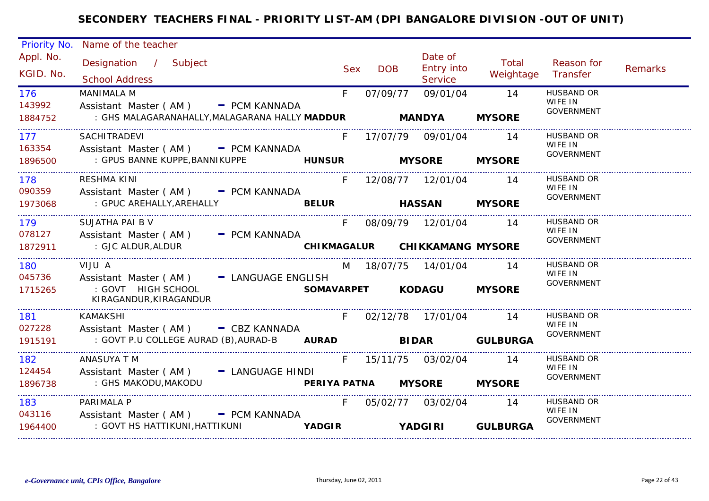| Priority No.             | Name of the teacher                                                                                       |                          |            |                     |                                  |                     |                                                   |         |
|--------------------------|-----------------------------------------------------------------------------------------------------------|--------------------------|------------|---------------------|----------------------------------|---------------------|---------------------------------------------------|---------|
| Appl. No.<br>KGID. No.   | Designation / Subject<br><b>School Address</b>                                                            |                          | <b>Sex</b> | <b>DOB</b>          | Date of<br>Entry into<br>Service | Total<br>Weightage  | Reason for<br>Transfer                            | Remarks |
| 176<br>143992<br>1884752 | <b>MANIMALA M</b><br>Assistant Master (AM) - PCM KANNADA<br>: GHS MALAGARANAHALLY,MALAGARANA HALLY MADDUR |                          | F          | 07/09/77            | 09/01/04<br><b>MANDYA</b>        | 14<br><b>MYSORE</b> | <b>HUSBAND OR</b><br>WIFE IN<br><b>GOVERNMENT</b> |         |
| 177<br>163354            | SACHITRADEVI<br>Assistant Master (AM) - PCM KANNADA                                                       |                          | F          |                     | 17/07/79 09/01/04                | 14                  | <b>HUSBAND OR</b><br>WIFE IN<br>GOVERNMENT        |         |
| 1896500                  |                                                                                                           |                          |            | <b>MYSORE</b>       |                                  | <b>MYSORE</b>       |                                                   |         |
| 178<br>090359            | RESHMA KINI<br>Assistant Master (AM) - PCM KANNADA                                                        |                          | F.         |                     |                                  | 14                  | HUSBAND OR<br>WIFE IN<br>GOVERNMENT               |         |
| 1973068                  | : GPUC AREHALLY, AREHALLY                                                                                 |                          |            |                     | <b>HASSAN</b>                    | <b>MYSORE</b>       |                                                   |         |
| 179<br>078127            | SUJATHA PAI B V<br>Assistant Master (AM) - PCM KANNADA                                                    |                          | F.         |                     | 08/09/79 12/01/04                | 14                  | HUSBAND OR<br>WIFE IN                             |         |
| 1872911                  | : GJC ALDUR, ALDUR                                                                                        |                          |            |                     | CHIKMAGALUR CHIKKAMANG MYSORE    |                     | GOVERNMENT                                        |         |
| 180                      | VIJU A                                                                                                    |                          |            |                     | M 18/07/75 14/01/04              | 14                  | HUSBAND OR<br>WIFE IN                             |         |
| 045736<br>1715265        | Assistant Master (AM) - LANGUAGE ENGLISH<br>: GOVT HIGH SCHOOL<br>KIRAGANDUR, KIRAGANDUR                  |                          |            |                     | SOMAVARPET KODAGU                | <b>MYSORE</b>       | GOVERNMENT                                        |         |
| 181                      | KAMAKSHI                                                                                                  |                          | $F =$      |                     | 02/12/78 17/01/04 14             |                     | <b>HUSBAND OR</b>                                 |         |
| 027228<br>1915191        | Assistant Master (AM) - CBZ KANNADA<br>: GOVT P.U COLLEGE AURAD (B), AURAD-B AURAD BIDAR GULBURGA         |                          |            |                     |                                  |                     | WIFE IN<br>GOVERNMENT                             |         |
|                          | ANASUYA T M                                                                                               |                          | F          |                     | 15/11/75  03/02/04               | 14                  | <b>HUSBAND OR</b>                                 |         |
| 182<br>124454            | Assistant Master (AM) - LANGUAGE HINDI                                                                    |                          |            |                     |                                  |                     | WIFE IN                                           |         |
| 1896738                  | : GHS MAKODU,MAKODU                                                                                       |                          |            | PERIYA PATNA MYSORE |                                  | <b>MYSORE</b>       | GOVERNMENT                                        |         |
| 183                      | PARIMALA P                                                                                                |                          | $F =$      |                     | 05/02/77 03/02/04                | 14                  | <b>HUSBAND OR</b>                                 |         |
| 043116<br>1964400        | Assistant Master (AM) - PCM KANNADA<br>: GOVT HS HATTIKUNI,HATTIKUNI                                      | <b>Example 18 YADGIR</b> |            |                     | <b>YADGIRI</b>                   | <b>GULBURGA</b>     | WIFE IN<br><b>GOVERNMENT</b>                      |         |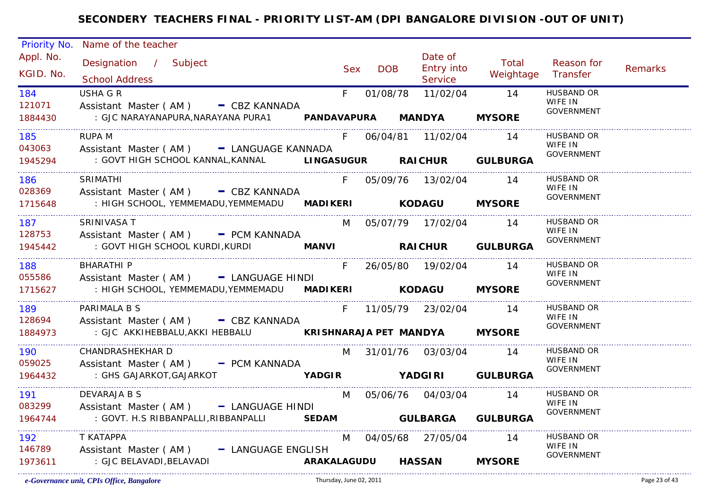| Priority No.                   | Name of the teacher                                                                                 |       |            |                           |                    |                              |                |
|--------------------------------|-----------------------------------------------------------------------------------------------------|-------|------------|---------------------------|--------------------|------------------------------|----------------|
| Appl. No.                      | Designation / Subject                                                                               |       |            | Date of                   | Total              | Reason for                   |                |
| KGID. No.                      |                                                                                                     | Sex   | <b>DOB</b> | <b>Entry into</b>         | Weightage Transfer |                              | <b>Remarks</b> |
|                                | <b>School Address</b>                                                                               |       |            | Service                   |                    |                              |                |
| 184                            | <b>USHA G R</b>                                                                                     | $F =$ |            | 01/08/78 11/02/04 14      |                    | <b>HUSBAND OR</b>            |                |
| 121071                         | Assistant Master (AM) - CBZ KANNADA                                                                 |       |            |                           |                    | WIFE IN<br><b>GOVERNMENT</b> |                |
| 1884430                        | : GJC NARAYANAPURA,NARAYANA PURA1               PANDAVAPURA       MANDYA         MYSORE             |       |            |                           |                    |                              |                |
| 185                            | RUPA M                                                                                              |       |            | F 06/04/81 11/02/04 14    |                    | HUSBAND OR                   |                |
| 043063                         | Assistant Master (AM) - LANGUAGE KANNADA                                                            |       |            |                           |                    | WIFE IN                      |                |
| 1945294                        | : GOVT HIGH SCHOOL KANNAL, KANNAL LINGASUGUR RAICHUR GULBURGA                                       |       |            |                           |                    | <b>GOVERNMENT</b>            |                |
|                                |                                                                                                     |       |            |                           |                    |                              |                |
| 186                            | <b>SRIMATHI</b>                                                                                     | F.    |            | 05/09/76 13/02/04 14      |                    | HUSBAND OR<br>WIFE IN        |                |
| 028369                         | Assistant Master (AM) - CBZ KANNADA                                                                 |       |            |                           |                    | <b>GOVERNMENT</b>            |                |
| 1715648                        | : HIGH SCHOOL, YEMMEMADU, YEMMEMADU MADIKERI KODAGU MYSORE                                          |       |            |                           |                    |                              |                |
| 187                            | SRINIVASA T                                                                                         |       |            | M 05/07/79 17/02/04 14    |                    | HUSBAND OR                   |                |
| 128753                         | Assistant Master (AM) - PCM KANNADA                                                                 |       |            |                           |                    | WIFE IN<br><b>GOVERNMENT</b> |                |
| 1945442                        | : GOVT HIGH SCHOOL KURDI, KURDI                     MANVI                   RAICHUR        GULBURGA |       |            |                           |                    |                              |                |
| 188 18                         | <b>BHARATHI P</b>                                                                                   |       |            | F 26/05/80 19/02/04       | $\overline{14}$    | HUSBAND OR                   |                |
| 055586                         | Assistant Master (AM) - LANGUAGE HINDI                                                              |       |            |                           |                    | WIFE IN                      |                |
| 1715627                        | : HIGH SCHOOL, YEMMEMADU, YEMMEMADU MADIKERI KODAGU MYSORE                                          |       |            |                           |                    | <b>GOVERNMENT</b>            |                |
|                                |                                                                                                     |       |            |                           |                    |                              |                |
| 189                            | PARIMALA B S                                                                                        |       |            | F 11/05/79 23/02/04 14    |                    | <b>HUSBAND OR</b><br>WIFE IN |                |
| 128694                         | Assistant Master (AM) - CBZ KANNADA                                                                 |       |            |                           |                    | GOVERNMENT                   |                |
| 1884973<br>___________________ | : GJC AKKIHEBBALU, AKKI HEBBALU <b>KRISHNARAJA PET MANDYA MYSORE</b>                                |       |            |                           |                    |                              |                |
| 190                            | CHANDRASHEKHAR D                                                                                    |       |            | M 31/01/76 03/03/04       | $\overline{14}$    | <b>HUSBAND OR</b>            |                |
| 059025                         | Assistant Master (AM) - PCM KANNADA                                                                 |       |            |                           |                    | WIFE IN<br>GOVERNMENT        |                |
| 1964432                        | : GHS GAJARKOT,GAJARKOT                                                                             |       |            | YADGIR YADGIRI GULBURGA   |                    |                              |                |
| 191                            | DEVARAJA B S                                                                                        |       |            | M 05/06/76 04/03/04 14    |                    | HUSBAND OR                   |                |
| 083299                         | Assistant Master (AM) - LANGUAGE HINDI                                                              |       |            |                           |                    | WIFE IN                      |                |
| 1964744                        | : GOVT. H.S RIBBANPALLI, RIBBANPALLI SEDAM GULBARGA GULBURGA                                        |       |            |                           |                    | <b>GOVERNMENT</b>            |                |
|                                |                                                                                                     |       |            |                           |                    |                              |                |
| 192                            | T KATAPPA                                                                                           |       |            | M 04/05/68 27/05/04       | 14                 | <b>HUSBAND OR</b><br>WIFE IN |                |
| 146789                         | Assistant Master (AM) - LANGUAGE ENGLISH                                                            |       |            |                           |                    | <b>GOVERNMENT</b>            |                |
| 1973611                        | : GJC BELAVADI,BELAVADI                                                                             |       |            | ARAKALAGUDU HASSAN MYSORE |                    |                              |                |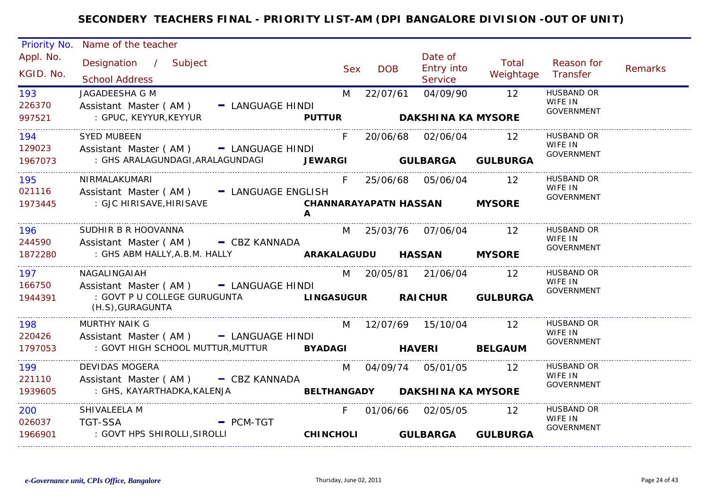| Priority No.            | Name of the teacher                                                                   |                    |            |            |                                         |                             |                                                   |         |
|-------------------------|---------------------------------------------------------------------------------------|--------------------|------------|------------|-----------------------------------------|-----------------------------|---------------------------------------------------|---------|
| Appl. No.<br>KGID. No.  | Designation / Subject<br><b>School Address</b>                                        |                    | <b>Sex</b> | <b>DOB</b> | Date of<br>Entry into<br><b>Service</b> | Total<br>Weightage          | Reason for<br>Transfer                            | Remarks |
| 193<br>226370<br>997521 | JAGADEESHA G M<br>Assistant Master (AM)<br>- LANGUAGE HINDI<br>: GPUC, KEYYUR, KEYYUR | <b>PUTTUR</b>      | M          | 22/07/61   | 04/09/90<br><b>DAKSHINA KA MYSORE</b>   | 12                          | <b>HUSBAND OR</b><br>WIFE IN<br><b>GOVERNMENT</b> |         |
|                         |                                                                                       |                    |            |            |                                         |                             |                                                   |         |
| 194<br>129023           | <b>SYED MUBEEN</b><br>Assistant Master (AM) - LANGUAGE HINDI                          |                    | F.         |            | 20/06/68 02/06/04                       | 12                          | HUSBAND OR<br>WIFE IN<br><b>GOVERNMENT</b>        |         |
| 1967073                 | : GHS ARALAGUNDAGI, ARALAGUNDAGI JEWARGI                                              |                    |            |            | <b>GULBARGA</b>                         | <b>GULBURGA</b>             |                                                   |         |
| 195<br>021116           | NIRMALAKUMARI<br>Assistant Master (AM) - LANGUAGE ENGLISH                             |                    | F.         |            | 25/06/68 05/06/04                       | $\overline{12}$             | <b>HUSBAND OR</b><br>WIFE IN                      |         |
| 1973445                 | : GJC HIRISAVE, HIRISAVE                                                              | A                  |            |            | <b>CHANNARAYAPATN HASSAN</b>            | <b>MYSORE</b>               | GOVERNMENT                                        |         |
| 196<br>244590           | SUDHIR B R HOOVANNA                                                                   |                    |            |            | M 25/03/76 07/06/04 12                  |                             | <b>HUSBAND OR</b><br>WIFE IN                      |         |
| 1872280                 | Assistant Master (AM) - CBZ KANNADA<br>: GHS ABM HALLY, A.B.M. HALLY                  |                    |            |            | <b>ARAKALAGUDU HASSAN</b>               | <b>MYSORE</b>               | <b>GOVERNMENT</b>                                 |         |
| 197<br>166750           | NAGALINGAIAH<br>Assistant Master (AM) - LANGUAGE HINDI                                |                    |            |            | M 20/05/81 21/06/04                     | $\overline{12}$             | <b>HUSBAND OR</b><br>WIFE IN                      |         |
| 1944391                 | : GOVT P U COLLEGE GURUGUNTA<br>(H.S), GURAGUNTA                                      |                    |            |            |                                         | LINGASUGUR RAICHUR GULBURGA | <b>GOVERNMENT</b>                                 |         |
| 198<br>220426           | <b>MURTHY NAIK G</b><br>Assistant Master (AM) - LANGUAGE HINDI                        |                    |            |            | M 12/07/69 15/10/04                     | 12                          | <b>HUSBAND OR</b><br>WIFE IN                      |         |
| 1797053                 | : GOVT HIGH SCHOOL MUTTUR,MUTTUR                                                      | <b>BYADAGI</b>     |            |            | <b>Example 18 HAVERI</b>                | <b>BELGAUM</b>              | GOVERNMENT                                        |         |
| 199<br>221110           | <b>DEVIDAS MOGERA</b><br>Assistant Master ( $AM$ ) $-$ CBZ KANNADA                    |                    |            |            | M 04/09/74 05/01/05                     | 12                          | <b>HUSBAND OR</b><br>WIFE IN                      |         |
| 1939605                 | : GHS, KAYARTHADKA,KALENJA                                                            | <b>BELTHANGADY</b> |            |            | <b>DAKSHINA KA MYSORE</b>               |                             | <b>GOVERNMENT</b>                                 |         |
| 200<br>026037           | SHIVALEELA M<br><b>TGT-SSA</b><br>$-$ PCM-TGT                                         |                    | F.         |            | 01/06/66 02/05/05                       | 12                          | HUSBAND OR<br>WIFE IN                             |         |
| 1966901                 | : GOVT HPS SHIROLLI, SIROLLI                                                          | <b>CHINCHOLI</b>   |            |            | <b>GULBARGA</b>                         | <b>GULBURGA</b>             | <b>GOVERNMENT</b>                                 |         |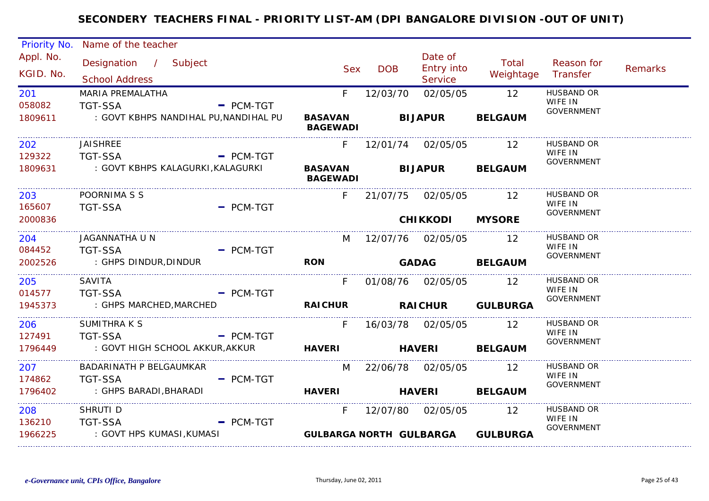| Priority No.           | Name of the teacher                            |             |                                            |            |                                         |                                  |                                                   |         |
|------------------------|------------------------------------------------|-------------|--------------------------------------------|------------|-----------------------------------------|----------------------------------|---------------------------------------------------|---------|
| Appl. No.<br>KGID. No. | Designation / Subject<br><b>School Address</b> |             | <b>Sex</b>                                 | <b>DOB</b> | Date of<br><b>Entry into</b><br>Service | Total<br>Weightage               | Reason for<br>Transfer                            | Remarks |
| 201<br>058082          | MARIA PREMALATHA<br><b>TGT-SSA</b>             | $-$ PCM-TGT | F                                          | 12/03/70   | 02/05/05                                | 12                               | <b>HUSBAND OR</b><br>WIFE IN<br><b>GOVERNMENT</b> |         |
| 1809611                | : GOVT KBHPS NANDIHAL PU, NANDIHAL PU          |             | <b>BASAVAN</b><br><b>BAGEWADI</b>          |            | <b>BIJAPUR</b>                          | <b>BELGAUM</b>                   |                                                   |         |
| 202<br>129322          | <b>JAISHREE</b><br><b>TGT-SSA</b>              | $-$ PCM-TGT |                                            |            | F 12/01/74 02/05/05                     | 12                               | <b>HUSBAND OR</b><br>WIFE IN                      |         |
| 1809631                | : GOVT KBHPS KALAGURKI,KALAGURKI               |             | BASAVAN BIJAPUR BELGAUM<br><b>BAGEWADI</b> |            |                                         |                                  | GOVERNMENT                                        |         |
| 203<br>165607          | POORNIMA S S<br><b>TGT-SSA</b>                 | $=$ PCM-TGT |                                            |            | F 21/07/75 02/05/05                     | 12                               | <b>HUSBAND OR</b><br>WIFE IN                      |         |
| 2000836                |                                                |             |                                            |            | <b>CHIKKODI</b>                         | <b>MYSORE</b>                    | GOVERNMENT                                        |         |
| 204                    | JAGANNATHA U N                                 |             | M                                          |            | 12/07/76  02/05/05  12                  |                                  | <b>HUSBAND OR</b><br>WIFE IN                      |         |
| 084452<br>2002526      | <b>TGT-SSA</b><br>: GHPS DINDUR, DINDUR        | $=$ PCM-TGT | <b>RON</b>                                 |            | <b>GADAG</b>                            | <b>BELGAUM</b>                   | GOVERNMENT                                        |         |
| 205                    | SAVITA                                         |             | F                                          |            |                                         | 12                               | <b>HUSBAND OR</b><br>WIFE IN                      |         |
| 014577<br>1945373      | <b>TGT-SSA</b><br>: GHPS MARCHED, MARCHED      | $PCM-TGT$   | <b>RAICHUR</b>                             |            |                                         | RAICHUR GULBURGA                 | GOVERNMENT                                        |         |
| 206<br>127491          | SUMITHRA K S<br><b>TGT-SSA</b>                 |             | F.                                         |            |                                         | 12                               | HUSBAND OR<br>WIFE IN                             |         |
| 1796449                | : GOVT HIGH SCHOOL AKKUR,AKKUR                 | $-$ PCM-TGT | <b>HAVERI</b>                              |            | <b>HAVERI</b>                           | <b>BELGAUM</b>                   | <b>GOVERNMENT</b>                                 |         |
| 207<br>174862          | BADARINATH P BELGAUMKAR                        |             | M                                          |            | 22/06/78 02/05/05                       | 12                               | HUSBAND OR<br>WIFE IN                             |         |
| 1796402                | <b>TGT-SSA</b><br>: GHPS BARADI, BHARADI       | $=$ PCM-TGT | <b>HAVERI</b>                              |            | <b>HAVERI</b>                           | <b>BELGAUM</b>                   | <b>GOVERNMENT</b>                                 |         |
| 208<br>136210          | SHRUTI D<br><b>TGT-SSA</b>                     | $-$ PCM-TGT | F.                                         |            | 12/07/80 02/05/05                       | 12                               | <b>HUSBAND OR</b><br>WIFE IN                      |         |
| 1966225                | : GOVT HPS KUMASI,KUMASI                       |             |                                            |            |                                         | GULBARGA NORTH GULBARGA GULBURGA | <b>GOVERNMENT</b>                                 |         |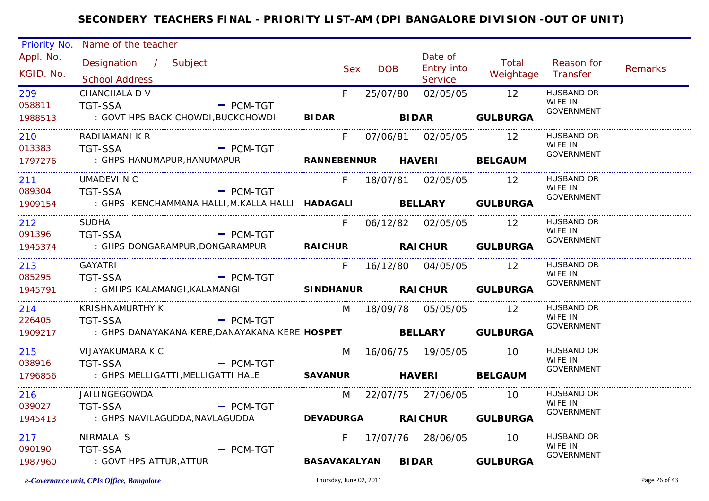| Priority No.           | Name of the teacher                                                       |            |            |                                         |                             |                              |                |
|------------------------|---------------------------------------------------------------------------|------------|------------|-----------------------------------------|-----------------------------|------------------------------|----------------|
| Appl. No.<br>KGID. No. | Designation / Subject<br><b>School Address</b>                            | <b>Sex</b> | <b>DOB</b> | Date of<br><b>Entry into</b><br>Service | Total<br>Weightage Transfer | Reason for                   | <b>Remarks</b> |
| 209<br>058811          | CHANCHALA D V<br><b>TGT-SSA</b><br>$-$ PCM-TGT                            | F.         | 25/07/80   |                                         | 02/05/05 12                 | <b>HUSBAND OR</b><br>WIFE IN |                |
| 1988513                | : GOVT HPS BACK CHOWDI,BUCKCHOWDI                                         |            |            | BIDAR BIDAR GULBURGA                    |                             | <b>GOVERNMENT</b>            |                |
| 210                    | RADHAMANI K R                                                             | F.         |            | 07/06/81  02/05/05                      | $\overline{12}$             | HUSBAND OR                   |                |
| 013383                 | <b>TGT-SSA</b><br>$=$ PCM-TGT                                             |            |            |                                         |                             | WIFE IN<br><b>GOVERNMENT</b> |                |
| 1797276                | : GHPS HANUMAPUR,HANUMAPUR                                                |            |            | RANNEBENNUR HAVERI BELGAUM              |                             |                              |                |
| 211                    | UMADEVI N C                                                               | F.         |            | 18/07/81  02/05/05                      | $\overline{12}$             | <b>HUSBAND OR</b><br>WIFE IN |                |
| 089304                 | <b>TGT-SSA</b><br>$-$ PCM-TGT                                             |            |            |                                         |                             | <b>GOVERNMENT</b>            |                |
| 1909154                | : GHPS KENCHAMMANA HALLI, M. KALLA HALLI <b>HADAGALI BELLARY GULBURGA</b> |            |            |                                         |                             |                              |                |
| 212                    | <b>SUDHA</b>                                                              | F.         |            | 06/12/82 02/05/05 12                    |                             | HUSBAND OR<br>WIFE IN        |                |
| 091396                 | $-$ PCM-TGT<br><b>TGT-SSA</b>                                             |            |            |                                         |                             | <b>GOVERNMENT</b>            |                |
| 1945374                | : GHPS DONGARAMPUR,DONGARAMPUR                                            |            |            | RAICHUR RAICHUR GULBURGA                |                             |                              |                |
| 213                    | GAYATRI                                                                   |            |            | F 16/12/80 04/05/05 12                  |                             | HUSBAND OR<br>WIFE IN        |                |
| 085295                 | <b>TGT-SSA</b><br>$-$ PCM-TGT                                             |            |            |                                         |                             | <b>GOVERNMENT</b>            |                |
| 1945791                | : GMHPS KALAMANGI, KALAMANGI                                              |            |            | SINDHANUR RAICHUR GULBURGA              |                             |                              |                |
| 214                    | <b>KRISHNAMURTHY K</b>                                                    |            |            | M 18/09/78 05/05/05 12                  |                             | HUSBAND OR<br>WIFE IN        |                |
| 226405                 | <b>TGT-SSA</b><br>$-$ PCM-TGT                                             |            |            |                                         |                             | <b>GOVERNMENT</b>            |                |
| 1909217                | : GHPS DANAYAKANA KERE, DANAYAKANA KERE HOSPET BELLARY GULBURGA           |            |            |                                         |                             |                              |                |
| 215                    | VIJAYAKUMARA K C                                                          | M          |            |                                         | 10                          | HUSBAND OR<br>WIFE IN        |                |
| 038916                 | <b>TGT-SSA</b><br>- PCM-TGT                                               |            |            |                                         |                             | GOVERNMENT                   |                |
| 1796856                |                                                                           |            |            |                                         | <b>BELGAUM</b>              |                              |                |
| 216                    | JAILINGEGOWDA                                                             |            |            | M 22/07/75 27/06/05 10                  |                             | <b>HUSBAND OR</b>            |                |
| 039027                 | - PCM-TGT<br><b>TGT-SSA</b>                                               |            |            |                                         |                             | WIFE IN<br><b>GOVERNMENT</b> |                |
| 1945413                | : GHPS NAVILAGUDDA, NAVLAGUDDA                                            |            |            | DEVADURGA RAICHUR GULBURGA              |                             |                              |                |
| 217                    | NIRMALA <sub>S</sub>                                                      |            |            | F 17/07/76 28/06/05 10                  |                             | <b>HUSBAND OR</b><br>WIFE IN |                |
| 090190                 | <b>TGT-SSA</b><br>$-$ PCM-TGT                                             |            |            |                                         |                             | <b>GOVERNMENT</b>            |                |
| 1987960                | : GOVT HPS ATTUR, ATTUR                                                   |            |            | BASAVAKALYAN BIDAR GULBURGA             |                             |                              |                |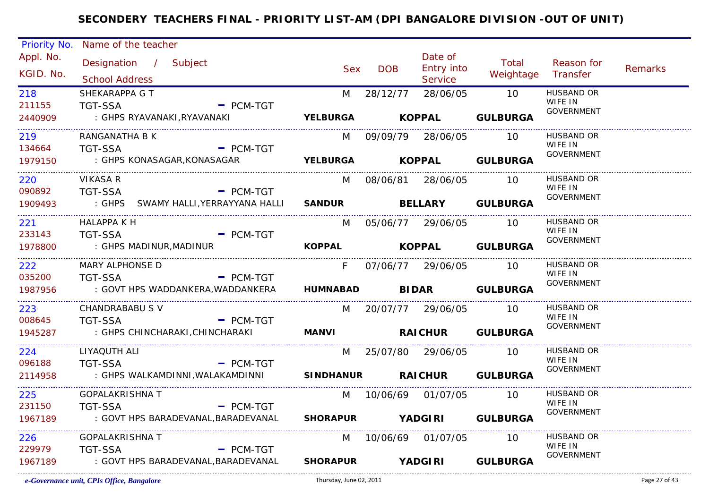| Priority No.                    | Name of the teacher                                          |                           |            |                        |                           |                              |                |
|---------------------------------|--------------------------------------------------------------|---------------------------|------------|------------------------|---------------------------|------------------------------|----------------|
| Appl. No.                       | Designation / Subject                                        |                           |            | Date of                | Total                     | Reason for                   |                |
| KGID. No.                       |                                                              | <b>Sex</b>                | <b>DOB</b> | <b>Entry into</b>      | Weightage                 | Transfer                     | <b>Remarks</b> |
|                                 | <b>School Address</b>                                        |                           |            | Service                |                           |                              |                |
| 218                             | SHEKARAPPA G T                                               | M                         | 28/12/77   | 28/06/05               | $\overline{10}$           | <b>HUSBAND OR</b><br>WIFE IN |                |
| 211155                          | <b>TGT-SSA</b><br>$-$ PCM-TGT                                |                           |            |                        |                           | <b>GOVERNMENT</b>            |                |
| 2440909                         | : GHPS RYAVANAKI,RYAVANAKI                                   |                           |            |                        | YELBURGA KOPPAL GULBURGA  |                              |                |
| 219                             | RANGANATHA B K                                               | M                         |            | 09/09/79 28/06/05      | - 10                      | <b>HUSBAND OR</b>            |                |
| 134664                          | <b>TGT-SSA</b><br>$-$ PCM-TGT                                |                           |            |                        |                           | WIFE IN<br>GOVERNMENT        |                |
| 1979150<br>____________________ | : GHPS KONASAGAR, KONASAGAR                                  | YELBURGA KOPPAL GULBURGA  |            |                        |                           |                              |                |
| 220                             | <b>VIKASA R</b>                                              | M                         |            | 08/06/81 28/06/05 10   |                           | HUSBAND OR                   |                |
| 090892                          | <b>TGT-SSA</b><br>$=$ PCM-TGT                                |                           |            |                        |                           | WIFE IN<br><b>GOVERNMENT</b> |                |
| 1909493                         | : GHPS SWAMY HALLI, YERRAYYANA HALLI SANDUR BELLARY GULBURGA |                           |            |                        |                           |                              |                |
| 221                             | HALAPPA K H                                                  | M                         |            | 05/06/77 29/06/05 10   |                           | <b>HUSBAND OR</b>            |                |
| 233143                          | <b>TGT-SSA</b><br>$-$ PCM-TGT                                |                           |            |                        |                           | WIFE IN<br><b>GOVERNMENT</b> |                |
| 1978800                         | : GHPS MADINUR,MADINUR                                       |                           |            |                        | KOPPAL KOPPAL GULBURGA    |                              |                |
| 222                             | MARY ALPHONSE D                                              | F.                        |            | 07/06/77 29/06/05      | $\overline{10}$           | <b>HUSBAND OR</b>            |                |
| 035200                          | <b>TGT-SSA</b><br>$-$ PCM-TGT                                |                           |            |                        |                           | WIFE IN<br><b>GOVERNMENT</b> |                |
| 1987956                         | : GOVT HPS WADDANKERA,WADDANKERA                             | HUMNABAD BIDAR GULBURGA   |            |                        |                           |                              |                |
| 223                             | CHANDRABABU S V                                              |                           |            | M 20/07/77 29/06/05    | - 10                      | <b>HUSBAND OR</b>            |                |
| 008645                          | <b>TGT-SSA</b><br>$=$ PCM-TGT                                |                           |            |                        |                           | WIFE IN<br><b>GOVERNMENT</b> |                |
| 1945287                         | : GHPS CHINCHARAKI, CHINCHARAKI                              | MANVI RAICHUR GULBURGA    |            |                        |                           |                              |                |
| 224                             | LIYAQUTH ALI                                                 |                           |            | M 25/07/80 29/06/05 10 |                           | HUSBAND OR                   |                |
| 096188                          | <b>TGT-SSA</b><br>$\blacksquare$ PCM-TGT                     |                           |            |                        |                           | WIFE IN<br><b>GOVERNMENT</b> |                |
| 2114958                         | : GHPS WALKAMDINNI, WALAKAMDINNI SINDHANUR RAICHUR GULBURGA  |                           |            |                        |                           |                              |                |
| 225                             | <b>GOPALAKRISHNA T</b>                                       |                           |            | M 10/06/69 01/07/05 10 |                           | HUSBAND OR                   |                |
| 231150                          | - PCM-TGT<br><b>TGT-SSA</b>                                  |                           |            |                        |                           | WIFE IN<br><b>GOVERNMENT</b> |                |
| 1967189                         | : GOVT HPS BARADEVANAL,BARADEVANAL                           | SHORAPUR YADGIRI GULBURGA |            |                        |                           |                              |                |
| 226                             | <b>GOPALAKRISHNA T</b>                                       |                           |            | M 10/06/69 01/07/05    | 10                        | HUSBAND OR                   |                |
| 229979                          | <b>TGT-SSA</b><br>$-$ PCM-TGT                                |                           |            |                        |                           | WIFE IN<br><b>GOVERNMENT</b> |                |
| 1967189                         | : GOVT HPS BARADEVANAL, BARADEVANAL                          |                           |            |                        | SHORAPUR YADGIRI GULBURGA |                              |                |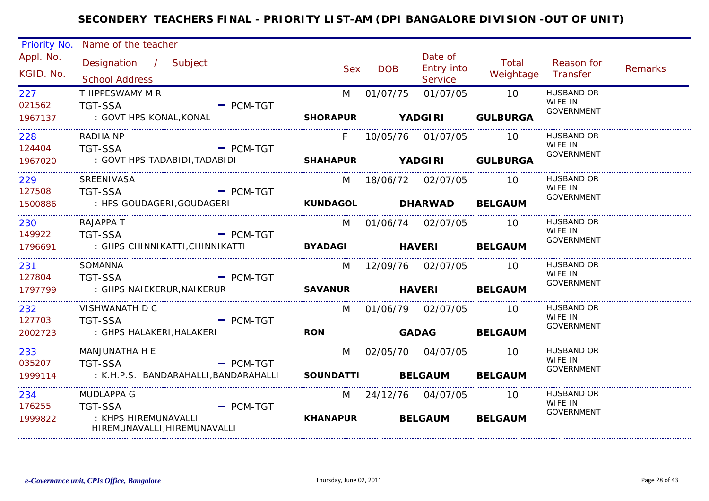|                        | Priority No. Name of the teacher                                                      |                           |                        |                                  |                        |                              |         |
|------------------------|---------------------------------------------------------------------------------------|---------------------------|------------------------|----------------------------------|------------------------|------------------------------|---------|
| Appl. No.<br>KGID. No. | Designation / Subject<br><b>School Address</b>                                        | <b>Sex</b>                | <b>DOB</b>             | Date of<br>Entry into<br>Service | Total<br>Weightage     | Reason for<br>Transfer       | Remarks |
| 227<br>021562          | THIPPESWAMY M R<br><b>TGT-SSA</b><br>$-$ PCM-TGT                                      | M                         | 01/07/75               | 01/07/05                         | 10                     | <b>HUSBAND OR</b><br>WIFE IN |         |
| 1967137                | : GOVT HPS KONAL,KONAL                                                                | SHORAPUR YADGIRI          |                        |                                  | <b>GULBURGA</b>        | <b>GOVERNMENT</b>            |         |
| 228<br>124404          | <b>RADHA NP</b><br>TGT-SSA<br>$=$ PCM-TGT                                             | F                         |                        | 10/05/76 01/07/05 10             |                        | <b>HUSBAND OR</b><br>WIFE IN |         |
| 1967020                | : GOVT HPS TADABIDI,TADABIDI                                                          | SHAHAPUR YADGIRI GULBURGA |                        |                                  |                        | GOVERNMENT                   |         |
| 229<br>127508          | SREENIVASA                                                                            |                           | M 18/06/72 02/07/05 10 |                                  |                        | HUSBAND OR<br>WIFE IN        |         |
| 1500886                | TGT-SSA<br>$-$ PCM-TGT<br>: HPS GOUDAGERI, GOUDAGERI                                  | KUNDAGOL DHARWAD BELGAUM  |                        |                                  |                        | GOVERNMENT                   |         |
| 230<br>149922          | RAJAPPA T<br>TGT-SSA                                                                  |                           | M 01/06/74 02/07/05 10 |                                  |                        | HUSBAND OR<br>WIFE IN        |         |
| 1796691                | $-$ PCM-TGT<br>: GHPS CHINNIKATTI,CHINNIKATTI                                         | BYADAGI HAVERI BELGAUM    |                        |                                  |                        | GOVERNMENT                   |         |
| 231                    | SOMANNA                                                                               | M                         | 12/09/76  02/07/05     |                                  | $\overline{10}$        | HUSBAND OR<br>WIFE IN        |         |
| 127804<br>1797799      | <b>TGT-SSA</b><br>- PCM-TGT<br>: GHPS NAIEKERUR, NAIKERUR                             | <b>SAVANUR</b>            | <b>HAVERI</b>          |                                  | <b>BELGAUM</b>         | GOVERNMENT                   |         |
| 232<br>127703          | VISHWANATH D C<br>- PCM-TGT<br><b>TGT-SSA</b>                                         |                           | M 01/06/79 02/07/05    |                                  | - 10                   | <b>HUSBAND OR</b><br>WIFE IN |         |
| 2002723                | : GHPS HALAKERI, HALAKERI                                                             | <b>RON</b>                |                        |                                  | GADAG BELGAUM          | GOVERNMENT                   |         |
| 233                    | MANJUNATHA H E                                                                        |                           | M 02/05/70 04/07/05    |                                  | <b>10</b>              | <b>HUSBAND OR</b><br>WIFE IN |         |
| 035207<br>1999114      | <b>TGT-SSA</b><br>$-$ PCM-TGT<br>: K.H.P.S. BANDARAHALLI,BANDARAHALLI                 | <b>SOUNDATTI</b>          |                        |                                  | <b>BELGAUM BELGAUM</b> | <b>GOVERNMENT</b>            |         |
| 234                    | MUDLAPPA G                                                                            |                           | M 24/12/76 04/07/05    |                                  | 10 I                   | HUSBAND OR<br>WIFE IN        |         |
| 176255<br>1999822      | <b>TGT-SSA</b><br>$=$ PCM-TGT<br>: KHPS HIREMUNAVALLI<br>HIREMUNAVALLI, HIREMUNAVALLI | <b>KHANAPUR</b>           |                        | <b>BELGAUM</b>                   | <b>BELGAUM</b>         | GOVERNMENT                   |         |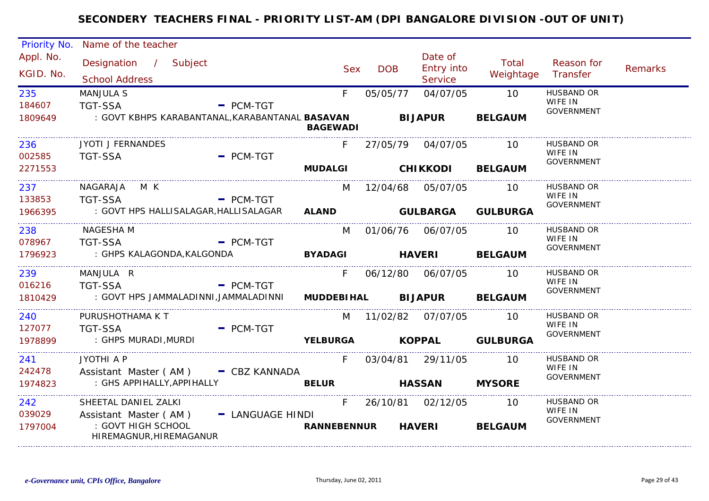| Priority No.             | Name of the teacher                                                                         |                  |                          |            |                                         |                               |                                                   |         |
|--------------------------|---------------------------------------------------------------------------------------------|------------------|--------------------------|------------|-----------------------------------------|-------------------------------|---------------------------------------------------|---------|
| Appl. No.<br>KGID. No.   | Designation / Subject<br><b>School Address</b>                                              |                  | <b>Sex</b>               | <b>DOB</b> | Date of<br>Entry into<br><b>Service</b> | Total<br>Weightage            | Reason for<br>Transfer                            | Remarks |
| 235<br>184607<br>1809649 | <b>MANJULA S</b><br><b>TGT-SSA</b><br>: GOVT KBHPS KARABANTANAL,KARABANTANAL <b>BASAVAN</b> | $-$ PCM-TGT      | F.                       | 05/05/77   | 04/07/05<br><b>BIJAPUR</b>              | 10<br><b>BELGAUM</b>          | <b>HUSBAND OR</b><br>WIFE IN<br><b>GOVERNMENT</b> |         |
|                          |                                                                                             |                  | <b>BAGEWADI</b>          |            |                                         |                               |                                                   |         |
| 236<br>002585            | <b>JYOTI J FERNANDES</b><br><b>TGT-SSA</b>                                                  | $=$ PCM-TGT      |                          |            | 27/05/79 04/07/05                       | 10                            | <b>HUSBAND OR</b><br>WIFE IN                      |         |
| 2271553                  |                                                                                             |                  |                          |            | MUDALGI CHIKKODI                        | <b>BELGAUM</b>                | <b>GOVERNMENT</b>                                 |         |
| 237<br>133853<br>1966395 | NAGARAJA MK<br><b>TGT-SSA</b><br>: GOVT HPS HALLISALAGAR, HALLISALAGAR                      | $=$ PCM-TGT      | M                        |            | 12/04/68 05/07/05                       | 10<br>ALAND GULBARGA GULBURGA | HUSBAND OR<br>WIFE IN<br><b>GOVERNMENT</b>        |         |
| 238                      | NAGESHA M                                                                                   |                  |                          |            | M 01/06/76 06/07/05                     | 10                            | <b>HUSBAND OR</b>                                 |         |
| 078967                   | <b>TGT-SSA</b>                                                                              | $-$ PCM-TGT      |                          |            |                                         |                               | WIFE IN                                           |         |
| 1796923                  | : GHPS KALAGONDA, KALGONDA                                                                  |                  |                          |            | BYADAGI HAVERI                          | <b>BELGAUM</b>                | <b>GOVERNMENT</b>                                 |         |
| 239<br>016216            | MANJULA R<br><b>TGT-SSA</b>                                                                 | $-$ PCM-TGT      | F.                       |            | 06/12/80 06/07/05                       | 10                            | <b>HUSBAND OR</b><br>WIFE IN<br><b>GOVERNMENT</b> |         |
| 1810429                  | : GOVT HPS JAMMALADINNI,JAMMALADINNI                                                        |                  |                          |            | MUDDEBIHAL BIJAPUR                      | <b>BELGAUM</b>                |                                                   |         |
| 240<br>127077            | PURUSHOTHAMA K T<br><b>TGT-SSA</b>                                                          | $-$ PCM-TGT      |                          |            | M 11/02/82 07/07/05                     | $10^{-1}$                     | <b>HUSBAND OR</b><br>WIFE IN                      |         |
| 1978899                  | : GHPS MURADI, MURDI                                                                        |                  |                          |            |                                         | YELBURGA KOPPAL GULBURGA      | <b>GOVERNMENT</b>                                 |         |
| 241<br>242478            | JYOTHI A P<br>Assistant Master (AM) - CBZ KANNADA                                           |                  |                          |            | F 03/04/81 29/11/05                     | 10                            | HUSBAND OR<br>WIFE IN                             |         |
| 1974823                  | : GHS APPIHALLY, APPIHALLY                                                                  |                  | <b>BELUR</b>             |            | <b>HASSAN</b>                           | <b>MYSORE</b>                 | <b>GOVERNMENT</b>                                 |         |
| 242<br>039029<br>1797004 | SHEETAL DANIEL ZALKI<br>Assistant Master (AM)<br>: GOVT HIGH SCHOOL                         | - LANGUAGE HINDI | F.<br><b>RANNEBENNUR</b> |            | 26/10/81 02/12/05<br><b>HAVERI</b>      | 10<br><b>BELGAUM</b>          | <b>HUSBAND OR</b><br>WIFE IN<br>GOVERNMENT        |         |
|                          | HIREMAGNUR, HIREMAGANUR                                                                     |                  |                          |            |                                         |                               |                                                   |         |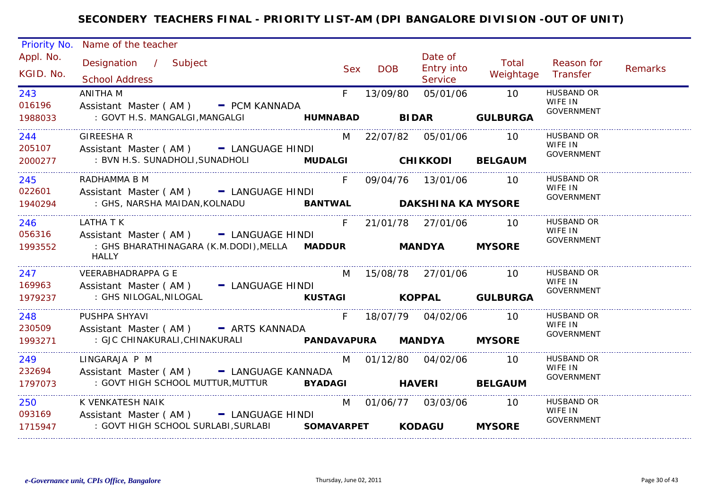| Priority No.           | Name of the teacher                                                                                  |       |            |                                         |                    |                                                   |         |
|------------------------|------------------------------------------------------------------------------------------------------|-------|------------|-----------------------------------------|--------------------|---------------------------------------------------|---------|
| Appl. No.<br>KGID. No. | Designation / Subject<br><b>School Address</b>                                                       | Sex   | <b>DOB</b> | Date of<br><b>Entry into</b><br>Service | Total<br>Weightage | Reason for<br>Transfer                            | Remarks |
| 243<br>016196          | ANITHA M<br>Assistant Master (AM) - PCM KANNADA                                                      | $F =$ | 13/09/80   | 05/01/06                                | 10                 | <b>HUSBAND OR</b><br>WIFE IN<br><b>GOVERNMENT</b> |         |
| 1988033                | : GOVT H.S. MANGALGI, MANGALGI <b>HUMNABAD BIDAR GULBURGA</b>                                        |       |            |                                         |                    |                                                   |         |
| 244<br>205107          | <b>GIREESHAR</b><br>Assistant Master (AM) - LANGUAGE HINDI                                           |       |            | M 22/07/82 05/01/06 10                  |                    | HUSBAND OR<br>WIFE IN                             |         |
| 2000277                | : BVN H.S. SUNADHOLI, SUNADHOLI MUDALGI CHIKKODI BELGAUM                                             |       |            |                                         |                    | <b>GOVERNMENT</b>                                 |         |
| 245<br>022601          | RADHAMMA B M<br>Assistant Master (AM) - LANGUAGE HINDI                                               | F.    |            | 09/04/76 13/01/06 10                    |                    | <b>HUSBAND OR</b><br>WIFE IN<br><b>GOVERNMENT</b> |         |
| 1940294                | : GHS, NARSHA MAIDAN, KOLNADU <b>BANTWAL DAKSHINA KA MYSORE</b>                                      |       |            |                                         |                    |                                                   |         |
| 246                    | LATHA T K<br>056316 Assistant Master (AM) - LANGUAGE HINDI                                           |       |            | F 21/01/78 27/01/06 10                  |                    | <b>HUSBAND OR</b><br>WIFE IN                      |         |
| 1993552                | : GHS BHARATHINAGARA (K.M.DODI),MELLA MADDUR<br><b>HALLY</b>                                         |       |            | <b>MANDYA MYSORE</b>                    |                    | <b>GOVERNMENT</b>                                 |         |
| 247<br>169963          | VEERABHADRAPPA G E<br>Assistant Master (AM) - LANGUAGE HINDI                                         | M     |            | 15/08/78 27/01/06 10                    |                    | HUSBAND OR<br>WIFE IN                             |         |
| 1979237                | KUSTAGI KOPPAL GULBURGA<br>: GHS NILOGAL,NILOGAL                                                     |       |            |                                         |                    | GOVERNMENT                                        |         |
| 248<br>230509          | PUSHPA SHYAVI                                                                                        |       |            | F 18/07/79 04/02/06                     | $\overline{10}$    | <b>HUSBAND OR</b><br>WIFE IN                      |         |
| 1993271                | Assistant Master (AM) - ARTS KANNADA                                                                 |       |            |                                         |                    | GOVERNMENT                                        |         |
| 249                    | LINGARAJA P M                                                                                        |       |            | M 01/12/80 04/02/06 10                  |                    | <b>HUSBAND OR</b><br>WIFE IN                      |         |
| 232694<br>1797073      | Assistant Master (AM) - LANGUAGE KANNADA<br>: GOVT HIGH SCHOOL MUTTUR, MUTTUR BYADAGI HAVERI BELGAUM |       |            |                                         |                    | <b>GOVERNMENT</b>                                 |         |
| 250 31                 | K VENKATESH NAIK<br>093169 Assistant Master (AM) - LANGUAGE HINDI                                    |       |            | M 01/06/77 03/03/06 10                  |                    | HUSBAND OR<br>WIFE IN                             |         |
| 1715947                | : GOVT HIGH SCHOOL SURLABI, SURLABI SOMAVARPET KODAGU                                                |       |            |                                         | <b>MYSORE</b>      | GOVERNMENT                                        |         |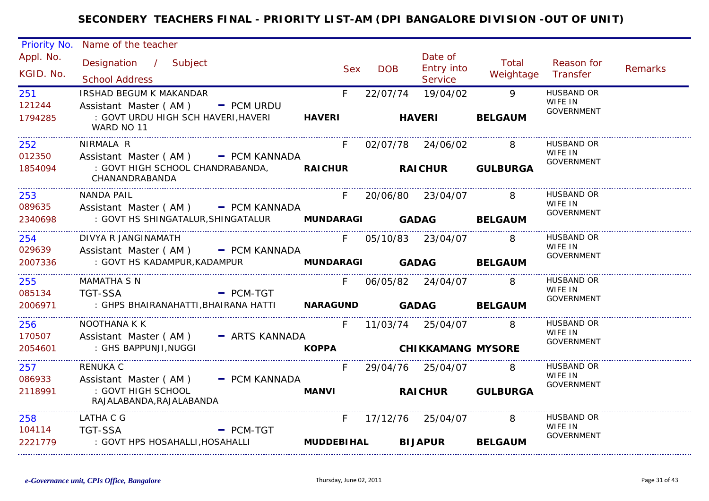| Priority No.                                 | Name of the teacher                                                                                                                   |                        |                 |                                                |                                                       |                                                   |                |
|----------------------------------------------|---------------------------------------------------------------------------------------------------------------------------------------|------------------------|-----------------|------------------------------------------------|-------------------------------------------------------|---------------------------------------------------|----------------|
| Appl. No.<br>KGID. No.                       | Designation / Subject<br><b>School Address</b>                                                                                        | <b>Sex</b>             | <b>DOB</b>      | Date of<br><b>Entry into</b><br><b>Service</b> | Total<br>Weightage                                    | Reason for<br>Transfer                            | <b>Remarks</b> |
| 251<br>121244<br>1794285                     | IRSHAD BEGUM K MAKANDAR<br>Assistant Master ( $AM$ ) $-$ PCM URDU<br>: GOVT URDU HIGH SCH HAVERI, HAVERI<br>WARD NO 11                | F<br><b>HAVERI</b>     | 22/07/74        | 19/04/02<br><b>HAVERI</b>                      | $\overline{Q}$<br><b>BELGAUM</b>                      | <b>HUSBAND OR</b><br>WIFE IN<br><b>GOVERNMENT</b> |                |
| 252<br>012350<br>1854094                     | NIRMALA R<br>Assistant Master ( $AM$ ) $=$ PCM KANNADA<br>: GOVT HIGH SCHOOL CHANDRABANDA, RAICHUR RAICHUR GULBURGA<br>CHANANDRABANDA | F.                     |                 | 02/07/78 24/06/02                              | 8                                                     | <b>HUSBAND OR</b><br>WIFE IN<br><b>GOVERNMENT</b> |                |
| 253<br>089635<br>2340698                     | NANDA PAIL<br>Assistant Master (AM) - PCM KANNADA<br>: GOVT HS SHINGATALUR, SHINGATALUR MUNDARAGI GADAG                               | F.                     |                 | 20/06/80 23/04/07                              | 8 <sup>8</sup><br><b>BELGAUM</b>                      | <b>HUSBAND OR</b><br>WIFE IN<br>GOVERNMENT        |                |
| 254<br>029639<br>2007336                     | DIVYA R JANGINAMATH<br>Assistant Master (AM) - PCM KANNADA<br>: GOVT HS KADAMPUR, KADAMPUR                                            |                        | MUNDARAGI GADAG | F 05/10/83 23/04/07 8                          | <b>BELGAUM</b>                                        | HUSBAND OR<br>WIFE IN<br>GOVERNMENT               |                |
| 255<br>085134<br>2006971                     | MAMATHA S N<br><b>TGT-SSA</b><br>- PCM-TGT<br>: GHPS BHAIRANAHATTI,BHAIRANA HATTI                                                     | $F =$                  |                 | 06/05/82 24/04/07<br>NARAGUND GADAG BELGAUM    | 8                                                     | <b>HUSBAND OR</b><br>WIFE IN<br><b>GOVERNMENT</b> |                |
| 256<br>170507<br>2054601                     | NOOTHANA K K<br>Assistant Master (AM) - ARTS KANNADA<br>: GHS BAPPUNJI, NUGGI                                                         |                        |                 | F 11/03/74 25/04/07<br>KOPPA CHIKKAMANG MYSORE | $\overline{\phantom{a}}$ 8                            | <b>HUSBAND OR</b><br>WIFE IN<br><b>GOVERNMENT</b> |                |
| 257<br>086933<br>2118991<br>________________ | <b>RENUKA C</b><br>Assistant Master (AM) - PCM KANNADA<br>: GOVT HIGH SCHOOL<br>RAJALABANDA, RAJALABANDA                              | <b>MANVI</b>           |                 | F 29/04/76 25/04/07                            | $\overline{\phantom{a}}$ 8<br><b>RAICHUR GULBURGA</b> | <b>HUSBAND OR</b><br>WIFE IN<br><b>GOVERNMENT</b> |                |
| 258<br>104114<br>2221779                     | LATHA C G<br><b>TGT-SSA</b><br>$-$ PCM-TGT<br>: GOVT HPS HOSAHALLI, HOSAHALLI                                                         | F<br><b>MUDDEBIHAL</b> |                 | 17/12/76 25/04/07<br><b>BIJAPUR</b>            | 8<br><b>BELGAUM</b>                                   | <b>HUSBAND OR</b><br>WIFE IN<br><b>GOVERNMENT</b> |                |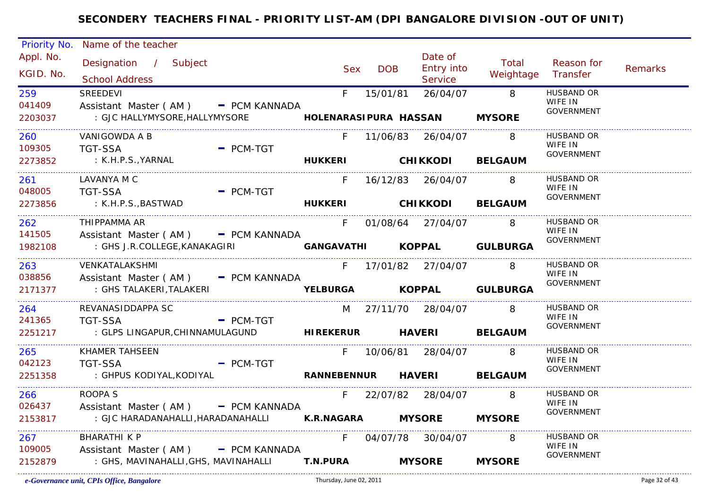| Priority No.      | Name of the teacher                                      |                       |            |                     |                            |                              |                |
|-------------------|----------------------------------------------------------|-----------------------|------------|---------------------|----------------------------|------------------------------|----------------|
| Appl. No.         | Designation / Subject                                    |                       |            | Date of             | Total                      | Reason for                   |                |
| KGID. No.         | <b>School Address</b>                                    | <b>Sex</b>            | <b>DOB</b> | <b>Entry into</b>   | Weightage                  | Transfer                     | <b>Remarks</b> |
| 259               | <b>SREEDEVI</b>                                          | $F_{\perp}$           | 15/01/81   | Service<br>26/04/07 | $\overline{\phantom{0}}$ 8 | <b>HUSBAND OR</b>            |                |
| 041409            | Assistant Master (AM) - PCM KANNADA                      |                       |            |                     |                            | WIFE IN                      |                |
| 2203037           | : GJC HALLYMYSORE, HALLYMYSORE                           | HOLENARASIPURA HASSAN |            |                     | <b>MYSORE</b>              | <b>GOVERNMENT</b>            |                |
|                   |                                                          |                       |            |                     |                            | <b>HUSBAND OR</b>            |                |
| 260<br>109305     | VANIGOWDA A B<br><b>TGT-SSA</b><br>$=$ PCM-TGT           | F.                    |            | 11/06/83  26/04/07  | 8                          | WIFE IN                      |                |
| 2273852           | : K.H.P.S., YARNAL                                       | HUKKERI CHIKKODI      |            |                     | <b>BELGAUM</b>             | <b>GOVERNMENT</b>            |                |
|                   |                                                          |                       |            |                     |                            |                              |                |
| 261               | LAVANYA M C                                              | F.                    |            | 16/12/83 26/04/07   | -8                         | HUSBAND OR<br>WIFE IN        |                |
| 048005<br>2273856 | TGT-SSA<br>$-$ PCM-TGT<br><b>Example 19 HUKKERI</b>      |                       |            |                     |                            | <b>GOVERNMENT</b>            |                |
|                   | : K.H.P.S.,BASTWAD                                       |                       |            |                     | <b>CHIKKODI BELGAUM</b>    |                              |                |
| 262               | THIPPAMMA AR                                             | F                     |            | 01/08/64 27/04/07 8 |                            | HUSBAND OR<br>WIFE IN        |                |
| 141505            | Assistant Master (AM) - PCM KANNADA                      |                       |            |                     |                            | <b>GOVERNMENT</b>            |                |
| 1982108           | : GHS J.R.COLLEGE,KANAKAGIRI                             |                       |            |                     | GANGAVATHI KOPPAL GULBURGA |                              |                |
| 263               | VENKATALAKSHMI                                           |                       |            | F 17/01/82 27/04/07 | 8                          | <b>HUSBAND OR</b>            |                |
| 038856            | Assistant Master ( $AM$ ) $-$ PCM KANNADA                |                       |            |                     |                            | WIFE IN<br><b>GOVERNMENT</b> |                |
| 2171377           | : GHS TALAKERI, TALAKERI                                 |                       |            |                     | YELBURGA KOPPAL GULBURGA   |                              |                |
| 264               | REVANASIDDAPPA SC                                        |                       |            | M 27/11/70 28/04/07 | 8                          | HUSBAND OR                   |                |
| 241365            | <b>TGT-SSA</b><br>$-$ PCM-TGT                            |                       |            |                     |                            | WIFE IN<br>GOVERNMENT        |                |
| 2251217           | : GLPS LINGAPUR, CHINNAMULAGUND HIREKERUR HAVERI BELGAUM |                       |            |                     |                            |                              |                |
| 265               | <b>KHAMER TAHSEEN</b>                                    | F.                    |            | 10/06/81 28/04/07 8 |                            | <b>HUSBAND OR</b>            |                |
| 042123            | <b>TGT-SSA</b><br>$-$ PCM-TGT                            |                       |            |                     |                            | WIFE IN<br>GOVERNMENT        |                |
| 2251358           | : GHPUS KODIYAL,KODIYAL<br>RANNEBENNUR HAVERI            |                       |            |                     | <b>BELGAUM</b>             |                              |                |
| 266               | ROOPA S                                                  | F                     |            | 22/07/82 28/04/07   | $\overline{\mathbf{8}}$    | HUSBAND OR                   |                |
| 026437            | Assistant Master (AM) - PCM KANNADA                      |                       |            |                     |                            | WIFE IN<br><b>GOVERNMENT</b> |                |
| 2153817           | : GJC HARADANAHALLI, HARADANAHALLI K.R.NAGARA MYSORE     |                       |            |                     | <b>MYSORE</b>              |                              |                |
| 267               | <b>BHARATHI K P</b>                                      | F.                    |            | 04/07/78 30/04/07   | -8                         | <b>HUSBAND OR</b>            |                |
| 109005            | Assistant Master (AM) - PCM KANNADA                      |                       |            |                     |                            | WIFE IN<br><b>GOVERNMENT</b> |                |
| 2152879           | : GHS, MAVINAHALLI, GHS, MAVINAHALLI <b>T.N.PURA</b>     |                       |            | <b>MYSORE</b>       | <b>MYSORE</b>              |                              |                |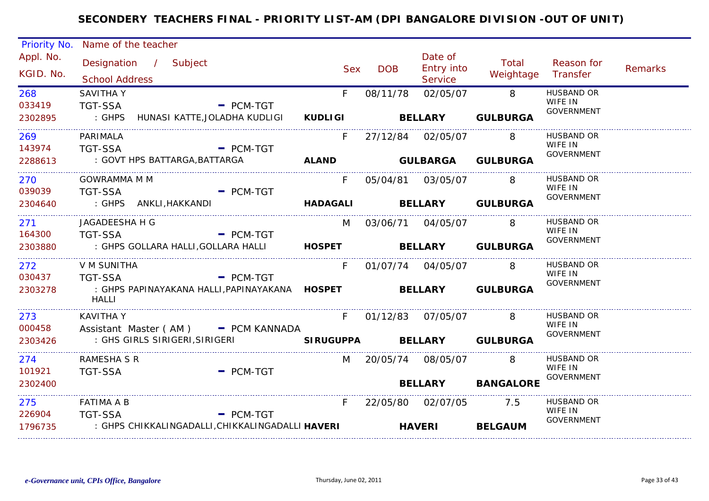| Priority No.           | Name of the teacher                            |  |                                                                                                       |   |            |                       |                                  |                         |                                                   |                |
|------------------------|------------------------------------------------|--|-------------------------------------------------------------------------------------------------------|---|------------|-----------------------|----------------------------------|-------------------------|---------------------------------------------------|----------------|
| Appl. No.<br>KGID. No. | Designation / Subject<br><b>School Address</b> |  |                                                                                                       |   | <b>Sex</b> | <b>DOB</b>            | Date of<br>Entry into<br>Service | Total<br>Weightage      | Reason for<br>Transfer                            | <b>Remarks</b> |
| 268<br>033419          | <b>SAVITHA Y</b><br>TGT-SSA                    |  | $-$ PCM-TGT                                                                                           | F |            | 08/11/78              | 02/05/07                         | 8 <sup>8</sup>          | <b>HUSBAND OR</b><br>WIFE IN<br><b>GOVERNMENT</b> |                |
| 2302895                |                                                |  |                                                                                                       |   |            |                       |                                  |                         |                                                   |                |
| 269<br>143974          | PARIMALA<br>TGT-SSA                            |  | $-$ PCM-TGT                                                                                           | F |            |                       |                                  | 8                       | <b>HUSBAND OR</b><br>WIFE IN                      |                |
| 2288613                | : GOVT HPS BATTARGA, BATTARGA                  |  |                                                                                                       |   |            |                       |                                  | ALAND GULBARGA GULBURGA | <b>GOVERNMENT</b>                                 |                |
| 270<br>039039          | <b>GOWRAMMA M M</b>                            |  | TGT-SSA - PCM-TGT                                                                                     | F |            | 05/04/81  03/05/07    |                                  | 8                       | HUSBAND OR<br>WIFE IN<br><b>GOVERNMENT</b>        |                |
| 2304640                |                                                |  |                                                                                                       |   |            |                       |                                  |                         |                                                   |                |
| 271<br>164300          | JAGADEESHA H G<br>TGT-SSA                      |  | $-$ PCM-TGT                                                                                           |   |            | M 03/06/71 04/05/07   |                                  | -8                      | HUSBAND OR<br>WIFE IN<br><b>GOVERNMENT</b>        |                |
| 2303880                |                                                |  | : GHPS GOLLARA HALLI, GOLLARA HALLI <b>HOSPET</b> BELLARY GULBURGA                                    |   |            |                       |                                  |                         |                                                   |                |
| 272                    | V M SUNITHA                                    |  |                                                                                                       | F |            |                       |                                  | 8                       | HUSBAND OR<br>WIFE IN                             |                |
| 030437<br>2303278      | <b>TGT-SSA</b><br><b>HALLI</b>                 |  | $=$ PCM-TGT<br>: GHPS PAPINAYAKANA HALLI,PAPINAYAKANA HOSPET                 BELLARY         GULBURGA |   |            |                       |                                  |                         | <b>GOVERNMENT</b>                                 |                |
| 273                    | <b>KAVITHA Y</b>                               |  |                                                                                                       |   |            | F 01/12/83 07/05/07 8 |                                  |                         | <b>HUSBAND OR</b><br>WIFE IN                      |                |
| 000458<br>2303426      |                                                |  | Assistant Master (AM) - PCM KANNADA                                                                   |   |            |                       |                                  |                         | <b>GOVERNMENT</b>                                 |                |
| 274                    | RAMESHA S R                                    |  |                                                                                                       |   |            | M 20/05/74 08/05/07 8 |                                  |                         | HUSBAND OR<br>WIFE IN                             |                |
| 101921<br>2302400      | <b>TGT-SSA</b>                                 |  | $-$ PCM-TGT                                                                                           |   |            |                       |                                  | BELLARY BANGALORE       | GOVERNMENT                                        |                |
| 275                    | <b>FATIMA A B</b>                              |  |                                                                                                       | F |            | 22/05/80 02/07/05 7.5 |                                  |                         | HUSBAND OR<br>WIFE IN                             |                |
| 226904<br>1796735      | <b>TGT-SSA</b>                                 |  | $=$ PCM-TGT<br>: GHPS CHIKKALINGADALLI,CHIKKALINGADALLI HAVERI                                        |   |            |                       | <b>HAVERI</b>                    | <b>BELGAUM</b>          | <b>GOVERNMENT</b>                                 |                |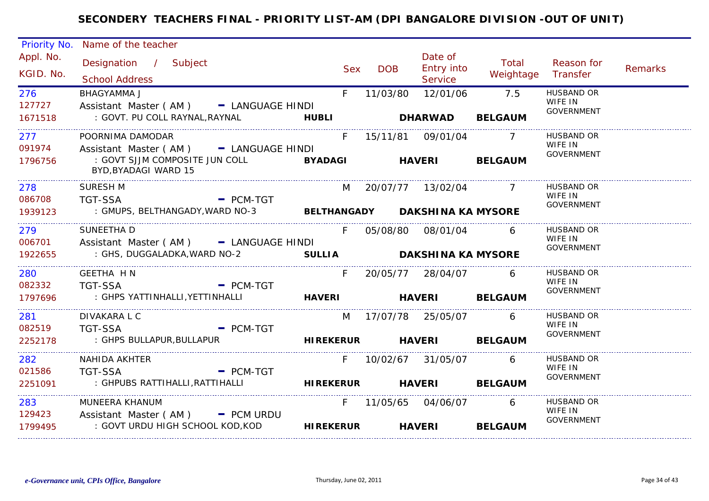| Priority No.           | Name of the teacher                                                                                                     |                                |                       |                                  |                    |                              |         |
|------------------------|-------------------------------------------------------------------------------------------------------------------------|--------------------------------|-----------------------|----------------------------------|--------------------|------------------------------|---------|
| Appl. No.<br>KGID. No. | Designation / Subject<br><b>School Address</b>                                                                          | <b>Sex</b>                     | <b>DOB</b>            | Date of<br>Entry into<br>Service | Total<br>Weightage | Reason for<br>Transfer       | Remarks |
| 276<br>127727          | <b>BHAGYAMMA J</b><br>Assistant Master (AM) - LANGUAGE HINDI                                                            | F.                             | 11/03/80              | 12/01/06                         | 7.5                | <b>HUSBAND OR</b><br>WIFE IN |         |
| 1671518                | : GOVT. PU COLL RAYNAL, RAYNAL                                                                                          | <b>Example 19 HUBLI</b>        | <b>DHARWAD</b>        |                                  | <b>BELGAUM</b>     | <b>GOVERNMENT</b>            |         |
| 277<br>091974          | POORNIMA DAMODAR<br>Assistant Master (AM) - LANGUAGE HINDI                                                              | F                              | 15/11/81  09/01/04    |                                  | $\overline{7}$     | HUSBAND OR<br>WIFE IN        |         |
| 1796756                | : GOVT SJJM COMPOSITE JUN COLL<br>BYD, BYADAGI WARD 15                                                                  | <b>EXAMPLE STATE BY ADAGE</b>  |                       | <b>HAVERI</b>                    | <b>BELGAUM</b>     | <b>GOVERNMENT</b>            |         |
| 278<br>086708          | <b>SURESH M</b><br>TGT-SSA                                                                                              | $=$ PCM-TGT                    | M 20/07/77 13/02/04 7 |                                  |                    | <b>HUSBAND OR</b><br>WIFE IN |         |
| 1939123                | : GMUPS, BELTHANGADY, WARD NO-3                                                                                         | BELTHANGADY DAKSHINA KA MYSORE |                       |                                  |                    | <b>GOVERNMENT</b>            |         |
| 279<br>006701          | SUNEETHA D<br>Assistant Master (AM) - LANGUAGE HINDI                                                                    | $F =$                          | 05/08/80 08/01/04 6   |                                  |                    | <b>HUSBAND OR</b><br>WIFE IN |         |
| 1922655                | : GHS, DUGGALADKA,WARD NO-2                                                                                             | SULLIA DAKSHINA KA MYSORE      |                       |                                  |                    | GOVERNMENT                   |         |
| 280                    | GEETHA H N                                                                                                              | F                              | 20/05/77 28/04/07     |                                  | 6                  | HUSBAND OR<br>WIFE IN        |         |
| 082332<br>1797696      | <b>TGT-SSA</b><br>$\blacksquare$ PCM-TGT                                                                                |                                |                       |                                  |                    | GOVERNMENT                   |         |
| 281                    | DIVAKARA L C                                                                                                            |                                | M 17/07/78 25/05/07   |                                  | 6                  | HUSBAND OR<br>WIFE IN        |         |
| 082519<br>2252178      | <b>TGT-SSA</b><br>- PCM-TGT<br>: GHPS BULLAPUR, BULLAPUR                         HIREKERUR         HAVERI       BELGAUM |                                |                       |                                  |                    | <b>GOVERNMENT</b>            |         |
| 282                    | NAHIDA AKHTER                                                                                                           |                                | F 10/02/67 31/05/07   |                                  | 6                  | <b>HUSBAND OR</b><br>WIFE IN |         |
| 021586<br>2251091      | $-$ PCM-TGT<br>TGT-SSA                                                                                                  |                                |                       |                                  | <b>BELGAUM</b>     | GOVERNMENT                   |         |
| 283<br>129423          | MUNEERA KHANUM                                                                                                          |                                | F 11/05/65 04/06/07   |                                  | $6\overline{6}$    | HUSBAND OR<br>WIFE IN        |         |
| 1799495                | Assistant Master (AM) - PCM URDU<br>: GOVT URDU HIGH SCHOOL KOD,KOD                                                     | <b>HIREKERUR</b>               |                       | <b>HAVERI</b>                    | <b>BELGAUM</b>     | <b>GOVERNMENT</b>            |         |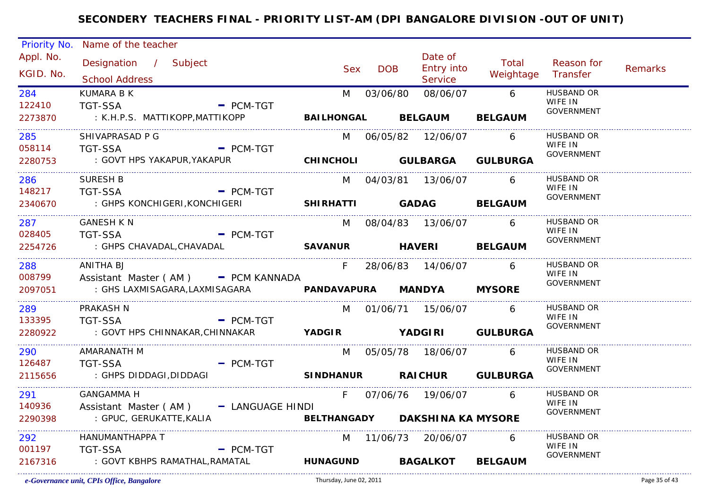| Priority No. | Name of the teacher                                            |                             |            |                                |                |                              |                |
|--------------|----------------------------------------------------------------|-----------------------------|------------|--------------------------------|----------------|------------------------------|----------------|
| Appl. No.    | Designation / Subject                                          |                             |            | Date of                        | Total          | Reason for                   |                |
| KGID. No.    | <b>School Address</b>                                          | <b>Sex</b>                  | <b>DOB</b> | <b>Entry into</b><br>Service   | Weightage      | Transfer                     | <b>Remarks</b> |
| 284          | <b>KUMARA B K</b>                                              | M                           | 03/06/80   |                                | 08/06/07 6     | <b>HUSBAND OR</b>            |                |
| 122410       | <b>TGT-SSA</b>                                                 | $-$ PCM-TGT                 |            |                                |                | WIFE IN<br><b>GOVERNMENT</b> |                |
| 2273870      | : K.H.P.S. MATTIKOPP,MATTIKOPP                                 |                             |            | BAILHONGAL BELGAUM             | <b>BELGAUM</b> |                              |                |
| 285          | SHIVAPRASAD P G                                                |                             |            | M 06/05/82 12/06/07            | 6              | <b>HUSBAND OR</b>            |                |
| 058114       | <b>TGT-SSA</b>                                                 | $=$ PCM-TGT                 |            |                                |                | WIFE IN<br><b>GOVERNMENT</b> |                |
| 2280753      | : GOVT HPS YAKAPUR, YAKAPUR                                    | CHINCHOLI GULBARGA GULBURGA |            |                                |                |                              |                |
| 286          | <b>SURESH B</b>                                                |                             |            | M 04/03/81 13/06/07            | 6              | HUSBAND OR<br>WIFE IN        |                |
| 148217       | <b>TGT-SSA</b>                                                 | $-$ PCM-TGT                 |            |                                |                | <b>GOVERNMENT</b>            |                |
| 2340670      |                                                                |                             |            |                                |                |                              |                |
| 287          | <b>GANESH K N</b>                                              |                             |            | M 08/04/83 13/06/07            | 6              | HUSBAND OR                   |                |
| 028405       | <b>TGT-SSA</b>                                                 | $=$ PCM-TGT                 |            |                                |                | WIFE IN<br><b>GOVERNMENT</b> |                |
| 2254726      | : GHPS CHAVADAL, CHAVADAL                                      |                             |            | SAVANUR HAVERI BELGAUM         |                |                              |                |
| 288          | ANITHA BJ                                                      |                             |            | F 28/06/83 14/06/07            | 6              | HUSBAND OR                   |                |
| 008799       | Assistant Master (AM) - PCM KANNADA                            |                             |            |                                |                | WIFE IN<br><b>GOVERNMENT</b> |                |
| 2097051      | : GHS LAXMISAGARA,LAXMISAGARA                                  | PANDAVAPURA MANDYA MYSORE   |            |                                |                |                              |                |
| 289          | PRAKASH N                                                      |                             |            | M 01/06/71 15/06/07            | 6              | <b>HUSBAND OR</b><br>WIFE IN |                |
| 133395       | <b>TGT-SSA</b>                                                 | $-$ PCM-TGT                 |            |                                |                | <b>GOVERNMENT</b>            |                |
| 2280922      | : GOVT HPS CHINNAKAR, CHINNAKAR <b>YADGIR</b> YADGIRI GULBURGA |                             |            |                                |                |                              |                |
| 290          | AMARANATH M                                                    |                             |            | M 05/05/78 18/06/07 6          |                | <b>HUSBAND OR</b><br>WIFE IN |                |
| 126487       | <b>TGT-SSA</b>                                                 | $-$ PCM-TGT                 |            |                                |                | <b>GOVERNMENT</b>            |                |
| 2115656      | : GHPS DIDDAGI,DIDDAGI                                         | SINDHANUR RAICHUR GULBURGA  |            |                                |                |                              |                |
| 291          | <b>GANGAMMA H</b>                                              | $F =$                       |            | 07/06/76 19/06/07 6            |                | HUSBAND OR                   |                |
| 140936       | Assistant Master (AM) - LANGUAGE HINDI                         |                             |            |                                |                | WIFE IN<br><b>GOVERNMENT</b> |                |
| 2290398      | : GPUC, GERUKATTE,KALIA                                        |                             |            | BELTHANGADY DAKSHINA KA MYSORE |                |                              |                |
| 292          | HANUMANTHAPPA T                                                |                             |            | M 11/06/73 20/06/07            | 6              | HUSBAND OR<br>WIFE IN        |                |
| 001197       | <b>TGT-SSA</b>                                                 | $=$ PCM-TGT                 |            |                                |                | GOVERNMENT                   |                |
| 2167316      | : GOVT KBHPS RAMATHAL,RAMATAL                                  | <b>HUNAGUND BAGALKOT</b>    |            |                                | <b>BELGAUM</b> |                              |                |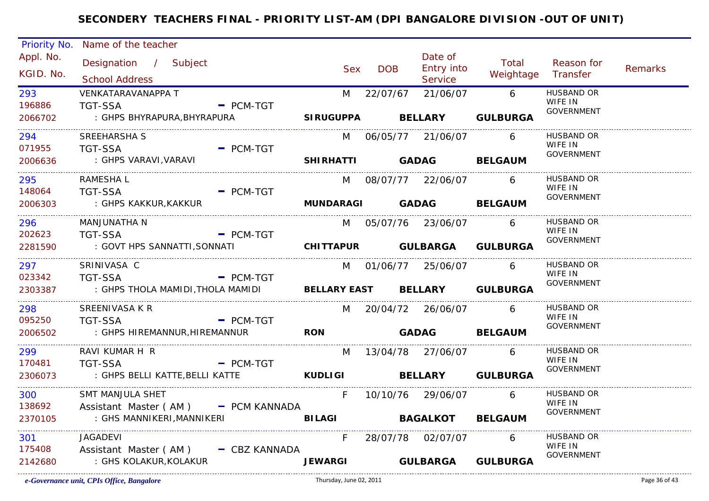| Priority No.                 | Name of the teacher                                |                |            |                               |                    |                              |                |
|------------------------------|----------------------------------------------------|----------------|------------|-------------------------------|--------------------|------------------------------|----------------|
| Appl. No.                    | Designation / Subject                              |                |            | Date of                       | Total              | Reason for                   |                |
| KGID. No.                    |                                                    | <b>Sex</b>     | <b>DOB</b> | Entry into                    | Weightage Transfer |                              | <b>Remarks</b> |
|                              | <b>School Address</b>                              |                |            | Service                       |                    |                              |                |
| 293                          | VENKATARAVANAPPA T                                 |                | M 22/07/67 | 21/06/07 6                    |                    | <b>HUSBAND OR</b><br>WIFE IN |                |
| 196886                       | <b>TGT-SSA</b><br>$-$ PCM-TGT                      |                |            |                               |                    | <b>GOVERNMENT</b>            |                |
| 2066702                      | : GHPS BHYRAPURA, BHYRAPURA                        |                |            | SIRUGUPPA BELLARY GULBURGA    |                    |                              |                |
| 294                          | SREEHARSHA S                                       |                |            | M 06/05/77 21/06/07           | 6                  | <b>HUSBAND OR</b>            |                |
| 071955                       | <b>TGT-SSA</b><br>$=$ PCM-TGT                      |                |            |                               |                    | WIFE IN<br>GOVERNMENT        |                |
| 2006636<br>_________________ | : GHPS VARAVI,VARAVI                               |                |            | SHIRHATTI GADAG BELGAUM       |                    |                              |                |
| 295                          | RAMESHA L                                          |                |            | M 08/07/77 22/06/07           | 6                  | HUSBAND OR                   |                |
| 148064                       | <b>TGT-SSA</b><br>$-$ PCM-TGT                      |                |            |                               |                    | WIFE IN<br><b>GOVERNMENT</b> |                |
| 2006303                      | : GHPS KAKKUR,KAKKUR                               |                |            | MUNDARAGI GADAG BELGAUM       |                    |                              |                |
| 296                          | MANJUNATHA N                                       |                |            | M 05/07/76 23/06/07 6         |                    | HUSBAND OR                   |                |
| 202623                       | TGT-SSA<br>- PCM-TGT                               |                |            |                               |                    | WIFE IN<br><b>GOVERNMENT</b> |                |
| 2281590                      | : GOVT HPS SANNATTI, SONNATI                       |                |            | CHITTAPUR GULBARGA GULBURGA   |                    |                              |                |
| 297 — 297                    | SRINIVASA C                                        |                |            | M 01/06/77 25/06/07           | 6                  | <b>HUSBAND OR</b>            |                |
| 023342                       | <b>TGT-SSA</b><br>$=$ PCM-TGT                      |                |            |                               |                    | WIFE IN<br><b>GOVERNMENT</b> |                |
| 2303387                      | : GHPS THOLA MAMIDI,THOLA MAMIDI                   |                |            | BELLARY EAST BELLARY GULBURGA |                    |                              |                |
| 298                          | SREENIVASA K R                                     |                |            | M 20/04/72 26/06/07           | 6                  | <b>HUSBAND OR</b>            |                |
| 095250                       | <b>TGT-SSA</b><br>$=$ PCM-TGT                      |                |            |                               |                    | WIFE IN<br>GOVERNMENT        |                |
| 2006502                      | : GHPS HIREMANNUR, HIREMANNUR                      | <b>RON</b>     |            | GADAG BELGAUM                 |                    |                              |                |
| 299 —                        | RAVI KUMAR H R                                     | M              |            | 13/04/78 27/06/07 6           |                    | HUSBAND OR<br>WIFE IN        |                |
| 170481                       | <b>TGT-SSA</b><br>$\overline{\phantom{a}}$ PCM-TGT |                |            |                               |                    | <b>GOVERNMENT</b>            |                |
| 2306073                      | : GHPS BELLI KATTE, BELLI KATTE                    |                |            | <b>KUDLIGI BELLARY</b>        | <b>GULBURGA</b>    |                              |                |
| 300                          | SMT MANJULA SHET                                   | F              |            | 10/10/76 29/06/07             | $\sim$ 6           | HUSBAND OR                   |                |
| 138692                       | Assistant Master (AM) - PCM KANNADA                |                |            |                               |                    | WIFE IN<br><b>GOVERNMENT</b> |                |
| 2370105                      | : GHS MANNIKERI,MANNIKERI                          |                |            | BILAGI BAGALKOT BELGAUM       |                    |                              |                |
| 301                          | JAGADEVI                                           | $F =$          |            | 28/07/78 02/07/07             | 6                  | HUSBAND OR                   |                |
| 175408                       | Assistant Master (AM) - CBZ KANNADA                |                |            |                               |                    | WIFE IN<br><b>GOVERNMENT</b> |                |
| 2142680                      | : GHS KOLAKUR,KOLAKUR                              | <b>JEWARGI</b> |            | <b>GULBARGA GULBURGA</b>      |                    |                              |                |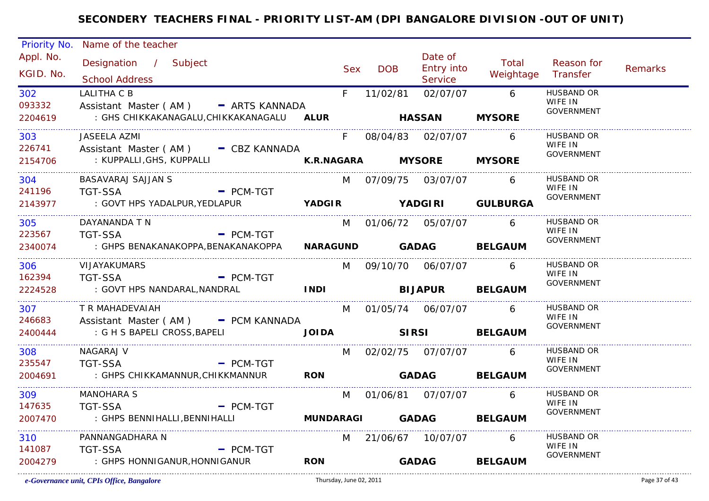| Priority No. | Name of the teacher                         |              |            |            |                       |                         |                              |                |
|--------------|---------------------------------------------|--------------|------------|------------|-----------------------|-------------------------|------------------------------|----------------|
| Appl. No.    | Designation / Subject                       |              |            |            | Date of               | Total                   | Reason for                   |                |
| KGID. No.    |                                             |              | <b>Sex</b> | <b>DOB</b> | <b>Entry into</b>     | Weightage Transfer      |                              | <b>Remarks</b> |
|              | <b>School Address</b>                       |              |            |            | Service               |                         |                              |                |
| 302          | <b>LALITHA C B</b>                          |              | F.         | 11/02/81   | 02/07/07 6            |                         | <b>HUSBAND OR</b><br>WIFE IN |                |
| 093332       | Assistant Master (AM) - ARTS KANNADA        |              |            |            |                       |                         | <b>GOVERNMENT</b>            |                |
| 2204619      | : GHS CHIKKAKANAGALU, CHIKKAKANAGALU ALUR   |              |            |            | <b>HASSAN</b>         | <b>MYSORE</b>           |                              |                |
| 303          | JASEELA AZMI                                |              | F          |            |                       | 6                       | <b>HUSBAND OR</b>            |                |
| 226741       | Assistant Master (AM) - CBZ KANNADA         |              |            |            |                       |                         | WIFE IN<br><b>GOVERNMENT</b> |                |
| 2154706      |                                             |              |            |            |                       |                         |                              |                |
| 304          | BASAVARAJ SAJJAN S                          |              |            |            | M 07/09/75 03/07/07   | 6                       | HUSBAND OR                   |                |
| 241196       | <b>TGT-SSA</b><br>- PCM-TGT                 |              |            |            |                       |                         | WIFE IN<br><b>GOVERNMENT</b> |                |
| 2143977      | : GOVT HPS YADALPUR, YEDLAPUR               |              |            |            |                       | YADGIR YADGIRI GULBURGA |                              |                |
| 305          | DAYANANDA T N                               |              |            |            | M 01/06/72 05/07/07   | 6                       | HUSBAND OR                   |                |
| 223567       | $=$ PCM-TGT<br><b>TGT-SSA</b>               |              |            |            |                       |                         | WIFE IN<br><b>GOVERNMENT</b> |                |
| 2340074      | : GHPS BENAKANAKOPPA,BENAKANAKOPPA          |              |            |            |                       | NARAGUND GADAG BELGAUM  |                              |                |
| 306          | <b>VIJAYAKUMARS</b>                         |              |            |            | M 09/10/70 06/07/07   | 6                       | HUSBAND OR                   |                |
| 162394       | <b>TGT-SSA</b><br>$-$ PCM-TGT               |              |            |            |                       |                         | WIFE IN<br><b>GOVERNMENT</b> |                |
| 2224528      | : GOVT HPS NANDARAL,NANDRAL                 | <b>INDI</b>  |            |            |                       | <b>BIJAPUR BELGAUM</b>  |                              |                |
| 307          | T R MAHADEVAIAH                             |              |            |            | M 01/05/74 06/07/07   | 6                       | HUSBAND OR                   |                |
| 246683       | Assistant Master (AM) - PCM KANNADA         |              |            |            |                       |                         | WIFE IN<br>GOVERNMENT        |                |
| 2400444      | : G H S BAPELI CROSS, BAPELI                | <b>JOIDA</b> |            |            |                       | <b>SIRSI BELGAUM</b>    |                              |                |
| 308          | NAGARAJ V                                   |              | M          |            |                       | 6                       | <b>HUSBAND OR</b>            |                |
| 235547       | <b>TGT-SSA</b><br><b>Example 19 PCM-TGT</b> |              |            |            |                       |                         | WIFE IN<br><b>GOVERNMENT</b> |                |
| 2004691      | : GHPS CHIKKAMANNUR, CHIKKMANNUR            | <b>RON</b>   |            |            | <b>GADAG</b>          | <b>BELGAUM</b>          |                              |                |
| 309          | <b>MANOHARA S</b>                           |              |            |            | M 01/06/81 07/07/07   | 6                       | HUSBAND OR                   |                |
| 147635       | <b>TGT-SSA</b><br>$-$ PCM-TGT               |              |            |            |                       |                         | WIFE IN<br><b>GOVERNMENT</b> |                |
| 2007470      | : GHPS BENNIHALLI, BENNIHALLI               |              |            |            |                       | MUNDARAGI GADAG BELGAUM |                              |                |
| 310          | PANNANGADHARA N                             |              |            |            | M 21/06/67 10/07/07 6 |                         | HUSBAND OR                   |                |
| 141087       | <b>TGT-SSA</b><br>$-$ PCM-TGT               |              |            |            |                       |                         | WIFE IN<br><b>GOVERNMENT</b> |                |
| 2004279      | : GHPS HONNIGANUR, HONNIGANUR               | <b>RON</b>   |            |            | <b>GADAG</b>          | <b>BELGAUM</b>          |                              |                |
|              |                                             |              |            |            |                       |                         |                              |                |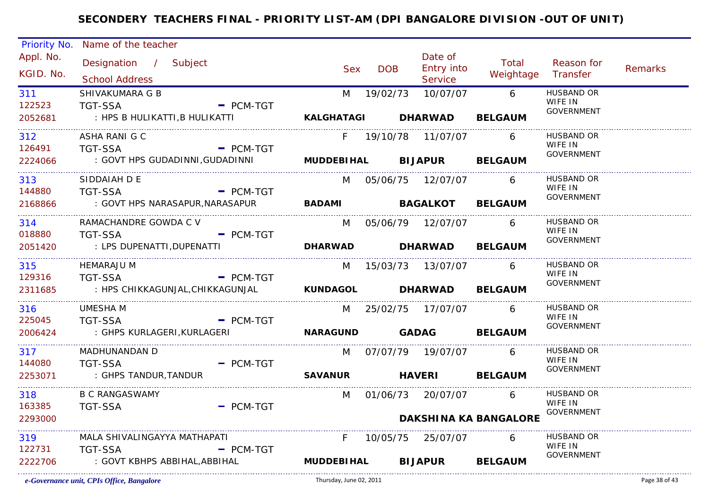| Priority No. | Name of the teacher                      |             |                          |               |                       |                              |                              |         |
|--------------|------------------------------------------|-------------|--------------------------|---------------|-----------------------|------------------------------|------------------------------|---------|
| Appl. No.    | Designation / Subject                    |             |                          |               | Date of               | Total                        | Reason for                   |         |
| KGID. No.    | <b>School Address</b>                    |             | <b>Sex</b>               | <b>DOB</b>    | Entry into<br>Service | Weightage Transfer           |                              | Remarks |
| 311          | SHIVAKUMARA G B                          |             | M                        | 19/02/73      | 10/07/07              | $6\overline{6}$              | <b>HUSBAND OR</b>            |         |
| 122523       | <b>TGT-SSA</b>                           | $-$ PCM-TGT |                          |               |                       |                              | WIFE IN                      |         |
| 2052681      | : HPS B HULIKATTI,B HULIKATTI            |             | KALGHATAGI DHARWAD       |               |                       | <b>BELGAUM</b>               | <b>GOVERNMENT</b>            |         |
| 312          | ASHA RANI G C                            |             | F.                       |               | 19/10/78  11/07/07    | 6                            | <b>HUSBAND OR</b>            |         |
| 126491       | <b>TGT-SSA</b>                           | $=$ PCM-TGT |                          |               |                       |                              | WIFE IN<br><b>GOVERNMENT</b> |         |
| 2224066      | : GOVT HPS GUDADINNI, GUDADINNI          |             |                          |               | MUDDEBIHAL BIJAPUR    | <b>BELGAUM</b>               |                              |         |
| 313          | SIDDAIAH D E                             |             |                          |               | M 05/06/75 12/07/07   | 6                            | <b>HUSBAND OR</b>            |         |
| 144880       | <b>TGT-SSA</b><br>$\blacksquare$ PCM-TGT |             |                          |               |                       |                              | WIFE IN<br><b>GOVERNMENT</b> |         |
| 2168866      | : GOVT HPS NARASAPUR,NARASAPUR           |             | BADAMI BAGALKOT BELGAUM  |               |                       |                              |                              |         |
| 314          | RAMACHANDRE GOWDA C V                    |             |                          |               | M 05/06/79 12/07/07   | 6                            | HUSBAND OR                   |         |
| 018880       | <b>TGT-SSA</b>                           | $-$ PCM-TGT |                          |               |                       |                              | WIFE IN<br><b>GOVERNMENT</b> |         |
| 2051420      | : LPS DUPENATTI, DUPENATTI               |             | <b>DHARWAD</b>           |               | DHARWAD BELGAUM       |                              |                              |         |
| 315          | HEMARAJU M                               |             |                          |               | M 15/03/73 13/07/07   | 6                            | <b>HUSBAND OR</b>            |         |
| 129316       | <b>TGT-SSA</b>                           | $-$ PCM-TGT |                          |               |                       |                              | WIFE IN<br><b>GOVERNMENT</b> |         |
| 2311685      | : HPS CHIKKAGUNJAL, CHIKKAGUNJAL         |             | KUNDAGOL DHARWAD BELGAUM |               |                       |                              |                              |         |
| 316          | <b>UMESHA M</b>                          |             |                          |               | M 25/02/75 17/07/07   | 6                            | HUSBAND OR<br>WIFE IN        |         |
| 225045       | <b>TGT-SSA</b>                           | $-$ PCM-TGT |                          |               |                       |                              | GOVERNMENT                   |         |
| 2006424      | : GHPS KURLAGERI, KURLAGERI              |             | NARAGUND GADAG BELGAUM   |               |                       |                              |                              |         |
| 317          | MADHUNANDAN D                            |             | M                        |               | 07/07/79 19/07/07     | 6                            | HUSBAND OR<br>WIFE IN        |         |
| 144080       | <b>TGT-SSA</b><br>- PCM-TGT              |             |                          |               |                       |                              | GOVERNMENT                   |         |
| 2253071      | : GHPS TANDUR,TANDUR                     |             | <b>SAVANUR</b>           | <b>HAVERI</b> |                       | <b>BELGAUM</b>               |                              |         |
| 318          | <b>B C RANGASWAMY</b>                    |             | M                        |               | 01/06/73 20/07/07     | 6                            | HUSBAND OR<br>WIFE IN        |         |
| 163385       | <b>TGT-SSA</b>                           | $=$ PCM-TGT |                          |               |                       |                              | <b>GOVERNMENT</b>            |         |
| 2293000      |                                          |             |                          |               |                       | <b>DAKSHINA KA BANGALORE</b> |                              |         |
| 319          | MALA SHIVALINGAYYA MATHAPATI             |             | F.                       |               | 10/05/75 25/07/07     | 6                            | HUSBAND OR<br>WIFE IN        |         |
| 122731       | <b>TGT-SSA</b>                           | $=$ PCM-TGT |                          |               |                       |                              | <b>GOVERNMENT</b>            |         |
| 2222706      | : GOVT KBHPS ABBIHAL, ABBIHAL            |             | <b>MUDDEBIHAL</b>        |               | <b>BIJAPUR</b>        | <b>BELGAUM</b>               |                              |         |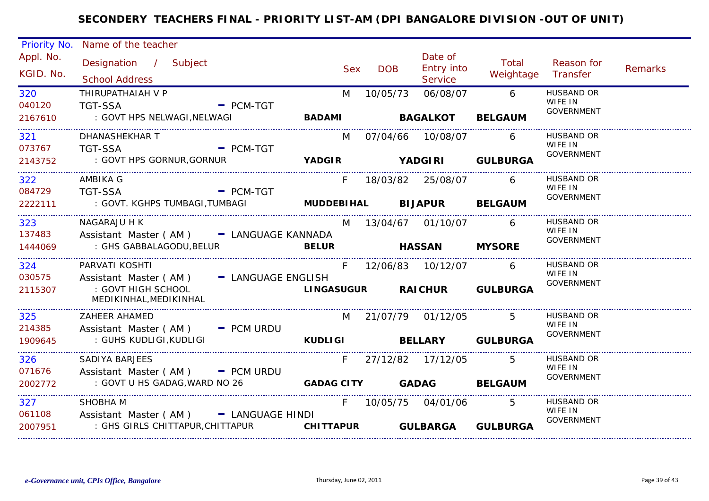| Priority No.             | Name of the teacher                                                                         |              |            |                                  |                    |                                                   |         |
|--------------------------|---------------------------------------------------------------------------------------------|--------------|------------|----------------------------------|--------------------|---------------------------------------------------|---------|
| Appl. No.<br>KGID. No.   | Designation / Subject<br><b>School Address</b>                                              | <b>Sex</b>   | <b>DOB</b> | Date of<br>Entry into<br>Service | Total<br>Weightage | Reason for<br>Transfer                            | Remarks |
| 320<br>040120<br>2167610 | THIRUPATHAIAH V P<br><b>TGT-SSA</b><br>$\blacksquare$ PCM-TGT<br>: GOVT HPS NELWAGI,NELWAGI | M            | 10/05/73   | 06/08/07                         | 6 <sup>6</sup>     | <b>HUSBAND OR</b><br>WIFE IN<br><b>GOVERNMENT</b> |         |
|                          |                                                                                             |              |            | BADAMI BAGALKOT                  | <b>BELGAUM</b>     |                                                   |         |
| 321<br>073767            | DHANASHEKHAR T<br>TGT-SSA PCM-TGT                                                           |              |            | M 07/04/66 10/08/07              | 6                  | HUSBAND OR<br>WIFE IN                             |         |
| 2143752                  | : GOVT HPS GORNUR, GORNUR <b>THE SECOND STATE OF A STATE OF THE SECOND TEAM</b>             |              |            |                                  |                    | GOVERNMENT                                        |         |
| 322<br>084729            | AMBIKA G<br>$\overline{\phantom{a}}$ PCM-TGT<br>TGT-SSA                                     | F.           |            | 18/03/82 25/08/07 6              |                    | HUSBAND OR<br>WIFE IN                             |         |
|                          | 2222111 : GOVT. KGHPS TUMBAGI, TUMBAGI <b>MUDDEBIHAL BIJAPUR BELGAUM</b>                    |              |            |                                  |                    | GOVERNMENT                                        |         |
| 323                      | NAGARAJU H K                                                                                |              |            | M 13/04/67 01/10/07              | 6                  | HUSBAND OR<br>WIFE IN                             |         |
| 137483<br>1444069        | Assistant Master (AM) - LANGUAGE KANNADA<br>: GHS GABBALAGODU, BELUR                        | <b>BELUR</b> |            | <b>HASSAN MYSORE</b>             |                    | GOVERNMENT                                        |         |
| 324                      | PARVATI KOSHTI                                                                              |              |            | F 12/06/83 10/12/07              | 6                  | <b>HUSBAND OR</b><br>WIFE IN                      |         |
| 030575<br>2115307        | Assistant Master (AM) - LANGUAGE ENGLISH<br>: GOVT HIGH SCHOOL<br>MEDIKINHAL, MEDIKINHAL    |              |            | LINGASUGUR RAICHUR GULBURGA      |                    | GOVERNMENT                                        |         |
| 325                      | <b>ZAHEER AHAMED</b>                                                                        |              |            | M 21/07/79 01/12/05 5            |                    | <b>HUSBAND OR</b><br>WIFE IN                      |         |
| 214385<br>1909645        | Assistant Master ( $AM$ ) $-$ PCM URDU<br>: GUHS KUDLIGI, KUDLIGI                           |              |            | KUDLIGI BELLARY GULBURGA         |                    | GOVERNMENT                                        |         |
| 326<br>071676            | <b>SADIYA BARJEES</b><br>Assistant Master (AM) - PCM URDU                                   |              |            | F 27/12/82 17/12/05              | -5                 | HUSBAND OR<br>WIFE IN                             |         |
| 2002772                  | : GOVT U HS GADAG,WARD NO 26                                                                |              |            | GADAG CITY GADAG BELGAUM         |                    | GOVERNMENT                                        |         |
| 327<br>061108            | SHOBHA M<br>Assistant Master (AM) = LANGUAGE HINDI                                          |              |            | F 10/05/75 04/01/06              | -5                 | HUSBAND OR<br>WIFE IN                             |         |
| 2007951                  | : GHS GIRLS CHITTAPUR, CHITTAPUR <b>CHITTAPUR GULBARGA GULBURGA</b>                         |              |            |                                  |                    | <b>GOVERNMENT</b>                                 |         |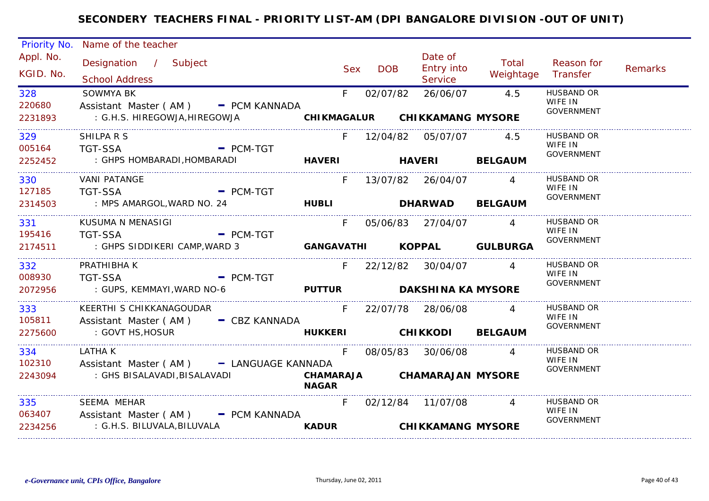| Priority No.             | Name of the teacher                                                                     |              |                   |                                           |                    |                                                   |         |
|--------------------------|-----------------------------------------------------------------------------------------|--------------|-------------------|-------------------------------------------|--------------------|---------------------------------------------------|---------|
| Appl. No.<br>KGID. No.   | Designation / Subject<br><b>School Address</b>                                          |              | <b>DOB</b><br>Sex | Date of<br>Entry into<br>Service          | Total<br>Weightage | Reason for<br>Transfer                            | Remarks |
| 328<br>220680<br>2231893 | <b>SOWMYA BK</b><br>Assistant Master (AM) - PCM KANNADA<br>: G.H.S. HIREGOWJA,HIREGOWJA | $F =$        | 02/07/82          | 26/06/07<br>CHIKMAGALUR CHIKKAMANG MYSORE | 4.5                | <b>HUSBAND OR</b><br>WIFE IN<br><b>GOVERNMENT</b> |         |
|                          |                                                                                         |              |                   |                                           |                    |                                                   |         |
| 329<br>005164 TGT-SSA    | SHILPA R S<br>$\blacksquare$ PCM-TGT                                                    |              |                   | F 12/04/82 05/07/07 4.5                   |                    | <b>HUSBAND OR</b><br>WIFE IN<br>GOVERNMENT        |         |
| 2252452                  | : GHPS HOMBARADI, HOMBARADI                                                             |              |                   | HAVERI HAVERI BELGAUM                     |                    |                                                   |         |
| 330<br>127185            | <b>VANI PATANGE</b><br>TGT-SSA - PCM-TGT                                                | $F -$        |                   | 13/07/82  26/04/07  4                     |                    | HUSBAND OR<br>WIFE IN<br><b>GOVERNMENT</b>        |         |
| 2314503                  | : MPS AMARGOL, WARD NO. 24 <b>HUBLI HUBLI DHARWAD BELGAUM</b>                           |              |                   |                                           |                    |                                                   |         |
| 331                      | KUSUMA N MENASIGI<br>195416 TGT-SSA<br>$-$ PCM-TGT                                      | F.           |                   | 05/06/83 27/04/07 4                       |                    | <b>HUSBAND OR</b><br>WIFE IN                      |         |
|                          | 2174511 : GHPS SIDDIKERI CAMP, WARD 3                                                   |              |                   | GANGAVATHI KOPPAL GULBURGA                |                    | <b>GOVERNMENT</b>                                 |         |
| 332<br>008930            | PRATHIBHA K<br>TGT-SSA<br>$=$ PCM-TGT                                                   |              |                   | F 22/12/82 30/04/07                       | $\overline{4}$     | <b>HUSBAND OR</b><br>WIFE IN                      |         |
| 2072956                  | : GUPS, KEMMAYI, WARD NO-6                                                              |              |                   | PUTTUR DAKSHINA KA MYSORE                 |                    | GOVERNMENT                                        |         |
| 333 3<br>105811          | KEERTHI S CHIKKANAGOUDAR<br>Assistant Master (AM) - CBZ KANNADA                         | $F =$        |                   | 22/07/78  28/06/08                        |                    | HUSBAND OR<br>WIFE IN                             |         |
| 2275600                  | : GOVT HS,HOSUR                                                                         |              |                   | HUKKERI CHIKKODI BELGAUM                  |                    | GOVERNMENT                                        |         |
| 334<br>102310            | LATHA K<br>Assistant Master (AM) - LANGUAGE KANNADA                                     | F            |                   | 08/05/83 30/06/08                         |                    | <b>HUSBAND OR</b><br>WIFE IN<br>GOVERNMENT        |         |
| 2243094                  | : GHS BISALAVADI, BISALAVADI                                                            | <b>NAGAR</b> |                   | CHAMARAJA CHAMARAJAN MYSORE               |                    |                                                   |         |
| 335                      | SEEMA MEHAR<br>063407 Assistant Master (AM) - PCM KANNADA                               | $F =$        |                   | 02/12/84 11/07/08 4                       |                    | <b>HUSBAND OR</b><br>WIFE IN<br>GOVERNMENT        |         |
| 2234256                  | : G.H.S. BILUVALA, BILUVALA                                                             | <b>KADUR</b> |                   | <b>CHIKKAMANG MYSORE</b>                  |                    |                                                   |         |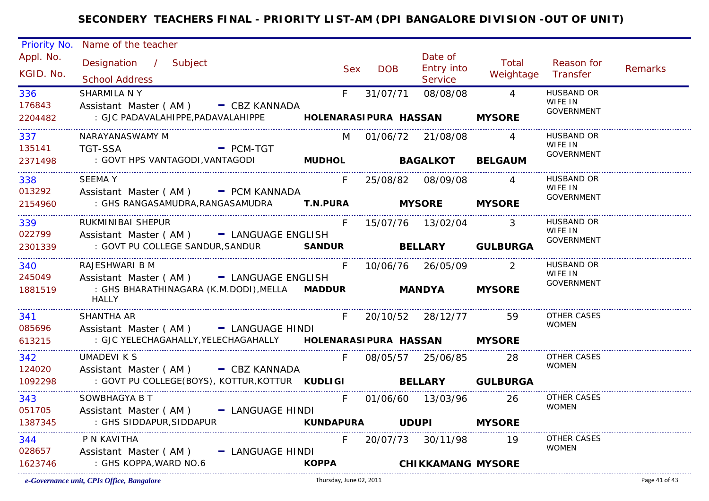|           | Priority No. Name of the teacher                                            |              |       |            |                          |                    |                                    |         |
|-----------|-----------------------------------------------------------------------------|--------------|-------|------------|--------------------------|--------------------|------------------------------------|---------|
| Appl. No. | Designation / Subject                                                       |              |       |            | Date of                  | Total              | Reason for                         |         |
| KGID. No. | <b>School Address</b>                                                       |              | Sex   | <b>DOB</b> | Entry into<br>Service    | Weightage Transfer |                                    | Remarks |
| 336       | SHARMILA N Y                                                                |              | $F =$ | 31/07/71   | 08/08/08                 | $\overline{4}$     | <b>HUSBAND OR</b>                  |         |
| 176843    | Assistant Master (AM) - CBZ KANNADA                                         |              |       |            |                          |                    | WIFE IN<br><b>GOVERNMENT</b>       |         |
| 2204482   | : GJC PADAVALAHIPPE, PADAVALAHIPPE <b>HOLENARASI PURA HASSAN</b>            |              |       |            |                          | <b>MYSORE</b>      |                                    |         |
| 337       | NARAYANASWAMY M                                                             |              |       |            | M 01/06/72 21/08/08      | $\overline{4}$     | <b>HUSBAND OR</b>                  |         |
| 135141    | - PCM-TGT<br><b>TGT-SSA</b>                                                 |              |       |            |                          |                    | WIFE IN<br><b>GOVERNMENT</b>       |         |
| 2371498   | : GOVT HPS VANTAGODI, VANTAGODI MUDHOL BAGALKOT BELGAUM                     |              |       |            |                          |                    |                                    |         |
| 338       | <b>SEEMAY</b>                                                               |              | F.    |            | 25/08/82 08/09/08        | $\overline{4}$     | <b>HUSBAND OR</b><br>WIFE IN       |         |
| 013292    | Assistant Master (AM) - PCM KANNADA                                         |              |       |            |                          |                    | <b>GOVERNMENT</b>                  |         |
| 2154960   | : GHS RANGASAMUDRA,RANGASAMUDRA <b>T.N.PURA      MYSORE    MYSORE</b>       |              |       |            |                          |                    |                                    |         |
| 339       | RUKMINIBAI SHEPUR                                                           |              | F.    |            | 15/07/76  13/02/04  3    |                    | HUSBAND OR<br>WIFE IN              |         |
| 022799    | Assistant Master (AM) - LANGUAGE ENGLISH                                    |              |       |            |                          |                    | <b>GOVERNMENT</b>                  |         |
| 2301339   | : GOVT PU COLLEGE SANDUR, SANDUR SANDUR BELLARY GULBURGA                    |              |       |            |                          |                    |                                    |         |
| 340       | RAJESHWARI B M                                                              |              |       |            | F 10/06/76 26/05/09 2    |                    | <b>HUSBAND OR</b>                  |         |
| 245049    | Assistant Master (AM) - LANGUAGE ENGLISH                                    |              |       |            |                          |                    | WIFE IN<br>GOVERNMENT              |         |
| 1881519   | : GHS BHARATHINAGARA (K.M.DODI), MELLA MADDUR MANDYA MYSORE<br><b>HALLY</b> |              |       |            |                          |                    |                                    |         |
| 341       | SHANTHA AR                                                                  |              | $F =$ |            | 20/10/52 28/12/77 59     |                    | OTHER CASES                        |         |
| 085696    | Assistant Master (AM) - LANGUAGE HINDI                                      |              |       |            |                          |                    | <b>WOMEN</b>                       |         |
| 613215    |                                                                             |              |       |            |                          |                    |                                    |         |
| 342       | UMADEVI K S                                                                 |              | F.    |            | 08/05/57 25/06/85        | 28                 | <b>OTHER CASES</b><br><b>WOMEN</b> |         |
| 124020    | Assistant Master (AM) - CBZ KANNADA                                         |              |       |            |                          |                    |                                    |         |
| 1092298   | : GOVT PU COLLEGE(BOYS), KOTTUR, KOTTUR KUDLIGI BELLARY GULBURGA            |              |       |            |                          |                    |                                    |         |
| 343       | SOWBHAGYA B T                                                               |              | F.    |            | 01/06/60 13/03/96 26     |                    | OTHER CASES                        |         |
| 051705    | Assistant Master (AM) - LANGUAGE HINDI                                      |              |       |            |                          |                    | <b>WOMEN</b>                       |         |
| 1387345   | : GHS SIDDAPUR,SIDDAPUR                                                     |              |       |            |                          |                    |                                    |         |
| 344       | P N KAVITHA                                                                 |              |       |            | F 20/07/73 30/11/98 19   |                    | OTHER CASES<br><b>WOMEN</b>        |         |
| 028657    | Assistant Master (AM) - LANGUAGE HINDI                                      |              |       |            |                          |                    |                                    |         |
| 1623746   | : GHS KOPPA, WARD NO.6                                                      | <b>KOPPA</b> |       |            | <b>CHIKKAMANG MYSORE</b> |                    |                                    |         |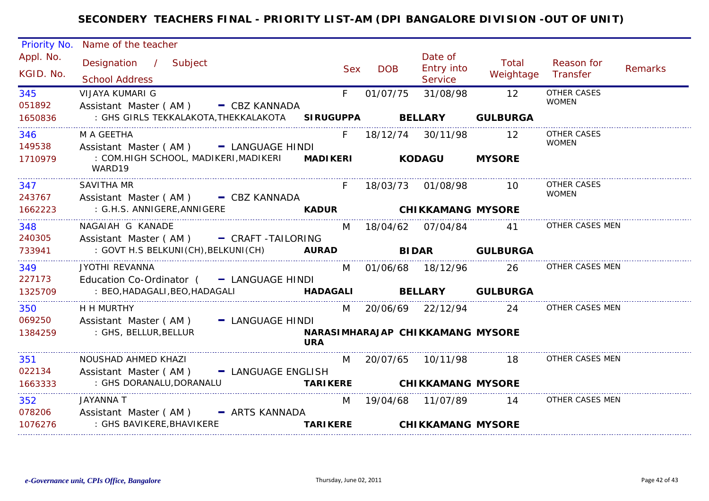| <b>Priority No.</b>    | Name of the teacher                                             |                                                |                     |                                                |                           |                                    |                |
|------------------------|-----------------------------------------------------------------|------------------------------------------------|---------------------|------------------------------------------------|---------------------------|------------------------------------|----------------|
| Appl. No.<br>KGID. No. | Designation / Subject<br><b>School Address</b>                  | <b>Sex</b>                                     | <b>DOB</b>          | Date of<br><b>Entry into</b><br><b>Service</b> | Total<br>Weightage        | Reason for<br>Transfer             | <b>Remarks</b> |
| 345<br>051892          | <b>VIJAYA KUMARI G</b><br>Assistant Master (AM) - CBZ KANNADA   | F.                                             | 01/07/75            | 31/08/98                                       | 12                        | <b>OTHER CASES</b><br><b>WOMEN</b> |                |
| 1650836                | : GHS GIRLS TEKKALAKOTA,THEKKALAKOTA SIRUGUPPA                  |                                                | <b>BELLARY</b>      |                                                | <b>GULBURGA</b>           |                                    |                |
| 346<br>149538          | M A GEETHA<br>Assistant Master (AM) - LANGUAGE HINDI            | F.                                             | 18/12/74 30/11/98   |                                                | 12                        | OTHER CASES<br><b>WOMEN</b>        |                |
| 1710979                | : COM.HIGH SCHOOL, MADIKERI,MADIKERI MADIKERI<br>WARD19         |                                                |                     | <b>KODAGU</b>                                  | <b>MYSORE</b>             |                                    |                |
| 347<br>243767          | <b>SAVITHA MR</b><br>Assistant Master (AM) - CBZ KANNADA        |                                                | 18/03/73 01/08/98   |                                                | 10                        | OTHER CASES<br><b>WOMEN</b>        |                |
| 1662223                | : G.H.S. ANNIGERE, ANNIGERE                                     | <b>KADUR</b>                                   |                     | <b>CHIKKAMANG MYSORE</b>                       |                           |                                    |                |
| 348<br>240305          | NAGAIAH G KANADE<br>Assistant Master (AM) - CRAFT-TAILORING     | M                                              |                     |                                                | 41                        | OTHER CASES MEN                    |                |
| 733941                 | : GOVT H.S BELKUNI (CH), BELKUNI (CH) AURAD                     |                                                | <b>BIDAR</b>        |                                                | <b>GULBURGA</b>           |                                    |                |
| 349<br>227173          | JYOTHI REVANNA<br>Education Co-Ordinator $($ $-$ LANGUAGE HINDI |                                                | M 01/06/68 18/12/96 |                                                | 26                        | OTHER CASES MEN                    |                |
| 1325709                | : BEO, HADAGALI, BEO, HADAGALI                                  |                                                |                     |                                                | HADAGALI BELLARY GULBURGA |                                    |                |
| 350<br>069250          | H H MURTHY<br>Assistant Master (AM) - LANGUAGE HINDI            |                                                |                     | M 20/06/69 22/12/94                            | 24                        | OTHER CASES MEN                    |                |
| 1384259                | : GHS, BELLUR, BELLUR                                           | NARASIMHARAJAP CHIKKAMANG MYSORE<br><b>URA</b> |                     |                                                |                           |                                    |                |
| 351                    | NOUSHAD AHMED KHAZI                                             |                                                |                     | M 20/07/65 10/11/98 18                         |                           | OTHER CASES MEN                    |                |
| 022134                 | Assistant Master (AM) - LANGUAGE ENGLISH                        |                                                |                     |                                                |                           |                                    |                |
| 1663333                | : GHS DORANALU, DORANALU                                        | <b>TARIKERE</b>                                |                     | <b>CHIKKAMANG MYSORE</b>                       |                           |                                    |                |
| 352                    | <b>JAYANNA T</b>                                                | M                                              | 19/04/68 11/07/89   |                                                | 14                        | OTHER CASES MEN                    |                |
| 078206                 | Assistant Master (AM) - ARTS KANNADA                            |                                                |                     |                                                |                           |                                    |                |
| 1076276                | : GHS BAVIKERE,BHAVIKERE                                        | <b>TARIKERE</b>                                |                     | <b>CHIKKAMANG MYSORE</b>                       |                           |                                    |                |